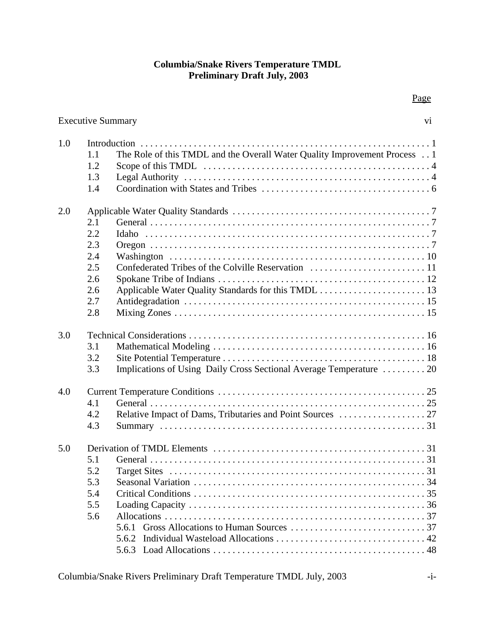# **Columbia/Snake Rivers Temperature TMDL Preliminary Draft July, 2003**

Executive Summary vi vi

1.0 Introduction ............................................................1

|     | 1.1 | The Role of this TMDL and the Overall Water Quality Improvement Process 1 |
|-----|-----|---------------------------------------------------------------------------|
|     | 1.2 |                                                                           |
|     | 1.3 |                                                                           |
|     | 1.4 |                                                                           |
| 2.0 |     |                                                                           |
|     | 2.1 |                                                                           |
|     | 2.2 |                                                                           |
|     | 2.3 |                                                                           |
|     | 2.4 |                                                                           |
|     | 2.5 |                                                                           |
|     | 2.6 |                                                                           |
|     | 2.6 |                                                                           |
|     | 2.7 |                                                                           |
|     | 2.8 |                                                                           |
| 3.0 |     |                                                                           |
|     | 3.1 |                                                                           |
|     | 3.2 |                                                                           |
|     | 3.3 | Implications of Using Daily Cross Sectional Average Temperature  20       |
| 4.0 |     |                                                                           |
|     | 4.1 |                                                                           |
|     | 4.2 |                                                                           |
|     | 4.3 |                                                                           |
| 5.0 |     |                                                                           |
|     | 5.1 |                                                                           |
|     | 5.2 |                                                                           |
|     | 5.3 |                                                                           |
|     | 5.4 |                                                                           |
|     | 5.5 |                                                                           |
|     | 5.6 |                                                                           |
|     |     |                                                                           |
|     |     |                                                                           |
|     |     |                                                                           |

Page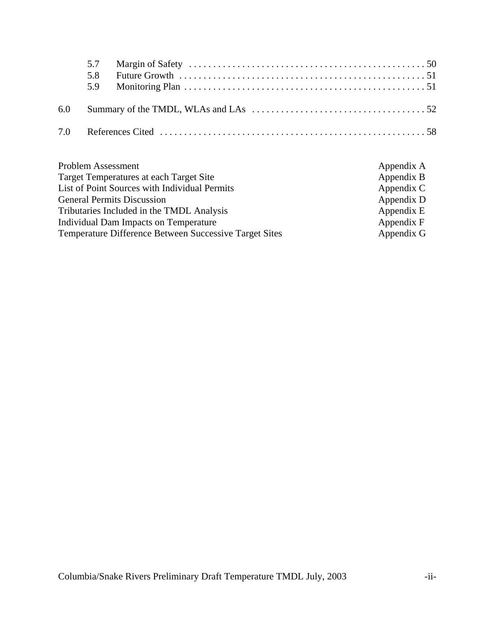| 5.7<br>5.8<br>5.9 |                                                                                                                 |  |
|-------------------|-----------------------------------------------------------------------------------------------------------------|--|
|                   | 6.0 Summary of the TMDL, WLAs and LAs $\dots \dots \dots \dots \dots \dots \dots \dots \dots \dots \dots \dots$ |  |
|                   |                                                                                                                 |  |

| Problem Assessment                                            | Appendix A |
|---------------------------------------------------------------|------------|
| Target Temperatures at each Target Site                       | Appendix B |
| List of Point Sources with Individual Permits                 | Appendix C |
| <b>General Permits Discussion</b>                             | Appendix D |
| Tributaries Included in the TMDL Analysis                     | Appendix E |
| Individual Dam Impacts on Temperature                         | Appendix F |
| <b>Temperature Difference Between Successive Target Sites</b> | Appendix G |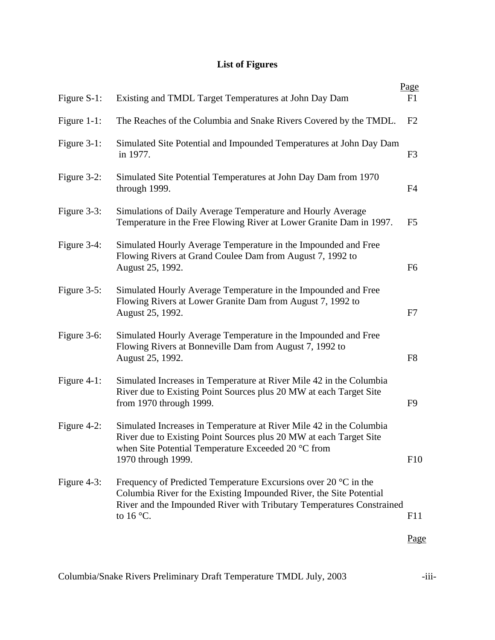# **List of Figures**

| Figure S-1:    | Existing and TMDL Target Temperatures at John Day Dam                                                                                                                                                                                          | Page<br>F1     |
|----------------|------------------------------------------------------------------------------------------------------------------------------------------------------------------------------------------------------------------------------------------------|----------------|
| Figure 1-1:    | The Reaches of the Columbia and Snake Rivers Covered by the TMDL.                                                                                                                                                                              | F2             |
| Figure 3-1:    | Simulated Site Potential and Impounded Temperatures at John Day Dam<br>in 1977.                                                                                                                                                                | F <sub>3</sub> |
| Figure $3-2$ : | Simulated Site Potential Temperatures at John Day Dam from 1970<br>through 1999.                                                                                                                                                               | F <sub>4</sub> |
| Figure 3-3:    | Simulations of Daily Average Temperature and Hourly Average<br>Temperature in the Free Flowing River at Lower Granite Dam in 1997.                                                                                                             | F <sub>5</sub> |
| Figure 3-4:    | Simulated Hourly Average Temperature in the Impounded and Free<br>Flowing Rivers at Grand Coulee Dam from August 7, 1992 to<br>August 25, 1992.                                                                                                | F <sub>6</sub> |
| Figure $3-5$ : | Simulated Hourly Average Temperature in the Impounded and Free<br>Flowing Rivers at Lower Granite Dam from August 7, 1992 to<br>August 25, 1992.                                                                                               | F7             |
| Figure 3-6:    | Simulated Hourly Average Temperature in the Impounded and Free<br>Flowing Rivers at Bonneville Dam from August 7, 1992 to<br>August 25, 1992.                                                                                                  | F <sub>8</sub> |
| Figure $4-1$ : | Simulated Increases in Temperature at River Mile 42 in the Columbia<br>River due to Existing Point Sources plus 20 MW at each Target Site<br>from 1970 through 1999.                                                                           | F <sub>9</sub> |
| Figure 4-2:    | Simulated Increases in Temperature at River Mile 42 in the Columbia<br>River due to Existing Point Sources plus 20 MW at each Target Site<br>when Site Potential Temperature Exceeded 20 °C from<br>1970 through 1999.                         | F10            |
| Figure 4-3:    | Frequency of Predicted Temperature Excursions over 20 $\degree$ C in the<br>Columbia River for the Existing Impounded River, the Site Potential<br>River and the Impounded River with Tributary Temperatures Constrained<br>to $16^{\circ}$ C. | F11            |
|                |                                                                                                                                                                                                                                                | Page           |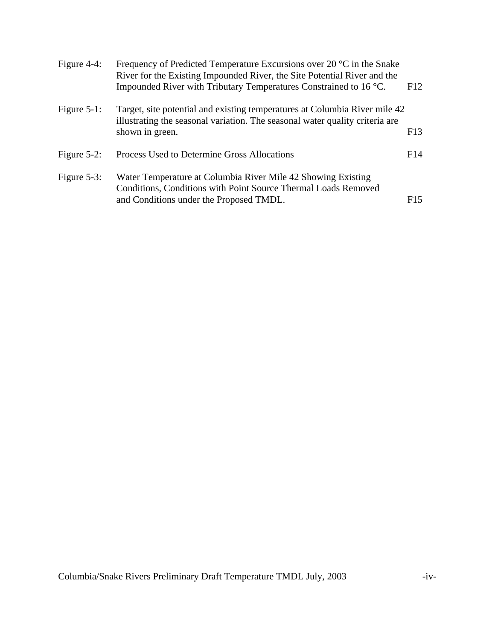| Figure $4-4$ : | Frequency of Predicted Temperature Excursions over 20 $^{\circ}$ C in the Snake<br>River for the Existing Impounded River, the Site Potential River and the |     |  |  |  |  |
|----------------|-------------------------------------------------------------------------------------------------------------------------------------------------------------|-----|--|--|--|--|
|                | Impounded River with Tributary Temperatures Constrained to 16 °C.                                                                                           | F12 |  |  |  |  |
| Figure $5-1$ : | Target, site potential and existing temperatures at Columbia River mile 42<br>illustrating the seasonal variation. The seasonal water quality criteria are  |     |  |  |  |  |
|                | shown in green.                                                                                                                                             | F13 |  |  |  |  |
| Figure $5-2$ : | Process Used to Determine Gross Allocations                                                                                                                 | F14 |  |  |  |  |
| Figure $5-3$ : | Water Temperature at Columbia River Mile 42 Showing Existing<br>Conditions, Conditions with Point Source Thermal Loads Removed                              |     |  |  |  |  |
|                | and Conditions under the Proposed TMDL.                                                                                                                     | F15 |  |  |  |  |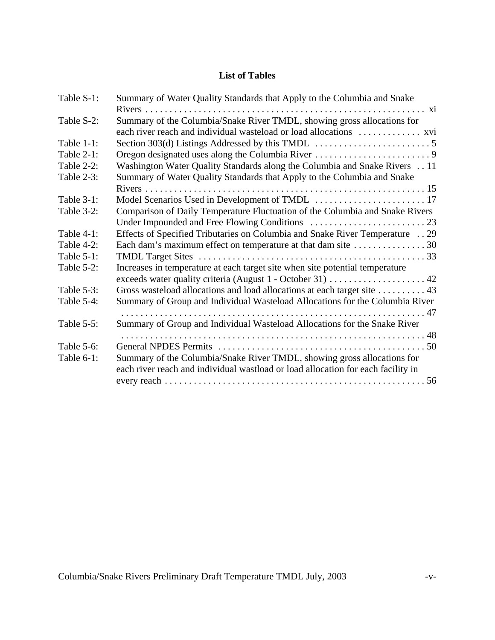# **List of Tables**

| Table S-1:    | Summary of Water Quality Standards that Apply to the Columbia and Snake                                                                       |
|---------------|-----------------------------------------------------------------------------------------------------------------------------------------------|
|               |                                                                                                                                               |
| Table S-2:    | Summary of the Columbia/Snake River TMDL, showing gross allocations for<br>each river reach and individual wasteload or load allocations  xvi |
| Table $1-1$ : |                                                                                                                                               |
| Table $2-1$ : |                                                                                                                                               |
|               |                                                                                                                                               |
| Table 2-2:    | Washington Water Quality Standards along the Columbia and Snake Rivers 11                                                                     |
| Table 2-3:    | Summary of Water Quality Standards that Apply to the Columbia and Snake                                                                       |
|               |                                                                                                                                               |
| Table $3-1$ : |                                                                                                                                               |
| Table 3-2:    | Comparison of Daily Temperature Fluctuation of the Columbia and Snake Rivers                                                                  |
|               |                                                                                                                                               |
| Table $4-1$ : | Effects of Specified Tributaries on Columbia and Snake River Temperature  29                                                                  |
| Table 4-2:    |                                                                                                                                               |
| Table $5-1$ : |                                                                                                                                               |
| Table 5-2:    | Increases in temperature at each target site when site potential temperature                                                                  |
|               |                                                                                                                                               |
| Table $5-3$ : | Gross wasteload allocations and load allocations at each target site 43                                                                       |
| Table 5-4:    | Summary of Group and Individual Wasteload Allocations for the Columbia River                                                                  |
|               |                                                                                                                                               |
| Table $5-5$ : | Summary of Group and Individual Wasteload Allocations for the Snake River                                                                     |
|               |                                                                                                                                               |
| Table 5-6:    |                                                                                                                                               |
| Table 6-1:    | Summary of the Columbia/Snake River TMDL, showing gross allocations for                                                                       |
|               | each river reach and individual wastload or load allocation for each facility in                                                              |
|               |                                                                                                                                               |
|               |                                                                                                                                               |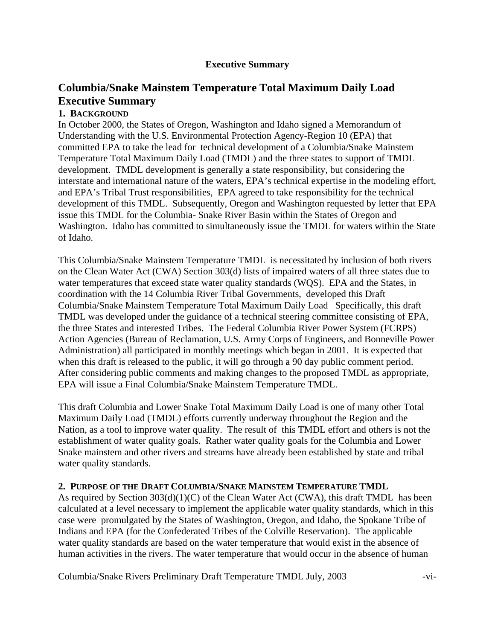## **Executive Summary**

# **Columbia/Snake Mainstem Temperature Total Maximum Daily Load Executive Summary**

## **1. BACKGROUND**

In October 2000, the States of Oregon, Washington and Idaho signed a Memorandum of Understanding with the U.S. Environmental Protection Agency-Region 10 (EPA) that committed EPA to take the lead for technical development of a Columbia/Snake Mainstem Temperature Total Maximum Daily Load (TMDL) and the three states to support of TMDL development. TMDL development is generally a state responsibility, but considering the interstate and international nature of the waters, EPA's technical expertise in the modeling effort, and EPA's Tribal Trust responsibilities, EPA agreed to take responsibility for the technical development of this TMDL. Subsequently, Oregon and Washington requested by letter that EPA issue this TMDL for the Columbia- Snake River Basin within the States of Oregon and Washington. Idaho has committed to simultaneously issue the TMDL for waters within the State of Idaho.

This Columbia/Snake Mainstem Temperature TMDL is necessitated by inclusion of both rivers on the Clean Water Act (CWA) Section 303(d) lists of impaired waters of all three states due to water temperatures that exceed state water quality standards (WQS). EPA and the States, in coordination with the 14 Columbia River Tribal Governments, developed this Draft Columbia/Snake Mainstem Temperature Total Maximum Daily Load Specifically, this draft TMDL was developed under the guidance of a technical steering committee consisting of EPA, the three States and interested Tribes. The Federal Columbia River Power System (FCRPS) Action Agencies (Bureau of Reclamation, U.S. Army Corps of Engineers, and Bonneville Power Administration) all participated in monthly meetings which began in 2001. It is expected that when this draft is released to the public, it will go through a 90 day public comment period. After considering public comments and making changes to the proposed TMDL as appropriate, EPA will issue a Final Columbia/Snake Mainstem Temperature TMDL.

This draft Columbia and Lower Snake Total Maximum Daily Load is one of many other Total Maximum Daily Load (TMDL) efforts currently underway throughout the Region and the Nation, as a tool to improve water quality. The result of this TMDL effort and others is not the establishment of water quality goals. Rather water quality goals for the Columbia and Lower Snake mainstem and other rivers and streams have already been established by state and tribal water quality standards.

### **2. PURPOSE OF THE DRAFT COLUMBIA/SNAKE MAINSTEM TEMPERATURE TMDL**

As required by Section 303(d)(1)(C) of the Clean Water Act (CWA), this draft TMDL has been calculated at a level necessary to implement the applicable water quality standards, which in this case were promulgated by the States of Washington, Oregon, and Idaho, the Spokane Tribe of Indians and EPA (for the Confederated Tribes of the Colville Reservation). The applicable water quality standards are based on the water temperature that would exist in the absence of human activities in the rivers. The water temperature that would occur in the absence of human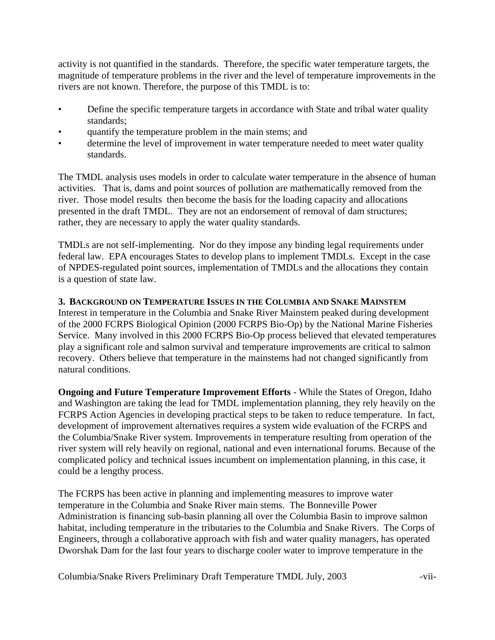activity is not quantified in the standards. Therefore, the specific water temperature targets, the magnitude of temperature problems in the river and the level of temperature improvements in the rivers are not known. Therefore, the purpose of this TMDL is to:

- Define the specific temperature targets in accordance with State and tribal water quality standards;
- quantify the temperature problem in the main stems; and
- determine the level of improvement in water temperature needed to meet water quality standards.

The TMDL analysis uses models in order to calculate water temperature in the absence of human activities. That is, dams and point sources of pollution are mathematically removed from the river. Those model results then become the basis for the loading capacity and allocations presented in the draft TMDL. They are not an endorsement of removal of dam structures; rather, they are necessary to apply the water quality standards.

TMDLs are not self-implementing. Nor do they impose any binding legal requirements under federal law. EPA encourages States to develop plans to implement TMDLs. Except in the case of NPDES-regulated point sources, implementation of TMDLs and the allocations they contain is a question of state law.

# **3. BACKGROUND ON TEMPERATURE ISSUES IN THE COLUMBIA AND SNAKE MAINSTEM**

Interest in temperature in the Columbia and Snake River Mainstem peaked during development of the 2000 FCRPS Biological Opinion (2000 FCRPS Bio-Op) by the National Marine Fisheries Service. Many involved in this 2000 FCRPS Bio-Op process believed that elevated temperatures play a significant role and salmon survival and temperature improvements are critical to salmon recovery. Others believe that temperature in the mainstems had not changed significantly from natural conditions.

**Ongoing and Future Temperature Improvement Efforts** - While the States of Oregon, Idaho and Washington are taking the lead for TMDL implementation planning, they rely heavily on the FCRPS Action Agencies in developing practical steps to be taken to reduce temperature. In fact, development of improvement alternatives requires a system wide evaluation of the FCRPS and the Columbia/Snake River system. Improvements in temperature resulting from operation of the river system will rely heavily on regional, national and even international forums. Because of the complicated policy and technical issues incumbent on implementation planning, in this case, it could be a lengthy process.

The FCRPS has been active in planning and implementing measures to improve water temperature in the Columbia and Snake River main stems. The Bonneville Power Administration is financing sub-basin planning all over the Columbia Basin to improve salmon habitat, including temperature in the tributaries to the Columbia and Snake Rivers. The Corps of Engineers, through a collaborative approach with fish and water quality managers, has operated Dworshak Dam for the last four years to discharge cooler water to improve temperature in the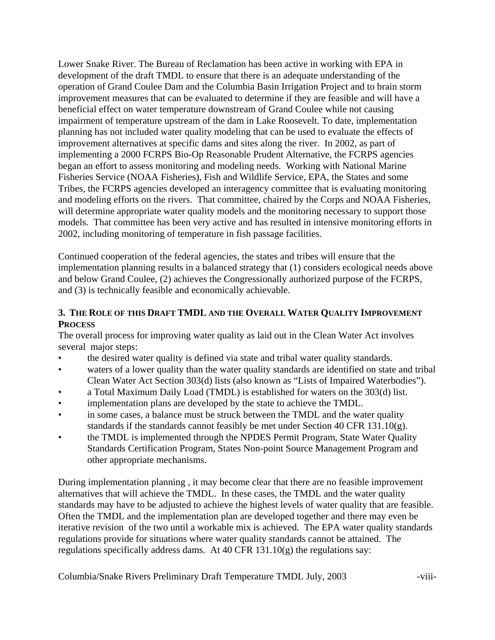Lower Snake River. The Bureau of Reclamation has been active in working with EPA in development of the draft TMDL to ensure that there is an adequate understanding of the operation of Grand Coulee Dam and the Columbia Basin Irrigation Project and to brain storm improvement measures that can be evaluated to determine if they are feasible and will have a beneficial effect on water temperature downstream of Grand Coulee while not causing impairment of temperature upstream of the dam in Lake Roosevelt. To date, implementation planning has not included water quality modeling that can be used to evaluate the effects of improvement alternatives at specific dams and sites along the river. In 2002, as part of implementing a 2000 FCRPS Bio-Op Reasonable Prudent Alternative, the FCRPS agencies began an effort to assess monitoring and modeling needs. Working with National Marine Fisheries Service (NOAA Fisheries), Fish and Wildlife Service, EPA, the States and some Tribes, the FCRPS agencies developed an interagency committee that is evaluating monitoring and modeling efforts on the rivers. That committee, chaired by the Corps and NOAA Fisheries, will determine appropriate water quality models and the monitoring necessary to support those models. That committee has been very active and has resulted in intensive monitoring efforts in 2002, including monitoring of temperature in fish passage facilities.

Continued cooperation of the federal agencies, the states and tribes will ensure that the implementation planning results in a balanced strategy that (1) considers ecological needs above and below Grand Coulee, (2) achieves the Congressionally authorized purpose of the FCRPS, and (3) is technically feasible and economically achievable.

## **3. THE ROLE OF THIS DRAFT TMDL AND THE OVERALL WATER QUALITY IMPROVEMENT PROCESS**

The overall process for improving water quality as laid out in the Clean Water Act involves several major steps:

- the desired water quality is defined via state and tribal water quality standards.
- waters of a lower quality than the water quality standards are identified on state and tribal Clean Water Act Section 303(d) lists (also known as "Lists of Impaired Waterbodies").
- a Total Maximum Daily Load (TMDL) is established for waters on the 303(d) list.
- implementation plans are developed by the state to achieve the TMDL.
- in some cases, a balance must be struck between the TMDL and the water quality standards if the standards cannot feasibly be met under Section 40 CFR 131.10(g).
- the TMDL is implemented through the NPDES Permit Program, State Water Quality Standards Certification Program, States Non-point Source Management Program and other appropriate mechanisms.

During implementation planning , it may become clear that there are no feasible improvement alternatives that will achieve the TMDL. In these cases, the TMDL and the water quality standards may have to be adjusted to achieve the highest levels of water quality that are feasible. Often the TMDL and the implementation plan are developed together and there may even be iterative revision of the two until a workable mix is achieved. The EPA water quality standards regulations provide for situations where water quality standards cannot be attained. The regulations specifically address dams. At 40 CFR 131.10(g) the regulations say: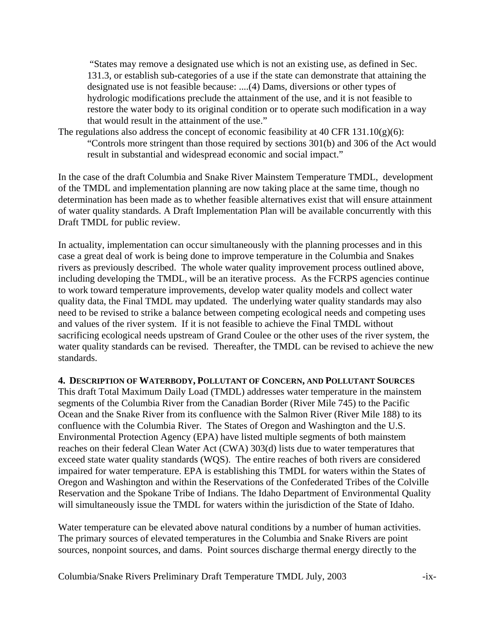"States may remove a designated use which is not an existing use, as defined in Sec. 131.3, or establish sub-categories of a use if the state can demonstrate that attaining the designated use is not feasible because: ....(4) Dams, diversions or other types of hydrologic modifications preclude the attainment of the use, and it is not feasible to restore the water body to its original condition or to operate such modification in a way that would result in the attainment of the use."

The regulations also address the concept of economic feasibility at 40 CFR 131.10(g)(6): "Controls more stringent than those required by sections 301(b) and 306 of the Act would result in substantial and widespread economic and social impact."

In the case of the draft Columbia and Snake River Mainstem Temperature TMDL, development of the TMDL and implementation planning are now taking place at the same time, though no determination has been made as to whether feasible alternatives exist that will ensure attainment of water quality standards. A Draft Implementation Plan will be available concurrently with this Draft TMDL for public review.

In actuality, implementation can occur simultaneously with the planning processes and in this case a great deal of work is being done to improve temperature in the Columbia and Snakes rivers as previously described. The whole water quality improvement process outlined above, including developing the TMDL, will be an iterative process. As the FCRPS agencies continue to work toward temperature improvements, develop water quality models and collect water quality data, the Final TMDL may updated. The underlying water quality standards may also need to be revised to strike a balance between competing ecological needs and competing uses and values of the river system. If it is not feasible to achieve the Final TMDL without sacrificing ecological needs upstream of Grand Coulee or the other uses of the river system, the water quality standards can be revised. Thereafter, the TMDL can be revised to achieve the new standards.

#### **4. DESCRIPTION OF WATERBODY, POLLUTANT OF CONCERN, AND POLLUTANT SOURCES**

This draft Total Maximum Daily Load (TMDL) addresses water temperature in the mainstem segments of the Columbia River from the Canadian Border (River Mile 745) to the Pacific Ocean and the Snake River from its confluence with the Salmon River (River Mile 188) to its confluence with the Columbia River. The States of Oregon and Washington and the U.S. Environmental Protection Agency (EPA) have listed multiple segments of both mainstem reaches on their federal Clean Water Act (CWA) 303(d) lists due to water temperatures that exceed state water quality standards (WQS). The entire reaches of both rivers are considered impaired for water temperature. EPA is establishing this TMDL for waters within the States of Oregon and Washington and within the Reservations of the Confederated Tribes of the Colville Reservation and the Spokane Tribe of Indians. The Idaho Department of Environmental Quality will simultaneously issue the TMDL for waters within the jurisdiction of the State of Idaho.

Water temperature can be elevated above natural conditions by a number of human activities. The primary sources of elevated temperatures in the Columbia and Snake Rivers are point sources, nonpoint sources, and dams. Point sources discharge thermal energy directly to the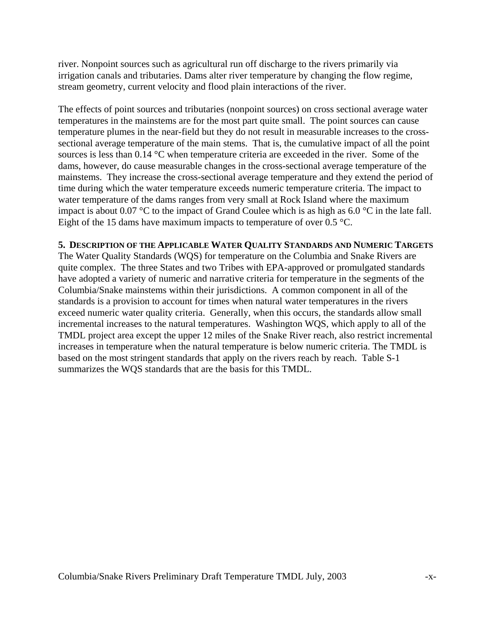river. Nonpoint sources such as agricultural run off discharge to the rivers primarily via irrigation canals and tributaries. Dams alter river temperature by changing the flow regime, stream geometry, current velocity and flood plain interactions of the river.

The effects of point sources and tributaries (nonpoint sources) on cross sectional average water temperatures in the mainstems are for the most part quite small. The point sources can cause temperature plumes in the near-field but they do not result in measurable increases to the crosssectional average temperature of the main stems. That is, the cumulative impact of all the point sources is less than 0.14 °C when temperature criteria are exceeded in the river. Some of the dams, however, do cause measurable changes in the cross-sectional average temperature of the mainstems. They increase the cross-sectional average temperature and they extend the period of time during which the water temperature exceeds numeric temperature criteria. The impact to water temperature of the dams ranges from very small at Rock Island where the maximum impact is about 0.07 °C to the impact of Grand Coulee which is as high as 6.0 °C in the late fall. Eight of the 15 dams have maximum impacts to temperature of over 0.5  $\degree$ C.

#### **5. DESCRIPTION OF THE APPLICABLE WATER QUALITY STANDARDS AND NUMERIC TARGETS**

The Water Quality Standards (WQS) for temperature on the Columbia and Snake Rivers are quite complex. The three States and two Tribes with EPA-approved or promulgated standards have adopted a variety of numeric and narrative criteria for temperature in the segments of the Columbia/Snake mainstems within their jurisdictions. A common component in all of the standards is a provision to account for times when natural water temperatures in the rivers exceed numeric water quality criteria. Generally, when this occurs, the standards allow small incremental increases to the natural temperatures. Washington WQS, which apply to all of the TMDL project area except the upper 12 miles of the Snake River reach, also restrict incremental increases in temperature when the natural temperature is below numeric criteria. The TMDL is based on the most stringent standards that apply on the rivers reach by reach. Table S-1 summarizes the WQS standards that are the basis for this TMDL.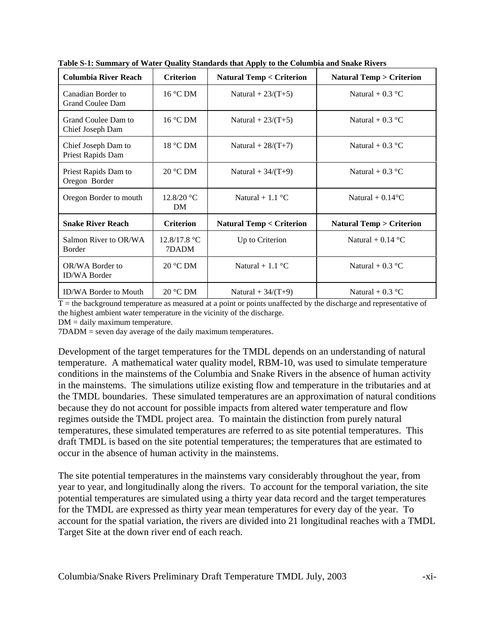| <b>Columbia River Reach</b>                   | <b>Criterion</b>        | <b>Natural Temp &lt; Criterion</b> | <b>Natural Temp &gt; Criterion</b> |
|-----------------------------------------------|-------------------------|------------------------------------|------------------------------------|
| Canadian Border to<br><b>Grand Coulee Dam</b> | $16^{\circ}$ C DM       | Natural + $23/(T+5)$               | Natural + $0.3 \text{ }^{\circ}C$  |
| Grand Coulee Dam to<br>Chief Joseph Dam       | $16^{\circ}$ C DM       | Natural + $23/(T+5)$               | Natural + $0.3 \text{ }^{\circ}C$  |
| Chief Joseph Dam to<br>Priest Rapids Dam      | 18 °C DM                | Natural + $28/(T+7)$               | Natural + $0.3 \text{ }^{\circ}C$  |
| Priest Rapids Dam to<br>Oregon Border         | $20 °C$ DM              | Natural + $34/(T+9)$               | Natural + $0.3 \text{ }^{\circ}C$  |
| Oregon Border to mouth                        | 12.8/20 °C<br><b>DM</b> | Natural + 1.1 $^{\circ}$ C         | Natural + $0.14$ <sup>o</sup> C    |
| <b>Snake River Reach</b>                      | <b>Criterion</b>        | <b>Natural Temp &lt; Criterion</b> | <b>Natural Temp &gt; Criterion</b> |
| Salmon River to OR/WA<br>Border               | 12.8/17.8 °C<br>7DADM   | Up to Criterion                    | Natural + $0.14$ °C                |
| OR/WA Border to<br><b>ID/WA Border</b>        | $20^{\circ}$ C DM       | Natural + 1.1 $^{\circ}$ C         | Natural + $0.3 \text{ }^{\circ}C$  |
| <b>ID/WA Border to Mouth</b>                  | $20^{\circ}$ CDM        | Natural + $34/(T+9)$               | Natural + $0.3$ °C                 |

**Table S-1: Summary of Water Quality Standards that Apply to the Columbia and Snake Rivers**

 $T =$  the background temperature as measured at a point or points unaffected by the discharge and representative of the highest ambient water temperature in the vicinity of the discharge.

DM = daily maximum temperature.

7DADM = seven day average of the daily maximum temperatures.

Development of the target temperatures for the TMDL depends on an understanding of natural temperature. A mathematical water quality model, RBM-10, was used to simulate temperature conditions in the mainstems of the Columbia and Snake Rivers in the absence of human activity in the mainstems. The simulations utilize existing flow and temperature in the tributaries and at the TMDL boundaries. These simulated temperatures are an approximation of natural conditions because they do not account for possible impacts from altered water temperature and flow regimes outside the TMDL project area. To maintain the distinction from purely natural temperatures, these simulated temperatures are referred to as site potential temperatures. This draft TMDL is based on the site potential temperatures; the temperatures that are estimated to occur in the absence of human activity in the mainstems.

The site potential temperatures in the mainstems vary considerably throughout the year, from year to year, and longitudinally along the rivers. To account for the temporal variation, the site potential temperatures are simulated using a thirty year data record and the target temperatures for the TMDL are expressed as thirty year mean temperatures for every day of the year. To account for the spatial variation, the rivers are divided into 21 longitudinal reaches with a TMDL Target Site at the down river end of each reach.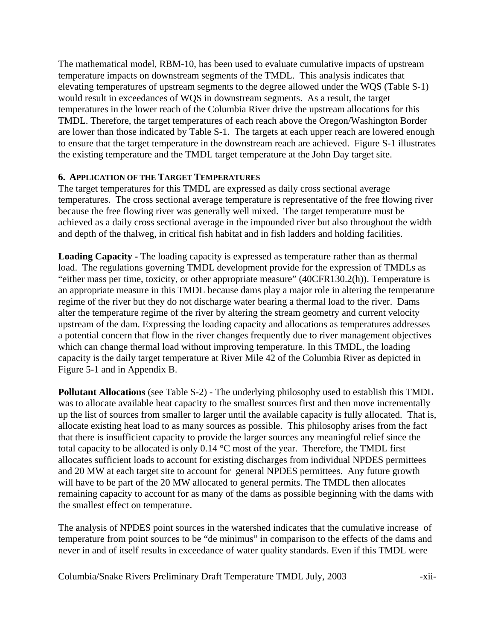The mathematical model, RBM-10, has been used to evaluate cumulative impacts of upstream temperature impacts on downstream segments of the TMDL. This analysis indicates that elevating temperatures of upstream segments to the degree allowed under the WQS (Table S-1) would result in exceedances of WQS in downstream segments. As a result, the target temperatures in the lower reach of the Columbia River drive the upstream allocations for this TMDL. Therefore, the target temperatures of each reach above the Oregon/Washington Border are lower than those indicated by Table S-1. The targets at each upper reach are lowered enough to ensure that the target temperature in the downstream reach are achieved. Figure S-1 illustrates the existing temperature and the TMDL target temperature at the John Day target site.

## **6. APPLICATION OF THE TARGET TEMPERATURES**

The target temperatures for this TMDL are expressed as daily cross sectional average temperatures. The cross sectional average temperature is representative of the free flowing river because the free flowing river was generally well mixed. The target temperature must be achieved as a daily cross sectional average in the impounded river but also throughout the width and depth of the thalweg, in critical fish habitat and in fish ladders and holding facilities.

**Loading Capacity -** The loading capacity is expressed as temperature rather than as thermal load. The regulations governing TMDL development provide for the expression of TMDLs as "either mass per time, toxicity, or other appropriate measure" (40CFR130.2(h)). Temperature is an appropriate measure in this TMDL because dams play a major role in altering the temperature regime of the river but they do not discharge water bearing a thermal load to the river. Dams alter the temperature regime of the river by altering the stream geometry and current velocity upstream of the dam. Expressing the loading capacity and allocations as temperatures addresses a potential concern that flow in the river changes frequently due to river management objectives which can change thermal load without improving temperature. In this TMDL, the loading capacity is the daily target temperature at River Mile 42 of the Columbia River as depicted in Figure 5-1 and in Appendix B.

**Pollutant Allocations** (see Table S-2) - The underlying philosophy used to establish this TMDL was to allocate available heat capacity to the smallest sources first and then move incrementally up the list of sources from smaller to larger until the available capacity is fully allocated. That is, allocate existing heat load to as many sources as possible. This philosophy arises from the fact that there is insufficient capacity to provide the larger sources any meaningful relief since the total capacity to be allocated is only 0.14 °C most of the year. Therefore, the TMDL first allocates sufficient loads to account for existing discharges from individual NPDES permittees and 20 MW at each target site to account for general NPDES permittees. Any future growth will have to be part of the 20 MW allocated to general permits. The TMDL then allocates remaining capacity to account for as many of the dams as possible beginning with the dams with the smallest effect on temperature.

The analysis of NPDES point sources in the watershed indicates that the cumulative increase of temperature from point sources to be "de minimus" in comparison to the effects of the dams and never in and of itself results in exceedance of water quality standards. Even if this TMDL were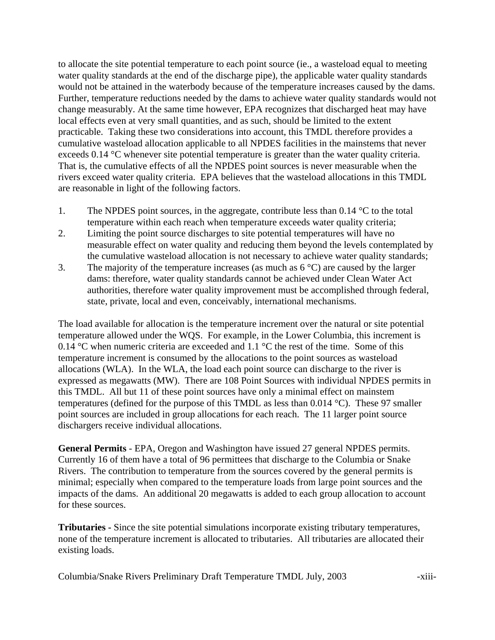to allocate the site potential temperature to each point source (ie., a wasteload equal to meeting water quality standards at the end of the discharge pipe), the applicable water quality standards would not be attained in the waterbody because of the temperature increases caused by the dams. Further, temperature reductions needed by the dams to achieve water quality standards would not change measurably. At the same time however, EPA recognizes that discharged heat may have local effects even at very small quantities, and as such, should be limited to the extent practicable. Taking these two considerations into account, this TMDL therefore provides a cumulative wasteload allocation applicable to all NPDES facilities in the mainstems that never exceeds 0.14 °C whenever site potential temperature is greater than the water quality criteria. That is, the cumulative effects of all the NPDES point sources is never measurable when the rivers exceed water quality criteria. EPA believes that the wasteload allocations in this TMDL are reasonable in light of the following factors.

- 1. The NPDES point sources, in the aggregate, contribute less than  $0.14 \degree C$  to the total temperature within each reach when temperature exceeds water quality criteria;
- 2. Limiting the point source discharges to site potential temperatures will have no measurable effect on water quality and reducing them beyond the levels contemplated by the cumulative wasteload allocation is not necessary to achieve water quality standards;
- 3. The majority of the temperature increases (as much as  $6^{\circ}$ C) are caused by the larger dams: therefore, water quality standards cannot be achieved under Clean Water Act authorities, therefore water quality improvement must be accomplished through federal, state, private, local and even, conceivably, international mechanisms.

The load available for allocation is the temperature increment over the natural or site potential temperature allowed under the WQS. For example, in the Lower Columbia, this increment is 0.14 °C when numeric criteria are exceeded and 1.1 °C the rest of the time. Some of this temperature increment is consumed by the allocations to the point sources as wasteload allocations (WLA). In the WLA, the load each point source can discharge to the river is expressed as megawatts (MW). There are 108 Point Sources with individual NPDES permits in this TMDL. All but 11 of these point sources have only a minimal effect on mainstem temperatures (defined for the purpose of this TMDL as less than 0.014 °C). These 97 smaller point sources are included in group allocations for each reach. The 11 larger point source dischargers receive individual allocations.

**General Permits** - EPA, Oregon and Washington have issued 27 general NPDES permits. Currently 16 of them have a total of 96 permittees that discharge to the Columbia or Snake Rivers. The contribution to temperature from the sources covered by the general permits is minimal; especially when compared to the temperature loads from large point sources and the impacts of the dams. An additional 20 megawatts is added to each group allocation to account for these sources.

**Tributaries -** Since the site potential simulations incorporate existing tributary temperatures, none of the temperature increment is allocated to tributaries. All tributaries are allocated their existing loads.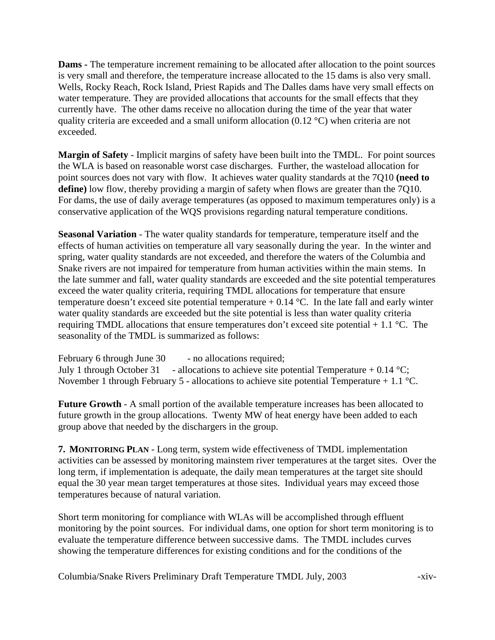**Dams -** The temperature increment remaining to be allocated after allocation to the point sources is very small and therefore, the temperature increase allocated to the 15 dams is also very small. Wells, Rocky Reach, Rock Island, Priest Rapids and The Dalles dams have very small effects on water temperature. They are provided allocations that accounts for the small effects that they currently have. The other dams receive no allocation during the time of the year that water quality criteria are exceeded and a small uniform allocation  $(0.12 \degree C)$  when criteria are not exceeded.

**Margin of Safety** - Implicit margins of safety have been built into the TMDL. For point sources the WLA is based on reasonable worst case discharges. Further, the wasteload allocation for point sources does not vary with flow. It achieves water quality standards at the 7Q10 **(need to define)** low flow, thereby providing a margin of safety when flows are greater than the 7Q10. For dams, the use of daily average temperatures (as opposed to maximum temperatures only) is a conservative application of the WQS provisions regarding natural temperature conditions.

**Seasonal Variation** - The water quality standards for temperature, temperature itself and the effects of human activities on temperature all vary seasonally during the year. In the winter and spring, water quality standards are not exceeded, and therefore the waters of the Columbia and Snake rivers are not impaired for temperature from human activities within the main stems. In the late summer and fall, water quality standards are exceeded and the site potential temperatures exceed the water quality criteria, requiring TMDL allocations for temperature that ensure temperature doesn't exceed site potential temperature  $+ 0.14$  °C. In the late fall and early winter water quality standards are exceeded but the site potential is less than water quality criteria requiring TMDL allocations that ensure temperatures don't exceed site potential  $+1.1$  °C. The seasonality of the TMDL is summarized as follows:

February 6 through June 30 - no allocations required; July 1 through October 31 - allocations to achieve site potential Temperature + 0.14 °C; November 1 through February 5 - allocations to achieve site potential Temperature + 1.1  $^{\circ}$ C.

**Future Growth** - A small portion of the available temperature increases has been allocated to future growth in the group allocations. Twenty MW of heat energy have been added to each group above that needed by the dischargers in the group.

**7. MONITORING PLAN** - Long term, system wide effectiveness of TMDL implementation activities can be assessed by monitoring mainstem river temperatures at the target sites. Over the long term, if implementation is adequate, the daily mean temperatures at the target site should equal the 30 year mean target temperatures at those sites. Individual years may exceed those temperatures because of natural variation.

Short term monitoring for compliance with WLAs will be accomplished through effluent monitoring by the point sources. For individual dams, one option for short term monitoring is to evaluate the temperature difference between successive dams. The TMDL includes curves showing the temperature differences for existing conditions and for the conditions of the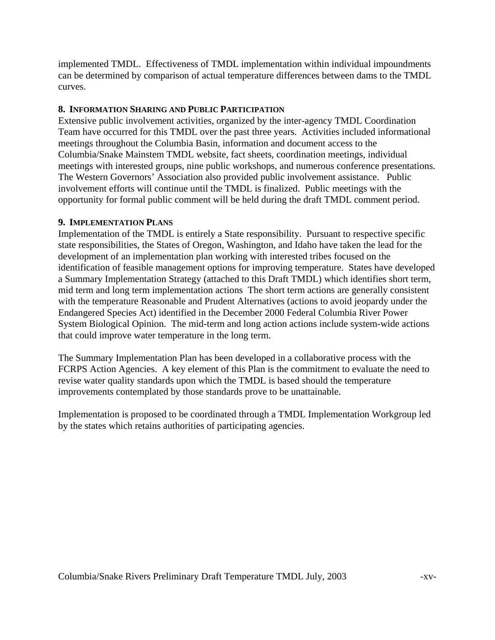implemented TMDL. Effectiveness of TMDL implementation within individual impoundments can be determined by comparison of actual temperature differences between dams to the TMDL curves.

## **8. INFORMATION SHARING AND PUBLIC PARTICIPATION**

Extensive public involvement activities, organized by the inter-agency TMDL Coordination Team have occurred for this TMDL over the past three years. Activities included informational meetings throughout the Columbia Basin, information and document access to the Columbia/Snake Mainstem TMDL website, fact sheets, coordination meetings, individual meetings with interested groups, nine public workshops, and numerous conference presentations. The Western Governors' Association also provided public involvement assistance. Public involvement efforts will continue until the TMDL is finalized. Public meetings with the opportunity for formal public comment will be held during the draft TMDL comment period.

## **9. IMPLEMENTATION PLANS**

Implementation of the TMDL is entirely a State responsibility. Pursuant to respective specific state responsibilities, the States of Oregon, Washington, and Idaho have taken the lead for the development of an implementation plan working with interested tribes focused on the identification of feasible management options for improving temperature. States have developed a Summary Implementation Strategy (attached to this Draft TMDL) which identifies short term, mid term and long term implementation actions The short term actions are generally consistent with the temperature Reasonable and Prudent Alternatives (actions to avoid jeopardy under the Endangered Species Act) identified in the December 2000 Federal Columbia River Power System Biological Opinion. The mid-term and long action actions include system-wide actions that could improve water temperature in the long term.

The Summary Implementation Plan has been developed in a collaborative process with the FCRPS Action Agencies. A key element of this Plan is the commitment to evaluate the need to revise water quality standards upon which the TMDL is based should the temperature improvements contemplated by those standards prove to be unattainable.

Implementation is proposed to be coordinated through a TMDL Implementation Workgroup led by the states which retains authorities of participating agencies.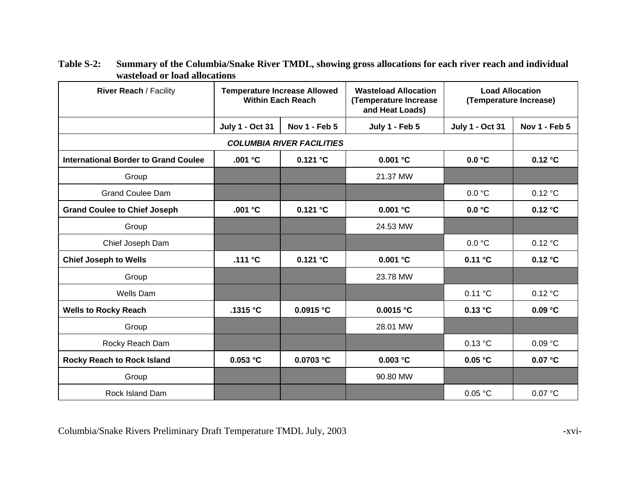| River Reach / Facility                      | <b>Temperature Increase Allowed</b><br><b>Within Each Reach</b> |                                  | <b>Wasteload Allocation</b><br>(Temperature Increase<br>and Heat Loads) | <b>Load Allocation</b><br>(Temperature Increase) |               |
|---------------------------------------------|-----------------------------------------------------------------|----------------------------------|-------------------------------------------------------------------------|--------------------------------------------------|---------------|
|                                             | <b>July 1 - Oct 31</b>                                          | Nov 1 - Feb 5                    | July 1 - Feb 5                                                          | <b>July 1 - Oct 31</b>                           | Nov 1 - Feb 5 |
|                                             |                                                                 | <b>COLUMBIA RIVER FACILITIES</b> |                                                                         |                                                  |               |
| <b>International Border to Grand Coulee</b> | .001 °C                                                         | 0.121 °C                         | 0.001 °C                                                                | 0.0 °C                                           | 0.12 °C       |
| Group                                       |                                                                 |                                  | 21.37 MW                                                                |                                                  |               |
| <b>Grand Coulee Dam</b>                     |                                                                 |                                  |                                                                         | 0.0 °C                                           | 0.12 °C       |
| <b>Grand Coulee to Chief Joseph</b>         | .001 $^{\circ}$ C                                               | 0.121 °C                         | 0.001 °C                                                                | 0.0 °C                                           | 0.12 °C       |
| Group                                       |                                                                 |                                  | 24.53 MW                                                                |                                                  |               |
| Chief Joseph Dam                            |                                                                 |                                  |                                                                         | 0.0 °C                                           | 0.12 °C       |
| <b>Chief Joseph to Wells</b>                | .111 $\degree$ C                                                | $0.121$ °C                       | 0.001 °C                                                                | 0.11 °C                                          | 0.12 °C       |
| Group                                       |                                                                 |                                  | 23.78 MW                                                                |                                                  |               |
| <b>Wells Dam</b>                            |                                                                 |                                  |                                                                         | 0.11 °C                                          | 0.12 °C       |
| <b>Wells to Rocky Reach</b>                 | .1315 °C                                                        | 0.0915 °C                        | 0.0015 °C                                                               | 0.13 °C                                          | 0.09 °C       |
| Group                                       |                                                                 |                                  | 28.01 MW                                                                |                                                  |               |
| Rocky Reach Dam                             |                                                                 |                                  |                                                                         | 0.13 °C                                          | 0.09 °C       |
| <b>Rocky Reach to Rock Island</b>           | 0.053 °C                                                        | 0.0703 °C                        | 0.003 °C                                                                | 0.05 °C                                          | 0.07 °C       |
| Group                                       |                                                                 |                                  | 90.80 MW                                                                |                                                  |               |
| Rock Island Dam                             |                                                                 |                                  |                                                                         | 0.05 °C                                          | 0.07 °C       |

**Table S-2: Summary of the Columbia/Snake River TMDL, showing gross allocations for each river reach and individual wasteload or load allocations**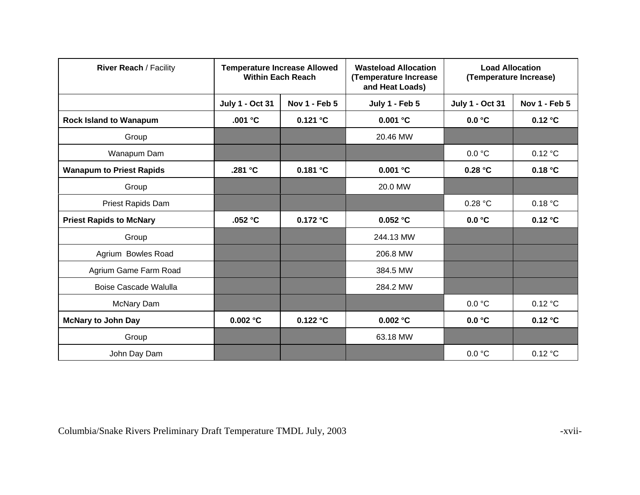| <b>River Reach / Facility</b>   |                        | <b>Temperature Increase Allowed</b><br><b>Within Each Reach</b> | <b>Wasteload Allocation</b><br>(Temperature Increase<br>and Heat Loads) | <b>Load Allocation</b><br>(Temperature Increase) |               |
|---------------------------------|------------------------|-----------------------------------------------------------------|-------------------------------------------------------------------------|--------------------------------------------------|---------------|
|                                 | <b>July 1 - Oct 31</b> | <b>Nov 1 - Feb 5</b>                                            | July 1 - Feb 5                                                          | <b>July 1 - Oct 31</b>                           | Nov 1 - Feb 5 |
| <b>Rock Island to Wanapum</b>   | .001 °C                | 0.121 °C                                                        | $0.001$ $^{\circ}$ C                                                    | 0.0 °C                                           | 0.12 °C       |
| Group                           |                        |                                                                 | 20.46 MW                                                                |                                                  |               |
| Wanapum Dam                     |                        |                                                                 |                                                                         | 0.0 °C                                           | 0.12 °C       |
| <b>Wanapum to Priest Rapids</b> | .281 °C                | 0.181 °C                                                        | $0.001$ $\degree$ C                                                     | 0.28 °C                                          | 0.18 °C       |
| Group                           |                        |                                                                 | 20.0 MW                                                                 |                                                  |               |
| Priest Rapids Dam               |                        |                                                                 |                                                                         | 0.28 °C                                          | 0.18 °C       |
| <b>Priest Rapids to McNary</b>  | .052 $°C$              | 0.172 °C                                                        | 0.052 °C                                                                | 0.0 °C                                           | 0.12 °C       |
| Group                           |                        |                                                                 | 244.13 MW                                                               |                                                  |               |
| Agrium Bowles Road              |                        |                                                                 | 206.8 MW                                                                |                                                  |               |
| Agrium Game Farm Road           |                        |                                                                 | 384.5 MW                                                                |                                                  |               |
| <b>Boise Cascade Walulla</b>    |                        |                                                                 | 284.2 MW                                                                |                                                  |               |
| McNary Dam                      |                        |                                                                 |                                                                         | 0.0 °C                                           | 0.12 °C       |
| <b>McNary to John Day</b>       | 0.002 °C               | 0.122 °C                                                        | 0.002 °C                                                                | 0.0 °C                                           | 0.12 °C       |
| Group                           |                        |                                                                 | 63.18 MW                                                                |                                                  |               |
| John Day Dam                    |                        |                                                                 |                                                                         | 0.0 °C                                           | 0.12 °C       |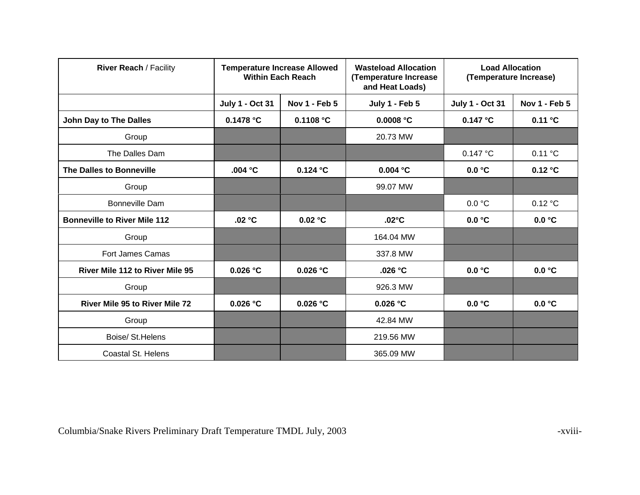| <b>River Reach / Facility</b>         | <b>Temperature Increase Allowed</b><br><b>Within Each Reach</b> |                      | <b>Wasteload Allocation</b><br>(Temperature Increase<br>and Heat Loads) | <b>Load Allocation</b><br>(Temperature Increase) |               |
|---------------------------------------|-----------------------------------------------------------------|----------------------|-------------------------------------------------------------------------|--------------------------------------------------|---------------|
|                                       | <b>July 1 - Oct 31</b>                                          | Nov 1 - Feb 5        | July 1 - Feb 5                                                          | <b>July 1 - Oct 31</b>                           | Nov 1 - Feb 5 |
| John Day to The Dalles                | 0.1478 °C                                                       | 0.1108 °C            | 0.0008 °C                                                               | 0.147 °C                                         | 0.11 °C       |
| Group                                 |                                                                 |                      | 20.73 MW                                                                |                                                  |               |
| The Dalles Dam                        |                                                                 |                      |                                                                         | 0.147 °C                                         | 0.11 °C       |
| The Dalles to Bonneville              | .004 °C                                                         | $0.124$ °C           | 0.004 °C                                                                | 0.0 °C                                           | 0.12 °C       |
| Group                                 |                                                                 |                      | 99.07 MW                                                                |                                                  |               |
| <b>Bonneville Dam</b>                 |                                                                 |                      |                                                                         | 0.0 °C                                           | 0.12 °C       |
| <b>Bonneville to River Mile 112</b>   | .02 °C                                                          | 0.02 °C              | $.02^{\circ}$ C                                                         | 0.0 °C                                           | 0.0 °C        |
| Group                                 |                                                                 |                      | 164.04 MW                                                               |                                                  |               |
| <b>Fort James Camas</b>               |                                                                 |                      | 337.8 MW                                                                |                                                  |               |
| River Mile 112 to River Mile 95       | 0.026 °C                                                        | $0.026$ °C           | .026 $°C$                                                               | 0.0 °C                                           | 0.0 °C        |
| Group                                 |                                                                 |                      | 926.3 MW                                                                |                                                  |               |
| <b>River Mile 95 to River Mile 72</b> | 0.026 °C                                                        | $0.026$ $^{\circ}$ C | $0.026$ °C                                                              | 0.0 °C                                           | 0.0 °C        |
| Group                                 |                                                                 |                      | 42.84 MW                                                                |                                                  |               |
| Boise/ St. Helens                     |                                                                 |                      | 219.56 MW                                                               |                                                  |               |
| Coastal St. Helens                    |                                                                 |                      | 365.09 MW                                                               |                                                  |               |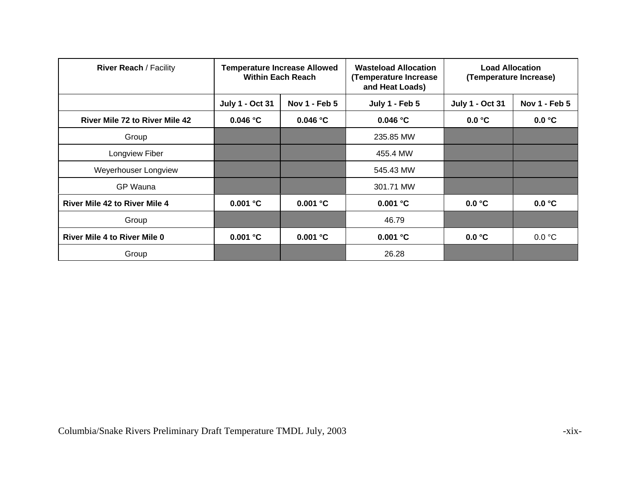| <b>River Reach / Facility</b>         | <b>Temperature Increase Allowed</b><br><b>Within Each Reach</b> |               | <b>Wasteload Allocation</b><br>(Temperature Increase<br>and Heat Loads) | <b>Load Allocation</b><br>(Temperature Increase) |               |
|---------------------------------------|-----------------------------------------------------------------|---------------|-------------------------------------------------------------------------|--------------------------------------------------|---------------|
|                                       | <b>July 1 - Oct 31</b>                                          | Nov 1 - Feb 5 | <b>July 1 - Feb 5</b>                                                   | <b>July 1 - Oct 31</b>                           | Nov 1 - Feb 5 |
| <b>River Mile 72 to River Mile 42</b> | 0.046 °C                                                        | 0.046 °C      | 0.046 °C                                                                | 0.0 °C                                           | 0.0 °C        |
| Group                                 |                                                                 |               | 235.85 MW                                                               |                                                  |               |
| Longview Fiber                        |                                                                 |               | 455.4 MW                                                                |                                                  |               |
| Weyerhouser Longview                  |                                                                 |               | 545.43 MW                                                               |                                                  |               |
| GP Wauna                              |                                                                 |               | 301.71 MW                                                               |                                                  |               |
| <b>River Mile 42 to River Mile 4</b>  | 0.001 °C                                                        | 0.001 °C      | 0.001 °C                                                                | 0.0 °C                                           | 0.0 °C        |
| Group                                 |                                                                 |               | 46.79                                                                   |                                                  |               |
| <b>River Mile 4 to River Mile 0</b>   | 0.001 °C                                                        | 0.001 °C      | 0.001 °C                                                                | 0.0 °C                                           | 0.0 °C        |
| Group                                 |                                                                 |               | 26.28                                                                   |                                                  |               |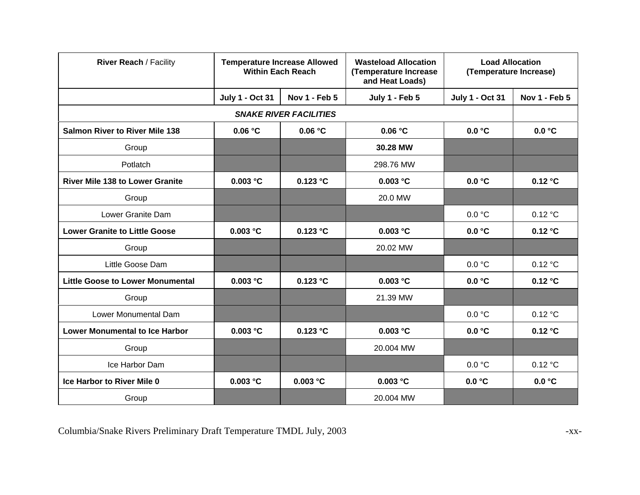| <b>River Reach / Facility</b>           | <b>Temperature Increase Allowed</b><br><b>Within Each Reach</b> |                               | <b>Wasteload Allocation</b><br>(Temperature Increase<br>and Heat Loads) | <b>Load Allocation</b><br>(Temperature Increase) |               |
|-----------------------------------------|-----------------------------------------------------------------|-------------------------------|-------------------------------------------------------------------------|--------------------------------------------------|---------------|
|                                         | <b>July 1 - Oct 31</b>                                          | Nov 1 - Feb 5                 | July 1 - Feb 5                                                          | <b>July 1 - Oct 31</b>                           | Nov 1 - Feb 5 |
|                                         |                                                                 | <b>SNAKE RIVER FACILITIES</b> |                                                                         |                                                  |               |
| <b>Salmon River to River Mile 138</b>   | 0.06 °C                                                         | 0.06 °C                       | 0.06 °C                                                                 | 0.0 °C                                           | 0.0 °C        |
| Group                                   |                                                                 |                               | 30.28 MW                                                                |                                                  |               |
| Potlatch                                |                                                                 |                               | 298.76 MW                                                               |                                                  |               |
| <b>River Mile 138 to Lower Granite</b>  | 0.003 °C                                                        | 0.123 °C                      | 0.003 °C                                                                | 0.0 °C                                           | 0.12 °C       |
| Group                                   |                                                                 |                               | 20.0 MW                                                                 |                                                  |               |
| Lower Granite Dam                       |                                                                 |                               |                                                                         | 0.0 °C                                           | 0.12 °C       |
| <b>Lower Granite to Little Goose</b>    | 0.003 °C                                                        | 0.123 °C                      | 0.003 °C                                                                | 0.0 °C                                           | 0.12 °C       |
| Group                                   |                                                                 |                               | 20.02 MW                                                                |                                                  |               |
| Little Goose Dam                        |                                                                 |                               |                                                                         | 0.0 °C                                           | 0.12 °C       |
| <b>Little Goose to Lower Monumental</b> | 0.003 °C                                                        | 0.123 °C                      | 0.003 °C                                                                | 0.0 °C                                           | 0.12 °C       |
| Group                                   |                                                                 |                               | 21.39 MW                                                                |                                                  |               |
| Lower Monumental Dam                    |                                                                 |                               |                                                                         | 0.0 °C                                           | 0.12 °C       |
| <b>Lower Monumental to Ice Harbor</b>   | 0.003 °C                                                        | 0.123 °C                      | 0.003 °C                                                                | 0.0 °C                                           | 0.12 °C       |
| Group                                   |                                                                 |                               | 20.004 MW                                                               |                                                  |               |
| Ice Harbor Dam                          |                                                                 |                               |                                                                         | 0.0 °C                                           | 0.12 °C       |
| <b>Ice Harbor to River Mile 0</b>       | 0.003 °C                                                        | 0.003 °C                      | 0.003 °C                                                                | 0.0 °C                                           | 0.0 °C        |
| Group                                   |                                                                 |                               | 20.004 MW                                                               |                                                  |               |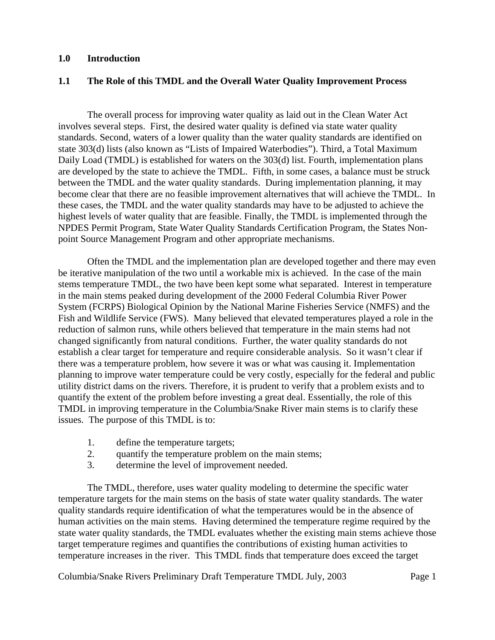### **1.0 Introduction**

### **1.1 The Role of this TMDL and the Overall Water Quality Improvement Process**

The overall process for improving water quality as laid out in the Clean Water Act involves several steps. First, the desired water quality is defined via state water quality standards. Second, waters of a lower quality than the water quality standards are identified on state 303(d) lists (also known as "Lists of Impaired Waterbodies"). Third, a Total Maximum Daily Load (TMDL) is established for waters on the 303(d) list. Fourth, implementation plans are developed by the state to achieve the TMDL. Fifth, in some cases, a balance must be struck between the TMDL and the water quality standards. During implementation planning, it may become clear that there are no feasible improvement alternatives that will achieve the TMDL. In these cases, the TMDL and the water quality standards may have to be adjusted to achieve the highest levels of water quality that are feasible. Finally, the TMDL is implemented through the NPDES Permit Program, State Water Quality Standards Certification Program, the States Nonpoint Source Management Program and other appropriate mechanisms.

Often the TMDL and the implementation plan are developed together and there may even be iterative manipulation of the two until a workable mix is achieved. In the case of the main stems temperature TMDL, the two have been kept some what separated. Interest in temperature in the main stems peaked during development of the 2000 Federal Columbia River Power System (FCRPS) Biological Opinion by the National Marine Fisheries Service (NMFS) and the Fish and Wildlife Service (FWS). Many believed that elevated temperatures played a role in the reduction of salmon runs, while others believed that temperature in the main stems had not changed significantly from natural conditions. Further, the water quality standards do not establish a clear target for temperature and require considerable analysis. So it wasn't clear if there was a temperature problem, how severe it was or what was causing it. Implementation planning to improve water temperature could be very costly, especially for the federal and public utility district dams on the rivers. Therefore, it is prudent to verify that a problem exists and to quantify the extent of the problem before investing a great deal. Essentially, the role of this TMDL in improving temperature in the Columbia/Snake River main stems is to clarify these issues. The purpose of this TMDL is to:

- 1. define the temperature targets;
- 2. quantify the temperature problem on the main stems;
- 3. determine the level of improvement needed.

The TMDL, therefore, uses water quality modeling to determine the specific water temperature targets for the main stems on the basis of state water quality standards. The water quality standards require identification of what the temperatures would be in the absence of human activities on the main stems. Having determined the temperature regime required by the state water quality standards, the TMDL evaluates whether the existing main stems achieve those target temperature regimes and quantifies the contributions of existing human activities to temperature increases in the river. This TMDL finds that temperature does exceed the target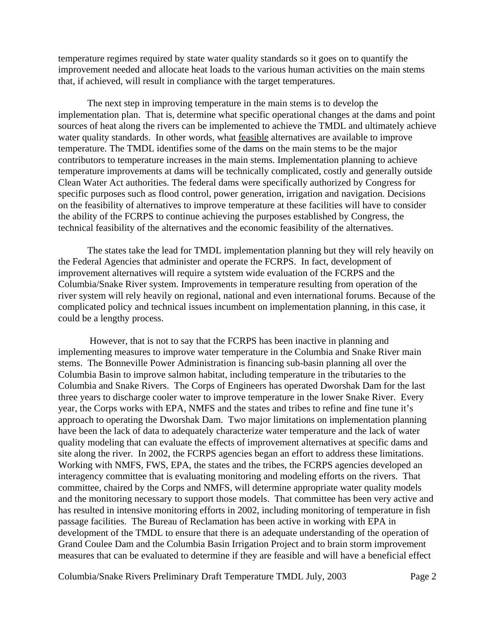temperature regimes required by state water quality standards so it goes on to quantify the improvement needed and allocate heat loads to the various human activities on the main stems that, if achieved, will result in compliance with the target temperatures.

The next step in improving temperature in the main stems is to develop the implementation plan. That is, determine what specific operational changes at the dams and point sources of heat along the rivers can be implemented to achieve the TMDL and ultimately achieve water quality standards. In other words, what feasible alternatives are available to improve temperature. The TMDL identifies some of the dams on the main stems to be the major contributors to temperature increases in the main stems. Implementation planning to achieve temperature improvements at dams will be technically complicated, costly and generally outside Clean Water Act authorities. The federal dams were specifically authorized by Congress for specific purposes such as flood control, power generation, irrigation and navigation. Decisions on the feasibility of alternatives to improve temperature at these facilities will have to consider the ability of the FCRPS to continue achieving the purposes established by Congress, the technical feasibility of the alternatives and the economic feasibility of the alternatives.

The states take the lead for TMDL implementation planning but they will rely heavily on the Federal Agencies that administer and operate the FCRPS. In fact, development of improvement alternatives will require a sytstem wide evaluation of the FCRPS and the Columbia/Snake River system. Improvements in temperature resulting from operation of the river system will rely heavily on regional, national and even international forums. Because of the complicated policy and technical issues incumbent on implementation planning, in this case, it could be a lengthy process.

 However, that is not to say that the FCRPS has been inactive in planning and implementing measures to improve water temperature in the Columbia and Snake River main stems. The Bonneville Power Administration is financing sub-basin planning all over the Columbia Basin to improve salmon habitat, including temperature in the tributaries to the Columbia and Snake Rivers. The Corps of Engineers has operated Dworshak Dam for the last three years to discharge cooler water to improve temperature in the lower Snake River. Every year, the Corps works with EPA, NMFS and the states and tribes to refine and fine tune it's approach to operating the Dworshak Dam. Two major limitations on implementation planning have been the lack of data to adequately characterize water temperature and the lack of water quality modeling that can evaluate the effects of improvement alternatives at specific dams and site along the river. In 2002, the FCRPS agencies began an effort to address these limitations. Working with NMFS, FWS, EPA, the states and the tribes, the FCRPS agencies developed an interagency committee that is evaluating monitoring and modeling efforts on the rivers. That committee, chaired by the Corps and NMFS, will determine appropriate water quality models and the monitoring necessary to support those models. That committee has been very active and has resulted in intensive monitoring efforts in 2002, including monitoring of temperature in fish passage facilities. The Bureau of Reclamation has been active in working with EPA in development of the TMDL to ensure that there is an adequate understanding of the operation of Grand Coulee Dam and the Columbia Basin Irrigation Project and to brain storm improvement measures that can be evaluated to determine if they are feasible and will have a beneficial effect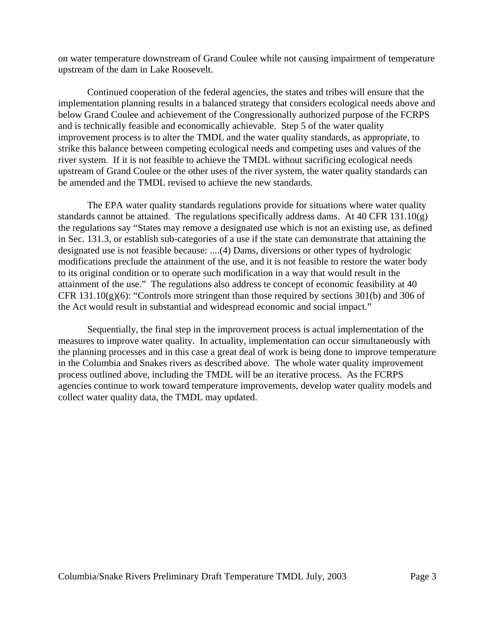on water temperature downstream of Grand Coulee while not causing impairment of temperature upstream of the dam in Lake Roosevelt.

Continued cooperation of the federal agencies, the states and tribes will ensure that the implementation planning results in a balanced strategy that considers ecological needs above and below Grand Coulee and achievement of the Congressionally authorized purpose of the FCRPS and is technically feasible and economically achievable. Step 5 of the water quality improvement process is to alter the TMDL and the water quality standards, as appropriate, to strike this balance between competing ecological needs and competing uses and values of the river system. If it is not feasible to achieve the TMDL without sacrificing ecological needs upstream of Grand Coulee or the other uses of the river system, the water quality standards can be amended and the TMDL revised to achieve the new standards.

The EPA water quality standards regulations provide for situations where water quality standards cannot be attained. The regulations specifically address dams. At 40 CFR 131.10(g) the regulations say "States may remove a designated use which is not an existing use, as defined in Sec. 131.3, or establish sub-categories of a use if the state can demonstrate that attaining the designated use is not feasible because: ....(4) Dams, diversions or other types of hydrologic modifications preclude the attainment of the use, and it is not feasible to restore the water body to its original condition or to operate such modification in a way that would result in the attainment of the use." The regulations also address te concept of economic feasibility at 40 CFR  $131.10(g)(6)$ : "Controls more stringent than those required by sections 301(b) and 306 of the Act would result in substantial and widespread economic and social impact."

Sequentially, the final step in the improvement process is actual implementation of the measures to improve water quality. In actuality, implementation can occur simultaneously with the planning processes and in this case a great deal of work is being done to improve temperature in the Columbia and Snakes rivers as described above. The whole water quality improvement process outlined above, including the TMDL will be an iterative process. As the FCRPS agencies continue to work toward temperature improvements, develop water quality models and collect water quality data, the TMDL may updated.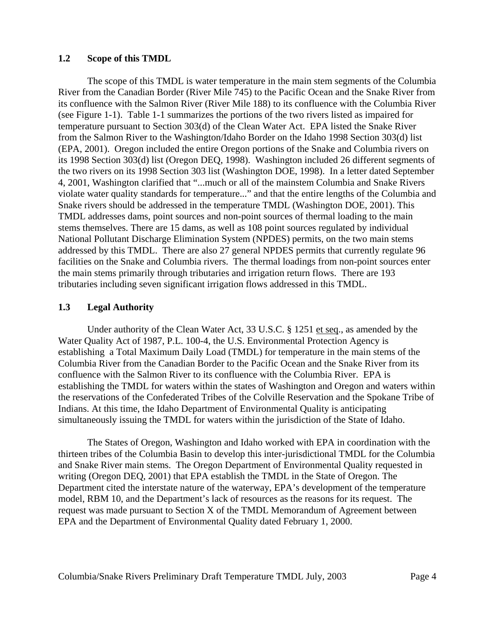### **1.2 Scope of this TMDL**

The scope of this TMDL is water temperature in the main stem segments of the Columbia River from the Canadian Border (River Mile 745) to the Pacific Ocean and the Snake River from its confluence with the Salmon River (River Mile 188) to its confluence with the Columbia River (see Figure 1-1). Table 1-1 summarizes the portions of the two rivers listed as impaired for temperature pursuant to Section 303(d) of the Clean Water Act. EPA listed the Snake River from the Salmon River to the Washington/Idaho Border on the Idaho 1998 Section 303(d) list (EPA, 2001). Oregon included the entire Oregon portions of the Snake and Columbia rivers on its 1998 Section 303(d) list (Oregon DEQ, 1998). Washington included 26 different segments of the two rivers on its 1998 Section 303 list (Washington DOE, 1998). In a letter dated September 4, 2001, Washington clarified that "...much or all of the mainstem Columbia and Snake Rivers violate water quality standards for temperature..." and that the entire lengths of the Columbia and Snake rivers should be addressed in the temperature TMDL (Washington DOE, 2001). This TMDL addresses dams, point sources and non-point sources of thermal loading to the main stems themselves. There are 15 dams, as well as 108 point sources regulated by individual National Pollutant Discharge Elimination System (NPDES) permits, on the two main stems addressed by this TMDL. There are also 27 general NPDES permits that currently regulate 96 facilities on the Snake and Columbia rivers. The thermal loadings from non-point sources enter the main stems primarily through tributaries and irrigation return flows. There are 193 tributaries including seven significant irrigation flows addressed in this TMDL.

### **1.3 Legal Authority**

Under authority of the Clean Water Act, 33 U.S.C. § 1251 et seq., as amended by the Water Quality Act of 1987, P.L. 100-4, the U.S. Environmental Protection Agency is establishing a Total Maximum Daily Load (TMDL) for temperature in the main stems of the Columbia River from the Canadian Border to the Pacific Ocean and the Snake River from its confluence with the Salmon River to its confluence with the Columbia River. EPA is establishing the TMDL for waters within the states of Washington and Oregon and waters within the reservations of the Confederated Tribes of the Colville Reservation and the Spokane Tribe of Indians. At this time, the Idaho Department of Environmental Quality is anticipating simultaneously issuing the TMDL for waters within the jurisdiction of the State of Idaho.

The States of Oregon, Washington and Idaho worked with EPA in coordination with the thirteen tribes of the Columbia Basin to develop this inter-jurisdictional TMDL for the Columbia and Snake River main stems. The Oregon Department of Environmental Quality requested in writing (Oregon DEQ, 2001) that EPA establish the TMDL in the State of Oregon. The Department cited the interstate nature of the waterway, EPA's development of the temperature model, RBM 10, and the Department's lack of resources as the reasons for its request. The request was made pursuant to Section X of the TMDL Memorandum of Agreement between EPA and the Department of Environmental Quality dated February 1, 2000.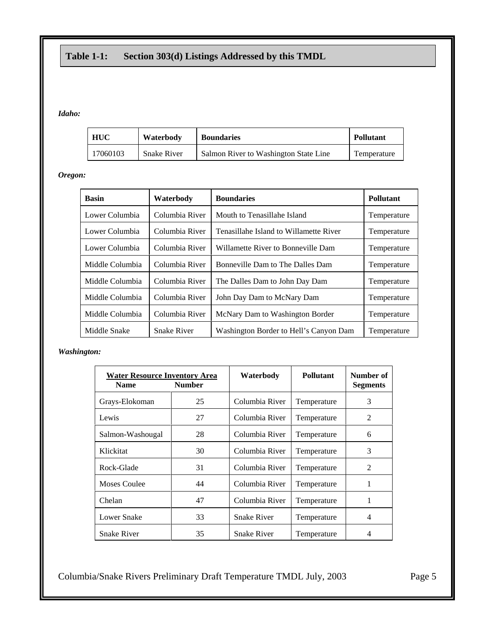# **Table 1-1: Section 303(d) Listings Addressed by this TMDL**

#### *Idaho:*

| <b>HUC</b> | Waterbody          | <b>Boundaries</b>                     | <b>Pollutant</b> |
|------------|--------------------|---------------------------------------|------------------|
| 17060103   | <b>Snake River</b> | Salmon River to Washington State Line | Temperature      |

*Oregon:*

| <b>Basin</b>    | Waterbody          | <b>Boundaries</b>                                     | <b>Pollutant</b> |
|-----------------|--------------------|-------------------------------------------------------|------------------|
| Lower Columbia  | Columbia River     | Mouth to Tenasillahe Island                           | Temperature      |
| Lower Columbia  | Columbia River     | Tenasillahe Island to Willamette River                | Temperature      |
| Lower Columbia  | Columbia River     | Willamette River to Bonneville Dam                    | Temperature      |
| Middle Columbia | Columbia River     | Bonneville Dam to The Dalles Dam                      | Temperature      |
| Middle Columbia | Columbia River     | The Dalles Dam to John Day Dam                        | Temperature      |
| Middle Columbia | Columbia River     | John Day Dam to McNary Dam                            | Temperature      |
| Middle Columbia | Columbia River     | McNary Dam to Washington Border                       | Temperature      |
| Middle Snake    | <b>Snake River</b> | Washington Border to Hell's Canyon Dam<br>Temperature |                  |

*Washington:*

| <b>Water Resource Inventory Area</b><br><b>Number</b><br><b>Name</b> |    | Waterbody          | <b>Pollutant</b> | Number of<br><b>Segments</b> |
|----------------------------------------------------------------------|----|--------------------|------------------|------------------------------|
| Grays-Elokoman                                                       | 25 | Columbia River     | Temperature      | 3                            |
| Lewis                                                                | 27 | Columbia River     | Temperature      | 2                            |
| Salmon-Washougal                                                     | 28 | Columbia River     | Temperature      | 6                            |
| Klickitat                                                            | 30 | Columbia River     | Temperature      | 3                            |
| Rock-Glade                                                           | 31 | Columbia River     | Temperature      | 2                            |
| Moses Coulee                                                         | 44 | Columbia River     | Temperature      | 1                            |
| Chelan                                                               | 47 | Columbia River     | Temperature      | 1                            |
| Lower Snake                                                          | 33 | <b>Snake River</b> | Temperature      | 4                            |
| <b>Snake River</b>                                                   | 35 | <b>Snake River</b> | Temperature      | 4                            |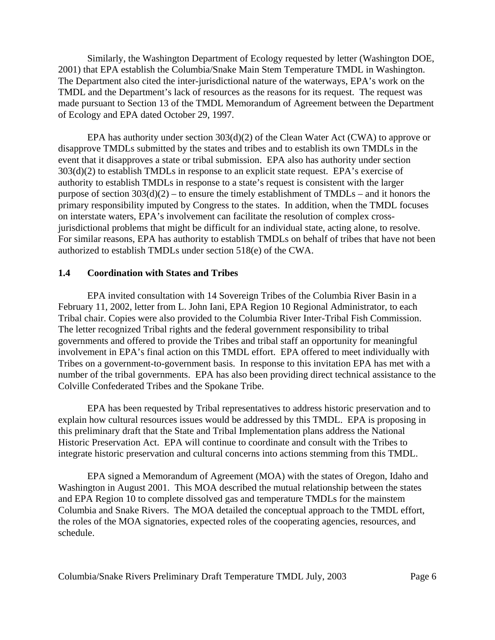Similarly, the Washington Department of Ecology requested by letter (Washington DOE, 2001) that EPA establish the Columbia/Snake Main Stem Temperature TMDL in Washington. The Department also cited the inter-jurisdictional nature of the waterways, EPA's work on the TMDL and the Department's lack of resources as the reasons for its request. The request was made pursuant to Section 13 of the TMDL Memorandum of Agreement between the Department of Ecology and EPA dated October 29, 1997.

EPA has authority under section 303(d)(2) of the Clean Water Act (CWA) to approve or disapprove TMDLs submitted by the states and tribes and to establish its own TMDLs in the event that it disapproves a state or tribal submission. EPA also has authority under section 303(d)(2) to establish TMDLs in response to an explicit state request. EPA's exercise of authority to establish TMDLs in response to a state's request is consistent with the larger purpose of section  $303(d)(2)$  – to ensure the timely establishment of TMDLs – and it honors the primary responsibility imputed by Congress to the states. In addition, when the TMDL focuses on interstate waters, EPA's involvement can facilitate the resolution of complex crossjurisdictional problems that might be difficult for an individual state, acting alone, to resolve. For similar reasons, EPA has authority to establish TMDLs on behalf of tribes that have not been authorized to establish TMDLs under section 518(e) of the CWA.

### **1.4 Coordination with States and Tribes**

EPA invited consultation with 14 Sovereign Tribes of the Columbia River Basin in a February 11, 2002, letter from L. John Iani, EPA Region 10 Regional Administrator, to each Tribal chair. Copies were also provided to the Columbia River Inter-Tribal Fish Commission. The letter recognized Tribal rights and the federal government responsibility to tribal governments and offered to provide the Tribes and tribal staff an opportunity for meaningful involvement in EPA's final action on this TMDL effort. EPA offered to meet individually with Tribes on a government-to-government basis. In response to this invitation EPA has met with a number of the tribal governments. EPA has also been providing direct technical assistance to the Colville Confederated Tribes and the Spokane Tribe.

EPA has been requested by Tribal representatives to address historic preservation and to explain how cultural resources issues would be addressed by this TMDL. EPA is proposing in this preliminary draft that the State and Tribal Implementation plans address the National Historic Preservation Act. EPA will continue to coordinate and consult with the Tribes to integrate historic preservation and cultural concerns into actions stemming from this TMDL.

EPA signed a Memorandum of Agreement (MOA) with the states of Oregon, Idaho and Washington in August 2001. This MOA described the mutual relationship between the states and EPA Region 10 to complete dissolved gas and temperature TMDLs for the mainstem Columbia and Snake Rivers. The MOA detailed the conceptual approach to the TMDL effort, the roles of the MOA signatories, expected roles of the cooperating agencies, resources, and schedule.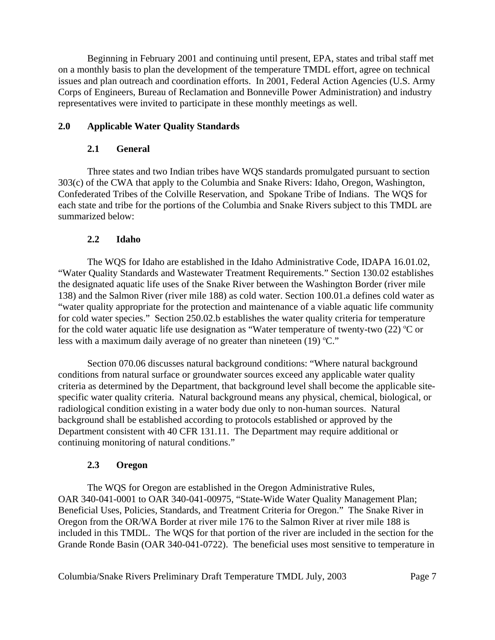Beginning in February 2001 and continuing until present, EPA, states and tribal staff met on a monthly basis to plan the development of the temperature TMDL effort, agree on technical issues and plan outreach and coordination efforts. In 2001, Federal Action Agencies (U.S. Army Corps of Engineers, Bureau of Reclamation and Bonneville Power Administration) and industry representatives were invited to participate in these monthly meetings as well.

## **2.0 Applicable Water Quality Standards**

### **2.1 General**

Three states and two Indian tribes have WQS standards promulgated pursuant to section 303(c) of the CWA that apply to the Columbia and Snake Rivers: Idaho, Oregon, Washington, Confederated Tribes of the Colville Reservation, and Spokane Tribe of Indians. The WQS for each state and tribe for the portions of the Columbia and Snake Rivers subject to this TMDL are summarized below:

## **2.2 Idaho**

The WQS for Idaho are established in the Idaho Administrative Code, IDAPA 16.01.02, "Water Quality Standards and Wastewater Treatment Requirements." Section 130.02 establishes the designated aquatic life uses of the Snake River between the Washington Border (river mile 138) and the Salmon River (river mile 188) as cold water. Section 100.01.a defines cold water as "water quality appropriate for the protection and maintenance of a viable aquatic life community for cold water species." Section 250.02.b establishes the water quality criteria for temperature for the cold water aquatic life use designation as "Water temperature of twenty-two  $(22)$  °C or less with a maximum daily average of no greater than nineteen  $(19)$  °C."

Section 070.06 discusses natural background conditions: "Where natural background conditions from natural surface or groundwater sources exceed any applicable water quality criteria as determined by the Department, that background level shall become the applicable sitespecific water quality criteria. Natural background means any physical, chemical, biological, or radiological condition existing in a water body due only to non-human sources. Natural background shall be established according to protocols established or approved by the Department consistent with 40 CFR 131.11. The Department may require additional or continuing monitoring of natural conditions."

# **2.3 Oregon**

The WQS for Oregon are established in the Oregon Administrative Rules, OAR 340-041-0001 to OAR 340-041-00975, "State-Wide Water Quality Management Plan; Beneficial Uses, Policies, Standards, and Treatment Criteria for Oregon." The Snake River in Oregon from the OR/WA Border at river mile 176 to the Salmon River at river mile 188 is included in this TMDL. The WQS for that portion of the river are included in the section for the Grande Ronde Basin (OAR 340-041-0722). The beneficial uses most sensitive to temperature in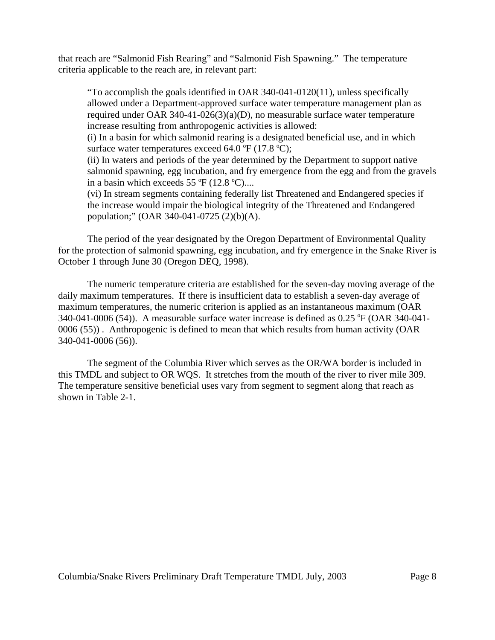that reach are "Salmonid Fish Rearing" and "Salmonid Fish Spawning." The temperature criteria applicable to the reach are, in relevant part:

"To accomplish the goals identified in OAR 340-041-0120(11), unless specifically allowed under a Department-approved surface water temperature management plan as required under OAR 340-41-026(3)(a)(D), no measurable surface water temperature increase resulting from anthropogenic activities is allowed:

 (i) In a basin for which salmonid rearing is a designated beneficial use, and in which surface water temperatures exceed  $64.0 \text{ }^{\circ}\text{F}$  (17.8  $\text{ }^{\circ}\text{C}$ );

(ii) In waters and periods of the year determined by the Department to support native salmonid spawning, egg incubation, and fry emergence from the egg and from the gravels in a basin which exceeds  $55^{\circ}$ F (12.8  $^{\circ}$ C)....

(vi) In stream segments containing federally list Threatened and Endangered species if the increase would impair the biological integrity of the Threatened and Endangered population;" (OAR 340-041-0725 (2)(b)(A).

The period of the year designated by the Oregon Department of Environmental Quality for the protection of salmonid spawning, egg incubation, and fry emergence in the Snake River is October 1 through June 30 (Oregon DEQ, 1998).

The numeric temperature criteria are established for the seven-day moving average of the daily maximum temperatures. If there is insufficient data to establish a seven-day average of maximum temperatures, the numeric criterion is applied as an instantaneous maximum (OAR 340-041-0006 (54)). A measurable surface water increase is defined as  $0.25 \text{ }^{\circ}\text{F}$  (OAR 340-041-0006 (55)) . Anthropogenic is defined to mean that which results from human activity (OAR 340-041-0006 (56)).

The segment of the Columbia River which serves as the OR/WA border is included in this TMDL and subject to OR WQS. It stretches from the mouth of the river to river mile 309. The temperature sensitive beneficial uses vary from segment to segment along that reach as shown in Table 2-1.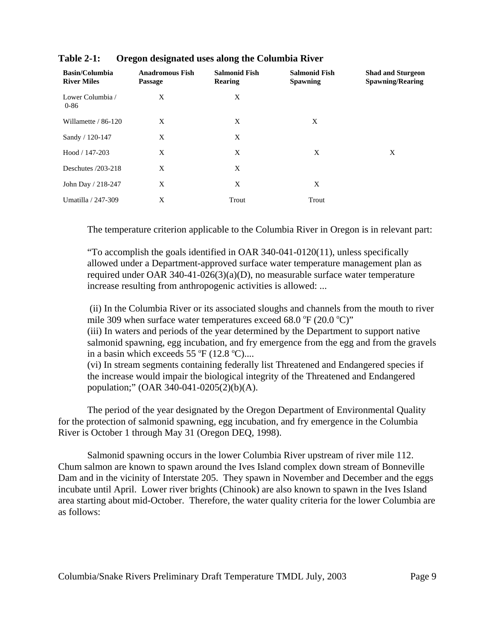| <b>Basin/Columbia</b><br><b>River Miles</b> | <b>Anadromous Fish</b><br><b>Passage</b> | <b>Salmonid Fish</b><br>Rearing | <b>Salmonid Fish</b><br><b>Spawning</b> | <b>Shad and Sturgeon</b><br><b>Spawning/Rearing</b> |
|---------------------------------------------|------------------------------------------|---------------------------------|-----------------------------------------|-----------------------------------------------------|
| Lower Columbia /<br>$0 - 86$                | X                                        | X                               |                                         |                                                     |
| Willamette / 86-120                         | X                                        | X                               | X                                       |                                                     |
| Sandy / 120-147                             | X                                        | X                               |                                         |                                                     |
| Hood / 147-203                              | X                                        | X                               | X                                       | X                                                   |
| Deschutes $/203-218$                        | X                                        | X                               |                                         |                                                     |
| John Day / 218-247                          | X                                        | X                               | X                                       |                                                     |
| Umatilla / 247-309                          | X                                        | Trout                           | Trout                                   |                                                     |

| <b>Table 2-1:</b> |  | Oregon designated uses along the Columbia River |  |
|-------------------|--|-------------------------------------------------|--|
|-------------------|--|-------------------------------------------------|--|

The temperature criterion applicable to the Columbia River in Oregon is in relevant part:

"To accomplish the goals identified in OAR 340-041-0120(11), unless specifically allowed under a Department-approved surface water temperature management plan as required under OAR 340-41-026(3)(a)(D), no measurable surface water temperature increase resulting from anthropogenic activities is allowed: ...

 (ii) In the Columbia River or its associated sloughs and channels from the mouth to river mile 309 when surface water temperatures exceed 68.0  $\mathrm{^{\circ}F}$  (20.0  $\mathrm{^{\circ}C})$ " (iii) In waters and periods of the year determined by the Department to support native salmonid spawning, egg incubation, and fry emergence from the egg and from the gravels in a basin which exceeds  $55^{\circ}$ F (12.8  $^{\circ}$ C)....

(vi) In stream segments containing federally list Threatened and Endangered species if the increase would impair the biological integrity of the Threatened and Endangered population;" (OAR 340-041-0205(2)(b)(A).

The period of the year designated by the Oregon Department of Environmental Quality for the protection of salmonid spawning, egg incubation, and fry emergence in the Columbia River is October 1 through May 31 (Oregon DEQ, 1998).

Salmonid spawning occurs in the lower Columbia River upstream of river mile 112. Chum salmon are known to spawn around the Ives Island complex down stream of Bonneville Dam and in the vicinity of Interstate 205. They spawn in November and December and the eggs incubate until April. Lower river brights (Chinook) are also known to spawn in the Ives Island area starting about mid-October. Therefore, the water quality criteria for the lower Columbia are as follows: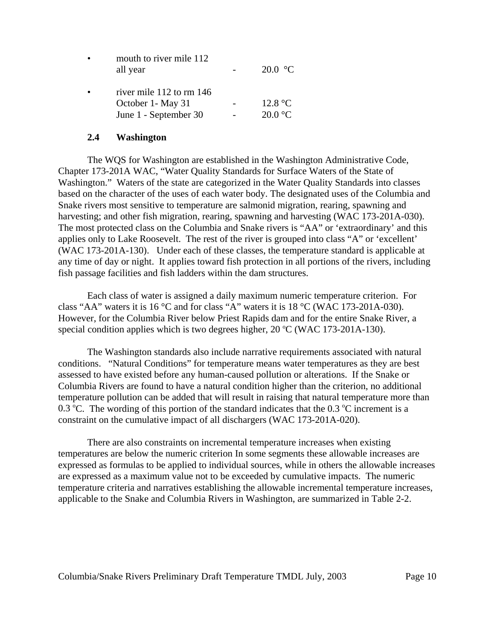| mouth to river mile 112<br>all year | 20.0 $\,^{\circ}\mathrm{C}$ |
|-------------------------------------|-----------------------------|
| river mile 112 to rm 146            |                             |
| October 1- May 31                   | 12.8 °C                     |
| June 1 - September 30               | $20.0 \degree C$            |

#### **2.4 Washington**

The WQS for Washington are established in the Washington Administrative Code, Chapter 173-201A WAC, "Water Quality Standards for Surface Waters of the State of Washington." Waters of the state are categorized in the Water Quality Standards into classes based on the character of the uses of each water body. The designated uses of the Columbia and Snake rivers most sensitive to temperature are salmonid migration, rearing, spawning and harvesting; and other fish migration, rearing, spawning and harvesting (WAC 173-201A-030). The most protected class on the Columbia and Snake rivers is "AA" or 'extraordinary' and this applies only to Lake Roosevelt. The rest of the river is grouped into class "A" or 'excellent' (WAC 173-201A-130). Under each of these classes, the temperature standard is applicable at any time of day or night. It applies toward fish protection in all portions of the rivers, including fish passage facilities and fish ladders within the dam structures.

Each class of water is assigned a daily maximum numeric temperature criterion. For class "AA" waters it is 16 °C and for class "A" waters it is 18 °C (WAC 173-201A-030). However, for the Columbia River below Priest Rapids dam and for the entire Snake River, a special condition applies which is two degrees higher,  $20\text{ °C}$  (WAC 173-201A-130).

The Washington standards also include narrative requirements associated with natural conditions. "Natural Conditions" for temperature means water temperatures as they are best assessed to have existed before any human-caused pollution or alterations. If the Snake or Columbia Rivers are found to have a natural condition higher than the criterion, no additional temperature pollution can be added that will result in raising that natural temperature more than 0.3 °C. The wording of this portion of the standard indicates that the 0.3 °C increment is a constraint on the cumulative impact of all dischargers (WAC 173-201A-020).

There are also constraints on incremental temperature increases when existing temperatures are below the numeric criterion In some segments these allowable increases are expressed as formulas to be applied to individual sources, while in others the allowable increases are expressed as a maximum value not to be exceeded by cumulative impacts. The numeric temperature criteria and narratives establishing the allowable incremental temperature increases, applicable to the Snake and Columbia Rivers in Washington, are summarized in Table 2-2.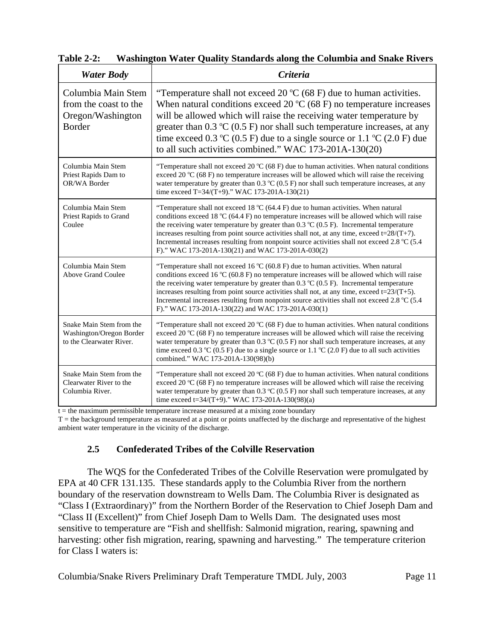| <b>Water Body</b>                                                                 | <b>Criteria</b>                                                                                                                                                                                                                                                                                                                                                                                                                                                                                                                                               |  |  |
|-----------------------------------------------------------------------------------|---------------------------------------------------------------------------------------------------------------------------------------------------------------------------------------------------------------------------------------------------------------------------------------------------------------------------------------------------------------------------------------------------------------------------------------------------------------------------------------------------------------------------------------------------------------|--|--|
| Columbia Main Stem<br>from the coast to the<br>Oregon/Washington<br><b>Border</b> | "Temperature shall not exceed 20 $\rm{°C}$ (68 F) due to human activities.<br>When natural conditions exceed 20 $\rm{°C}$ (68 F) no temperature increases<br>will be allowed which will raise the receiving water temperature by<br>greater than $0.3 \text{ }^{\circ}\text{C}$ (0.5 F) nor shall such temperature increases, at any<br>time exceed 0.3 °C (0.5 F) due to a single source or 1.1 °C (2.0 F) due<br>to all such activities combined." WAC 173-201A-130(20)                                                                                     |  |  |
| Columbia Main Stem<br>Priest Rapids Dam to<br>OR/WA Border                        | "Temperature shall not exceed 20 $^{\circ}$ C (68 F) due to human activities. When natural conditions<br>exceed 20 °C (68 F) no temperature increases will be allowed which will raise the receiving<br>water temperature by greater than $0.3 \degree C$ (0.5 F) nor shall such temperature increases, at any<br>time exceed T=34/(T+9)." WAC 173-201A-130(21)                                                                                                                                                                                               |  |  |
| Columbia Main Stem<br>Priest Rapids to Grand<br>Coulee                            | "Temperature shall not exceed 18 $\rm{°C}$ (64.4 F) due to human activities. When natural<br>conditions exceed 18 $^{\circ}$ C (64.4 F) no temperature increases will be allowed which will raise<br>the receiving water temperature by greater than 0.3 $\degree$ C (0.5 F). Incremental temperature<br>increases resulting from point source activities shall not, at any time, exceed $t=28/(T+7)$ .<br>Incremental increases resulting from nonpoint source activities shall not exceed 2.8 °C (5.4<br>F)." WAC 173-201A-130(21) and WAC 173-201A-030(2)  |  |  |
| Columbia Main Stem<br><b>Above Grand Coulee</b>                                   | "Temperature shall not exceed 16 $\degree$ C (60.8 F) due to human activities. When natural<br>conditions exceed 16 $\degree$ C (60.8 F) no temperature increases will be allowed which will raise<br>the receiving water temperature by greater than 0.3 $\degree$ C (0.5 F). Incremental temperature<br>increases resulting from point source activities shall not, at any time, exceed $t=23/(T+5)$ .<br>Incremental increases resulting from nonpoint source activities shall not exceed 2.8 °C (5.4<br>F)." WAC 173-201A-130(22) and WAC 173-201A-030(1) |  |  |
| Snake Main Stem from the<br>Washington/Oregon Border<br>to the Clearwater River.  | "Temperature shall not exceed 20 $^{\circ}$ C (68 F) due to human activities. When natural conditions<br>exceed 20 $^{\circ}$ C (68 F) no temperature increases will be allowed which will raise the receiving<br>water temperature by greater than $0.3 \text{ °C}$ (0.5 F) nor shall such temperature increases, at any<br>time exceed 0.3 °C (0.5 F) due to a single source or 1.1 °C (2.0 F) due to all such activities<br>combined." WAC 173-201A-130(98)(b)                                                                                             |  |  |
| Snake Main Stem from the<br>Clearwater River to the<br>Columbia River.            | "Temperature shall not exceed 20 $^{\circ}$ C (68 F) due to human activities. When natural conditions<br>exceed 20 $\rm{^{\circ}C}$ (68 F) no temperature increases will be allowed which will raise the receiving<br>water temperature by greater than $0.3 \text{ °C}$ (0.5 F) nor shall such temperature increases, at any<br>time exceed t=34/(T+9)." WAC 173-201A-130(98)(a)                                                                                                                                                                             |  |  |

**Table 2-2: Washington Water Quality Standards along the Columbia and Snake Rivers**

 $t =$  the maximum permissible temperature increase measured at a mixing zone boundary

T = the background temperature as measured at a point or points unaffected by the discharge and representative of the highest ambient water temperature in the vicinity of the discharge.

# **2.5 Confederated Tribes of the Colville Reservation**

The WQS for the Confederated Tribes of the Colville Reservation were promulgated by EPA at 40 CFR 131.135. These standards apply to the Columbia River from the northern boundary of the reservation downstream to Wells Dam. The Columbia River is designated as "Class I (Extraordinary)" from the Northern Border of the Reservation to Chief Joseph Dam and "Class II (Excellent)" from Chief Joseph Dam to Wells Dam. The designated uses most sensitive to temperature are "Fish and shellfish: Salmonid migration, rearing, spawning and harvesting: other fish migration, rearing, spawning and harvesting." The temperature criterion for Class I waters is: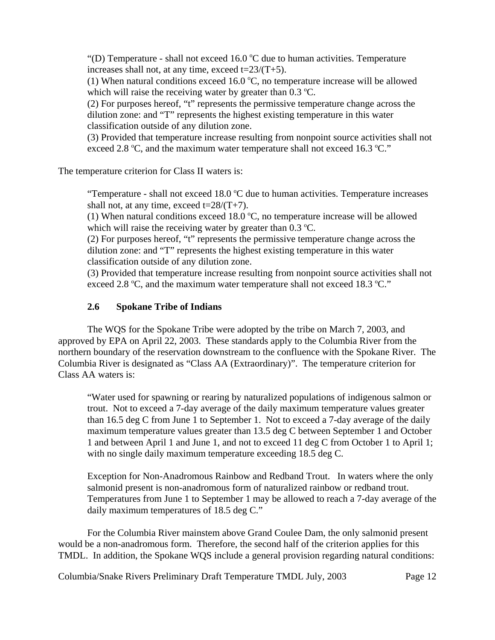"(D) Temperature - shall not exceed  $16.0$  °C due to human activities. Temperature increases shall not, at any time, exceed  $t=23/(T+5)$ .

(1) When natural conditions exceed 16.0  $^{\circ}$ C, no temperature increase will be allowed which will raise the receiving water by greater than  $0.3 \text{ }^{\circ}\text{C}$ .

(2) For purposes hereof, "t" represents the permissive temperature change across the dilution zone: and "T" represents the highest existing temperature in this water classification outside of any dilution zone.

(3) Provided that temperature increase resulting from nonpoint source activities shall not exceed 2.8 °C, and the maximum water temperature shall not exceed 16.3 °C."

The temperature criterion for Class II waters is:

"Temperature - shall not exceed  $18.0$  °C due to human activities. Temperature increases shall not, at any time, exceed  $t=28/(T+7)$ .

(1) When natural conditions exceed  $18.0$  °C, no temperature increase will be allowed which will raise the receiving water by greater than  $0.3 \degree C$ .

(2) For purposes hereof, "t" represents the permissive temperature change across the dilution zone: and "T" represents the highest existing temperature in this water classification outside of any dilution zone.

(3) Provided that temperature increase resulting from nonpoint source activities shall not exceed 2.8 °C, and the maximum water temperature shall not exceed 18.3 °C."

# **2.6 Spokane Tribe of Indians**

The WQS for the Spokane Tribe were adopted by the tribe on March 7, 2003, and approved by EPA on April 22, 2003. These standards apply to the Columbia River from the northern boundary of the reservation downstream to the confluence with the Spokane River. The Columbia River is designated as "Class AA (Extraordinary)". The temperature criterion for Class AA waters is:

"Water used for spawning or rearing by naturalized populations of indigenous salmon or trout. Not to exceed a 7-day average of the daily maximum temperature values greater than 16.5 deg C from June 1 to September 1. Not to exceed a 7-day average of the daily maximum temperature values greater than 13.5 deg C between September 1 and October 1 and between April 1 and June 1, and not to exceed 11 deg C from October 1 to April 1; with no single daily maximum temperature exceeding 18.5 deg C.

Exception for Non-Anadromous Rainbow and Redband Trout. In waters where the only salmonid present is non-anadromous form of naturalized rainbow or redband trout. Temperatures from June 1 to September 1 may be allowed to reach a 7-day average of the daily maximum temperatures of 18.5 deg C."

For the Columbia River mainstem above Grand Coulee Dam, the only salmonid present would be a non-anadromous form. Therefore, the second half of the criterion applies for this TMDL. In addition, the Spokane WQS include a general provision regarding natural conditions: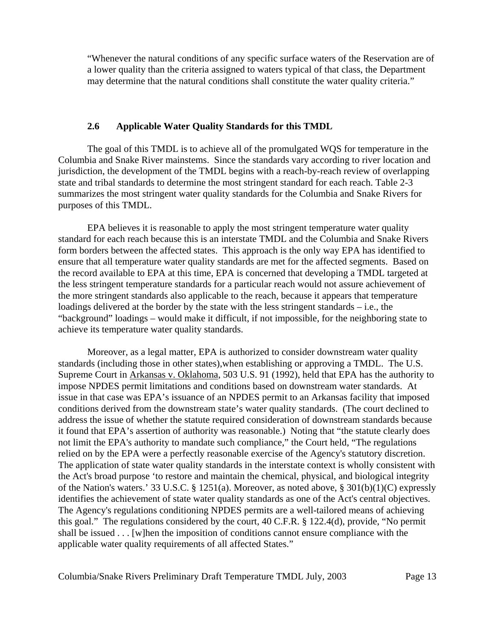"Whenever the natural conditions of any specific surface waters of the Reservation are of a lower quality than the criteria assigned to waters typical of that class, the Department may determine that the natural conditions shall constitute the water quality criteria."

### **2.6 Applicable Water Quality Standards for this TMDL**

The goal of this TMDL is to achieve all of the promulgated WQS for temperature in the Columbia and Snake River mainstems. Since the standards vary according to river location and jurisdiction, the development of the TMDL begins with a reach-by-reach review of overlapping state and tribal standards to determine the most stringent standard for each reach. Table 2-3 summarizes the most stringent water quality standards for the Columbia and Snake Rivers for purposes of this TMDL.

EPA believes it is reasonable to apply the most stringent temperature water quality standard for each reach because this is an interstate TMDL and the Columbia and Snake Rivers form borders between the affected states. This approach is the only way EPA has identified to ensure that all temperature water quality standards are met for the affected segments. Based on the record available to EPA at this time, EPA is concerned that developing a TMDL targeted at the less stringent temperature standards for a particular reach would not assure achievement of the more stringent standards also applicable to the reach, because it appears that temperature loadings delivered at the border by the state with the less stringent standards – i.e., the "background" loadings – would make it difficult, if not impossible, for the neighboring state to achieve its temperature water quality standards.

Moreover, as a legal matter, EPA is authorized to consider downstream water quality standards (including those in other states),when establishing or approving a TMDL. The U.S. Supreme Court in Arkansas v. Oklahoma, 503 U.S. 91 (1992), held that EPA has the authority to impose NPDES permit limitations and conditions based on downstream water standards. At issue in that case was EPA's issuance of an NPDES permit to an Arkansas facility that imposed conditions derived from the downstream state's water quality standards. (The court declined to address the issue of whether the statute required consideration of downstream standards because it found that EPA's assertion of authority was reasonable.) Noting that "the statute clearly does not limit the EPA's authority to mandate such compliance," the Court held, "The regulations relied on by the EPA were a perfectly reasonable exercise of the Agency's statutory discretion. The application of state water quality standards in the interstate context is wholly consistent with the Act's broad purpose 'to restore and maintain the chemical, physical, and biological integrity of the Nation's waters.' 33 U.S.C. § 1251(a). Moreover, as noted above, § 301(b)(1)(C) expressly identifies the achievement of state water quality standards as one of the Act's central objectives. The Agency's regulations conditioning NPDES permits are a well-tailored means of achieving this goal." The regulations considered by the court, 40 C.F.R. § 122.4(d), provide, "No permit shall be issued . . . [w]hen the imposition of conditions cannot ensure compliance with the applicable water quality requirements of all affected States."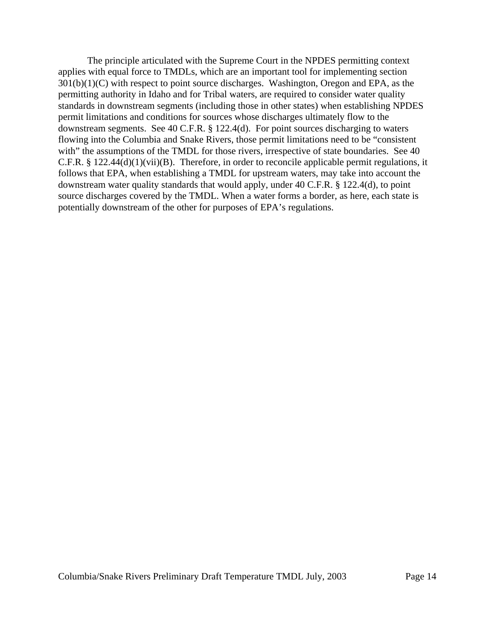The principle articulated with the Supreme Court in the NPDES permitting context applies with equal force to TMDLs, which are an important tool for implementing section  $301(b)(1)(C)$  with respect to point source discharges. Washington, Oregon and EPA, as the permitting authority in Idaho and for Tribal waters, are required to consider water quality standards in downstream segments (including those in other states) when establishing NPDES permit limitations and conditions for sources whose discharges ultimately flow to the downstream segments. See 40 C.F.R. § 122.4(d). For point sources discharging to waters flowing into the Columbia and Snake Rivers, those permit limitations need to be "consistent with" the assumptions of the TMDL for those rivers, irrespective of state boundaries. See 40 C.F.R. § 122.44(d)(1)(vii)(B). Therefore, in order to reconcile applicable permit regulations, it follows that EPA, when establishing a TMDL for upstream waters, may take into account the downstream water quality standards that would apply, under 40 C.F.R. § 122.4(d), to point source discharges covered by the TMDL. When a water forms a border, as here, each state is potentially downstream of the other for purposes of EPA's regulations.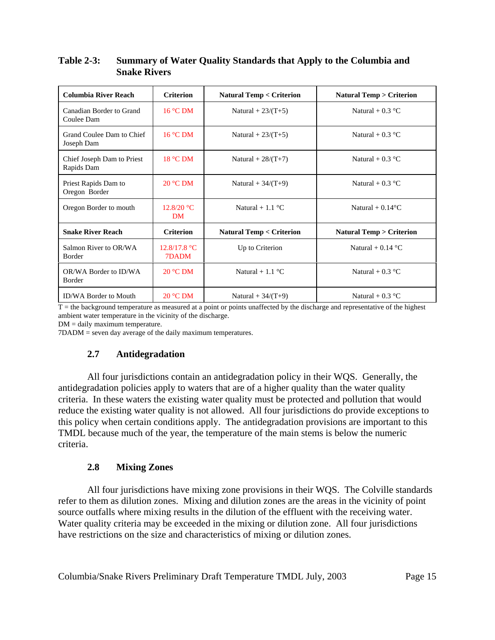| <b>Columbia River Reach</b>              | <b>Criterion</b>        | <b>Natural Temp &lt; Criterion</b> | <b>Natural Temp &gt; Criterion</b> |  |
|------------------------------------------|-------------------------|------------------------------------|------------------------------------|--|
| Canadian Border to Grand<br>Coulee Dam   | $16^{\circ}$ C DM       | Natural + $23/(T+5)$               | Natural + $0.3 \text{ °C}$         |  |
| Grand Coulee Dam to Chief<br>Joseph Dam  | $16^{\circ}$ C DM       | Natural + $23/(T+5)$               | Natural + $0.3 \text{ }^{\circ}C$  |  |
| Chief Joseph Dam to Priest<br>Rapids Dam | 18 °C DM                | Natural + $28/(T+7)$               | Natural + $0.3 \text{ °C}$         |  |
| Priest Rapids Dam to<br>Oregon Border    | $20 °C$ DM              | Natural + $34/(T+9)$               | Natural + $0.3$ °C                 |  |
| Oregon Border to mouth                   | 12.8/20 °C<br><b>DM</b> | Natural + $1.1 \text{ }^{\circ}C$  | Natural + $0.14$ <sup>o</sup> C    |  |
| <b>Snake River Reach</b>                 | <b>Criterion</b>        | <b>Natural Temp &lt; Criterion</b> | <b>Natural Temp &gt; Criterion</b> |  |
| Salmon River to OR/WA<br><b>Border</b>   | 12.8/17.8 °C<br>7DADM   | Up to Criterion                    | Natural + $0.14$ °C                |  |
| OR/WA Border to ID/WA<br>Border          | $20 °C$ DM              | Natural + $1.1 \text{ }^{\circ}C$  | Natural + $0.3 \text{ °C}$         |  |
| <b>ID/WA Border to Mouth</b>             | $20 °C$ DM              | Natural + $34/(T+9)$               | Natural + $0.3$ °C                 |  |

## **Table 2-3: Summary of Water Quality Standards that Apply to the Columbia and Snake Rivers**

 $T =$  the background temperature as measured at a point or points unaffected by the discharge and representative of the highest ambient water temperature in the vicinity of the discharge.

DM = daily maximum temperature.

7DADM = seven day average of the daily maximum temperatures.

# **2.7 Antidegradation**

All four jurisdictions contain an antidegradation policy in their WQS. Generally, the antidegradation policies apply to waters that are of a higher quality than the water quality criteria. In these waters the existing water quality must be protected and pollution that would reduce the existing water quality is not allowed. All four jurisdictions do provide exceptions to this policy when certain conditions apply. The antidegradation provisions are important to this TMDL because much of the year, the temperature of the main stems is below the numeric criteria.

# **2.8 Mixing Zones**

All four jurisdictions have mixing zone provisions in their WQS. The Colville standards refer to them as dilution zones. Mixing and dilution zones are the areas in the vicinity of point source outfalls where mixing results in the dilution of the effluent with the receiving water. Water quality criteria may be exceeded in the mixing or dilution zone. All four jurisdictions have restrictions on the size and characteristics of mixing or dilution zones.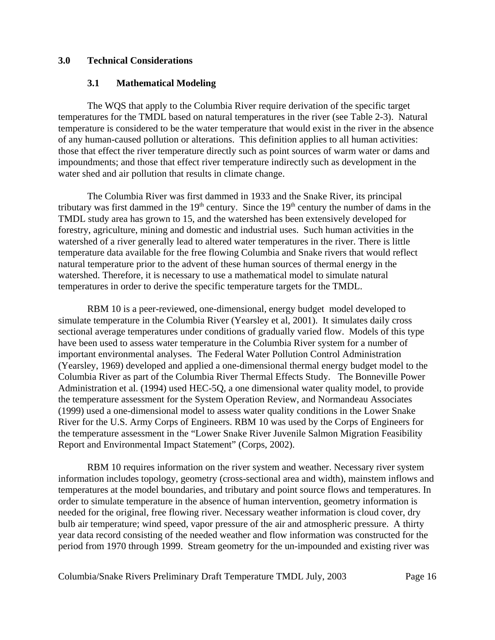## **3.0 Technical Considerations**

### **3.1 Mathematical Modeling**

The WQS that apply to the Columbia River require derivation of the specific target temperatures for the TMDL based on natural temperatures in the river (see Table 2-3). Natural temperature is considered to be the water temperature that would exist in the river in the absence of any human-caused pollution or alterations. This definition applies to all human activities: those that effect the river temperature directly such as point sources of warm water or dams and impoundments; and those that effect river temperature indirectly such as development in the water shed and air pollution that results in climate change.

The Columbia River was first dammed in 1933 and the Snake River, its principal tributary was first dammed in the 19<sup>th</sup> century. Since the 19<sup>th</sup> century the number of dams in the TMDL study area has grown to 15, and the watershed has been extensively developed for forestry, agriculture, mining and domestic and industrial uses. Such human activities in the watershed of a river generally lead to altered water temperatures in the river. There is little temperature data available for the free flowing Columbia and Snake rivers that would reflect natural temperature prior to the advent of these human sources of thermal energy in the watershed. Therefore, it is necessary to use a mathematical model to simulate natural temperatures in order to derive the specific temperature targets for the TMDL.

RBM 10 is a peer-reviewed, one-dimensional, energy budget model developed to simulate temperature in the Columbia River (Yearsley et al, 2001). It simulates daily cross sectional average temperatures under conditions of gradually varied flow. Models of this type have been used to assess water temperature in the Columbia River system for a number of important environmental analyses. The Federal Water Pollution Control Administration (Yearsley, 1969) developed and applied a one-dimensional thermal energy budget model to the Columbia River as part of the Columbia River Thermal Effects Study. The Bonneville Power Administration et al. (1994) used HEC-5Q, a one dimensional water quality model, to provide the temperature assessment for the System Operation Review, and Normandeau Associates (1999) used a one-dimensional model to assess water quality conditions in the Lower Snake River for the U.S. Army Corps of Engineers. RBM 10 was used by the Corps of Engineers for the temperature assessment in the "Lower Snake River Juvenile Salmon Migration Feasibility Report and Environmental Impact Statement" (Corps, 2002).

RBM 10 requires information on the river system and weather. Necessary river system information includes topology, geometry (cross-sectional area and width), mainstem inflows and temperatures at the model boundaries, and tributary and point source flows and temperatures. In order to simulate temperature in the absence of human intervention, geometry information is needed for the original, free flowing river. Necessary weather information is cloud cover, dry bulb air temperature; wind speed, vapor pressure of the air and atmospheric pressure. A thirty year data record consisting of the needed weather and flow information was constructed for the period from 1970 through 1999. Stream geometry for the un-impounded and existing river was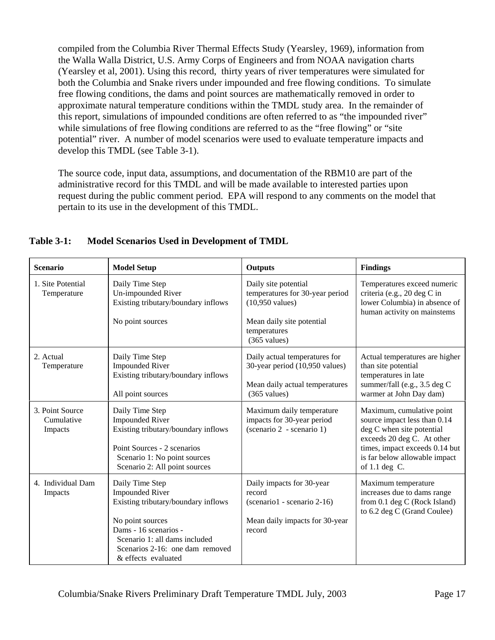compiled from the Columbia River Thermal Effects Study (Yearsley, 1969), information from the Walla Walla District, U.S. Army Corps of Engineers and from NOAA navigation charts (Yearsley et al, 2001). Using this record, thirty years of river temperatures were simulated for both the Columbia and Snake rivers under impounded and free flowing conditions. To simulate free flowing conditions, the dams and point sources are mathematically removed in order to approximate natural temperature conditions within the TMDL study area. In the remainder of this report, simulations of impounded conditions are often referred to as "the impounded river" while simulations of free flowing conditions are referred to as the "free flowing" or "site" potential" river. A number of model scenarios were used to evaluate temperature impacts and develop this TMDL (see Table 3-1).

The source code, input data, assumptions, and documentation of the RBM10 are part of the administrative record for this TMDL and will be made available to interested parties upon request during the public comment period. EPA will respond to any comments on the model that pertain to its use in the development of this TMDL.

| <b>Scenario</b>                          | <b>Model Setup</b>                                                                                                                                                                                                       | <b>Outputs</b>                                                                                                                                              | <b>Findings</b>                                                                                                                                                                                               |
|------------------------------------------|--------------------------------------------------------------------------------------------------------------------------------------------------------------------------------------------------------------------------|-------------------------------------------------------------------------------------------------------------------------------------------------------------|---------------------------------------------------------------------------------------------------------------------------------------------------------------------------------------------------------------|
| 1. Site Potential<br>Temperature         | Daily Time Step<br>Un-impounded River<br>Existing tributary/boundary inflows<br>No point sources                                                                                                                         | Daily site potential<br>temperatures for 30-year period<br>$(10,950 \text{ values})$<br>Mean daily site potential<br>temperatures<br>$(365 \text{ values})$ | Temperatures exceed numeric<br>criteria (e.g., 20 deg C in<br>lower Columbia) in absence of<br>human activity on mainstems                                                                                    |
| 2. Actual<br>Temperature                 | Daily Time Step<br><b>Impounded River</b><br>Existing tributary/boundary inflows<br>All point sources                                                                                                                    | Daily actual temperatures for<br>30-year period (10,950 values)<br>Mean daily actual temperatures<br>$(365 \text{ values})$                                 | Actual temperatures are higher<br>than site potential<br>temperatures in late<br>summer/fall (e.g., 3.5 deg C<br>warmer at John Day dam)                                                                      |
| 3. Point Source<br>Cumulative<br>Impacts | Daily Time Step<br><b>Impounded River</b><br>Existing tributary/boundary inflows<br>Point Sources - 2 scenarios<br>Scenario 1: No point sources<br>Scenario 2: All point sources                                         | Maximum daily temperature<br>impacts for 30-year period<br>(scenario 2 - scenario 1)                                                                        | Maximum, cumulative point<br>source impact less than 0.14<br>deg C when site potential<br>exceeds 20 deg C. At other<br>times, impact exceeds 0.14 but<br>is far below allowable impact<br>of $1.1$ deg $C$ . |
| 4. Individual Dam<br>Impacts             | Daily Time Step<br><b>Impounded River</b><br>Existing tributary/boundary inflows<br>No point sources<br>Dams - 16 scenarios -<br>Scenario 1: all dams included<br>Scenarios 2-16: one dam removed<br>& effects evaluated | Daily impacts for 30-year<br>record<br>(scenario 1 - scenario 2-16)<br>Mean daily impacts for 30-year<br>record                                             | Maximum temperature<br>increases due to dams range<br>from 0.1 deg C (Rock Island)<br>to 6.2 deg C (Grand Coulee)                                                                                             |

## **Table 3-1: Model Scenarios Used in Development of TMDL**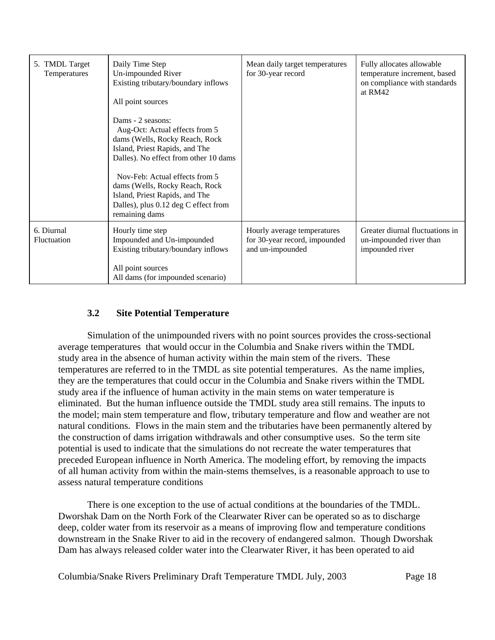| 5. TMDL Target<br>Temperatures   | Daily Time Step<br>Un-impounded River<br>Existing tributary/boundary inflows<br>All point sources<br>Dams - 2 seasons:<br>Aug-Oct: Actual effects from 5<br>dams (Wells, Rocky Reach, Rock<br>Island, Priest Rapids, and The<br>Dalles). No effect from other 10 dams<br>Nov-Feb: Actual effects from 5<br>dams (Wells, Rocky Reach, Rock<br>Island, Priest Rapids, and The<br>Dalles), plus 0.12 deg C effect from<br>remaining dams | Mean daily target temperatures<br>for 30-year record                             | Fully allocates allowable<br>temperature increment, based<br>on compliance with standards<br>at RM42 |
|----------------------------------|---------------------------------------------------------------------------------------------------------------------------------------------------------------------------------------------------------------------------------------------------------------------------------------------------------------------------------------------------------------------------------------------------------------------------------------|----------------------------------------------------------------------------------|------------------------------------------------------------------------------------------------------|
| 6. Diurnal<br><b>Fluctuation</b> | Hourly time step<br>Impounded and Un-impounded<br>Existing tributary/boundary inflows                                                                                                                                                                                                                                                                                                                                                 | Hourly average temperatures<br>for 30-year record, impounded<br>and un-impounded | Greater diurnal fluctuations in<br>un-impounded river than<br>impounded river                        |
|                                  | All point sources<br>All dams (for impounded scenario)                                                                                                                                                                                                                                                                                                                                                                                |                                                                                  |                                                                                                      |

## **3.2 Site Potential Temperature**

Simulation of the unimpounded rivers with no point sources provides the cross-sectional average temperatures that would occur in the Columbia and Snake rivers within the TMDL study area in the absence of human activity within the main stem of the rivers. These temperatures are referred to in the TMDL as site potential temperatures. As the name implies, they are the temperatures that could occur in the Columbia and Snake rivers within the TMDL study area if the influence of human activity in the main stems on water temperature is eliminated. But the human influence outside the TMDL study area still remains. The inputs to the model; main stem temperature and flow, tributary temperature and flow and weather are not natural conditions. Flows in the main stem and the tributaries have been permanently altered by the construction of dams irrigation withdrawals and other consumptive uses. So the term site potential is used to indicate that the simulations do not recreate the water temperatures that preceded European influence in North America. The modeling effort, by removing the impacts of all human activity from within the main-stems themselves, is a reasonable approach to use to assess natural temperature conditions

There is one exception to the use of actual conditions at the boundaries of the TMDL. Dworshak Dam on the North Fork of the Clearwater River can be operated so as to discharge deep, colder water from its reservoir as a means of improving flow and temperature conditions downstream in the Snake River to aid in the recovery of endangered salmon. Though Dworshak Dam has always released colder water into the Clearwater River, it has been operated to aid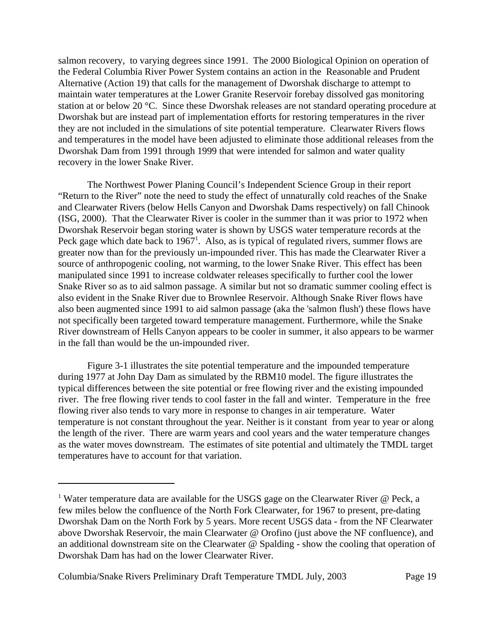salmon recovery, to varying degrees since 1991. The 2000 Biological Opinion on operation of the Federal Columbia River Power System contains an action in the Reasonable and Prudent Alternative (Action 19) that calls for the management of Dworshak discharge to attempt to maintain water temperatures at the Lower Granite Reservoir forebay dissolved gas monitoring station at or below 20 °C. Since these Dworshak releases are not standard operating procedure at Dworshak but are instead part of implementation efforts for restoring temperatures in the river they are not included in the simulations of site potential temperature. Clearwater Rivers flows and temperatures in the model have been adjusted to eliminate those additional releases from the Dworshak Dam from 1991 through 1999 that were intended for salmon and water quality recovery in the lower Snake River.

The Northwest Power Planing Council's Independent Science Group in their report "Return to the River" note the need to study the effect of unnaturally cold reaches of the Snake and Clearwater Rivers (below Hells Canyon and Dworshak Dams respectively) on fall Chinook (ISG, 2000). That the Clearwater River is cooler in the summer than it was prior to 1972 when Dworshak Reservoir began storing water is shown by USGS water temperature records at the Peck gage which date back to  $1967<sup>1</sup>$ . Also, as is typical of regulated rivers, summer flows are greater now than for the previously un-impounded river. This has made the Clearwater River a source of anthropogenic cooling, not warming, to the lower Snake River. This effect has been manipulated since 1991 to increase coldwater releases specifically to further cool the lower Snake River so as to aid salmon passage. A similar but not so dramatic summer cooling effect is also evident in the Snake River due to Brownlee Reservoir. Although Snake River flows have also been augmented since 1991 to aid salmon passage (aka the 'salmon flush') these flows have not specifically been targeted toward temperature management. Furthermore, while the Snake River downstream of Hells Canyon appears to be cooler in summer, it also appears to be warmer in the fall than would be the un-impounded river.

Figure 3-1 illustrates the site potential temperature and the impounded temperature during 1977 at John Day Dam as simulated by the RBM10 model. The figure illustrates the typical differences between the site potential or free flowing river and the existing impounded river. The free flowing river tends to cool faster in the fall and winter. Temperature in the free flowing river also tends to vary more in response to changes in air temperature. Water temperature is not constant throughout the year. Neither is it constant from year to year or along the length of the river. There are warm years and cool years and the water temperature changes as the water moves downstream. The estimates of site potential and ultimately the TMDL target temperatures have to account for that variation.

<sup>&</sup>lt;sup>1</sup> Water temperature data are available for the USGS gage on the Clearwater River  $\omega$  Peck, a few miles below the confluence of the North Fork Clearwater, for 1967 to present, pre-dating Dworshak Dam on the North Fork by 5 years. More recent USGS data - from the NF Clearwater above Dworshak Reservoir, the main Clearwater @ Orofino (just above the NF confluence), and an additional downstream site on the Clearwater @ Spalding - show the cooling that operation of Dworshak Dam has had on the lower Clearwater River.

Columbia/Snake Rivers Preliminary Draft Temperature TMDL July, 2003 Page 19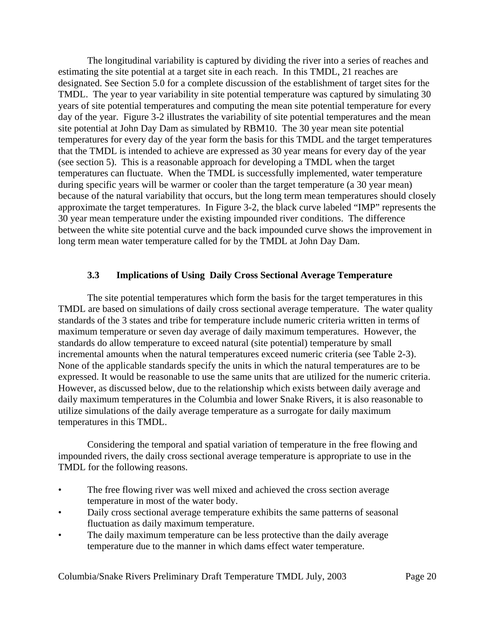The longitudinal variability is captured by dividing the river into a series of reaches and estimating the site potential at a target site in each reach. In this TMDL, 21 reaches are designated. See Section 5.0 for a complete discussion of the establishment of target sites for the TMDL. The year to year variability in site potential temperature was captured by simulating 30 years of site potential temperatures and computing the mean site potential temperature for every day of the year. Figure 3-2 illustrates the variability of site potential temperatures and the mean site potential at John Day Dam as simulated by RBM10. The 30 year mean site potential temperatures for every day of the year form the basis for this TMDL and the target temperatures that the TMDL is intended to achieve are expressed as 30 year means for every day of the year (see section 5). This is a reasonable approach for developing a TMDL when the target temperatures can fluctuate. When the TMDL is successfully implemented, water temperature during specific years will be warmer or cooler than the target temperature (a 30 year mean) because of the natural variability that occurs, but the long term mean temperatures should closely approximate the target temperatures. In Figure 3-2, the black curve labeled "IMP" represents the 30 year mean temperature under the existing impounded river conditions. The difference between the white site potential curve and the back impounded curve shows the improvement in long term mean water temperature called for by the TMDL at John Day Dam.

### **3.3 Implications of Using Daily Cross Sectional Average Temperature**

The site potential temperatures which form the basis for the target temperatures in this TMDL are based on simulations of daily cross sectional average temperature. The water quality standards of the 3 states and tribe for temperature include numeric criteria written in terms of maximum temperature or seven day average of daily maximum temperatures. However, the standards do allow temperature to exceed natural (site potential) temperature by small incremental amounts when the natural temperatures exceed numeric criteria (see Table 2-3). None of the applicable standards specify the units in which the natural temperatures are to be expressed. It would be reasonable to use the same units that are utilized for the numeric criteria. However, as discussed below, due to the relationship which exists between daily average and daily maximum temperatures in the Columbia and lower Snake Rivers, it is also reasonable to utilize simulations of the daily average temperature as a surrogate for daily maximum temperatures in this TMDL.

Considering the temporal and spatial variation of temperature in the free flowing and impounded rivers, the daily cross sectional average temperature is appropriate to use in the TMDL for the following reasons.

- The free flowing river was well mixed and achieved the cross section average temperature in most of the water body.
- Daily cross sectional average temperature exhibits the same patterns of seasonal fluctuation as daily maximum temperature.
- The daily maximum temperature can be less protective than the daily average temperature due to the manner in which dams effect water temperature.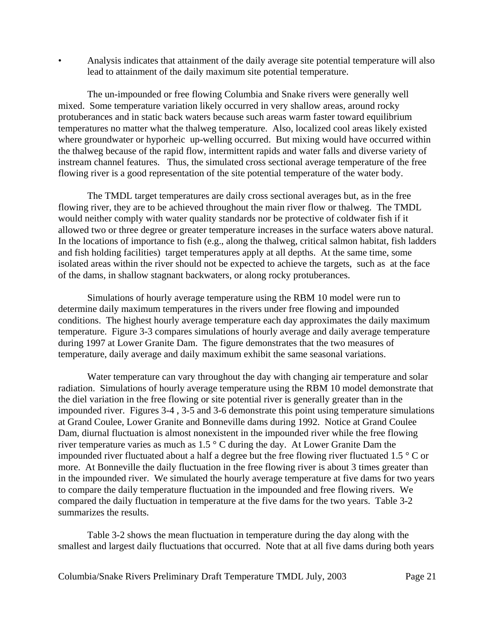• Analysis indicates that attainment of the daily average site potential temperature will also lead to attainment of the daily maximum site potential temperature.

The un-impounded or free flowing Columbia and Snake rivers were generally well mixed. Some temperature variation likely occurred in very shallow areas, around rocky protuberances and in static back waters because such areas warm faster toward equilibrium temperatures no matter what the thalweg temperature. Also, localized cool areas likely existed where groundwater or hyporheic up-welling occurred. But mixing would have occurred within the thalweg because of the rapid flow, intermittent rapids and water falls and diverse variety of instream channel features. Thus, the simulated cross sectional average temperature of the free flowing river is a good representation of the site potential temperature of the water body.

The TMDL target temperatures are daily cross sectional averages but, as in the free flowing river, they are to be achieved throughout the main river flow or thalweg. The TMDL would neither comply with water quality standards nor be protective of coldwater fish if it allowed two or three degree or greater temperature increases in the surface waters above natural. In the locations of importance to fish (e.g., along the thalweg, critical salmon habitat, fish ladders and fish holding facilities) target temperatures apply at all depths. At the same time, some isolated areas within the river should not be expected to achieve the targets, such as at the face of the dams, in shallow stagnant backwaters, or along rocky protuberances.

Simulations of hourly average temperature using the RBM 10 model were run to determine daily maximum temperatures in the rivers under free flowing and impounded conditions. The highest hourly average temperature each day approximates the daily maximum temperature. Figure 3-3 compares simulations of hourly average and daily average temperature during 1997 at Lower Granite Dam. The figure demonstrates that the two measures of temperature, daily average and daily maximum exhibit the same seasonal variations.

Water temperature can vary throughout the day with changing air temperature and solar radiation. Simulations of hourly average temperature using the RBM 10 model demonstrate that the diel variation in the free flowing or site potential river is generally greater than in the impounded river. Figures 3-4 , 3-5 and 3-6 demonstrate this point using temperature simulations at Grand Coulee, Lower Granite and Bonneville dams during 1992. Notice at Grand Coulee Dam, diurnal fluctuation is almost nonexistent in the impounded river while the free flowing river temperature varies as much as 1.5 ° C during the day. At Lower Granite Dam the impounded river fluctuated about a half a degree but the free flowing river fluctuated 1.5 ° C or more. At Bonneville the daily fluctuation in the free flowing river is about 3 times greater than in the impounded river. We simulated the hourly average temperature at five dams for two years to compare the daily temperature fluctuation in the impounded and free flowing rivers. We compared the daily fluctuation in temperature at the five dams for the two years. Table 3-2 summarizes the results.

Table 3-2 shows the mean fluctuation in temperature during the day along with the smallest and largest daily fluctuations that occurred. Note that at all five dams during both years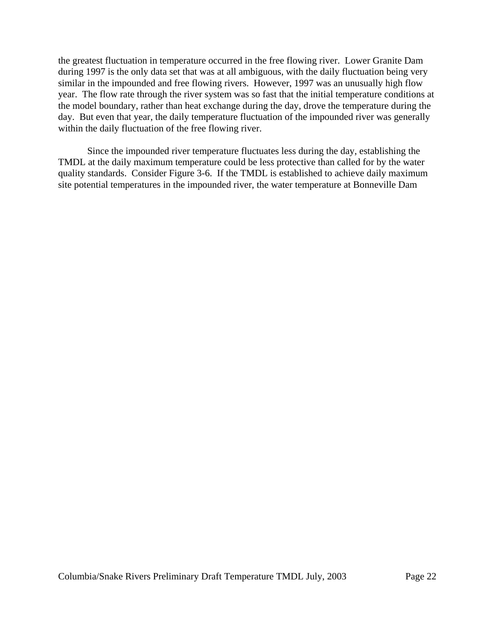the greatest fluctuation in temperature occurred in the free flowing river. Lower Granite Dam during 1997 is the only data set that was at all ambiguous, with the daily fluctuation being very similar in the impounded and free flowing rivers. However, 1997 was an unusually high flow year. The flow rate through the river system was so fast that the initial temperature conditions at the model boundary, rather than heat exchange during the day, drove the temperature during the day. But even that year, the daily temperature fluctuation of the impounded river was generally within the daily fluctuation of the free flowing river.

Since the impounded river temperature fluctuates less during the day, establishing the TMDL at the daily maximum temperature could be less protective than called for by the water quality standards. Consider Figure 3-6. If the TMDL is established to achieve daily maximum site potential temperatures in the impounded river, the water temperature at Bonneville Dam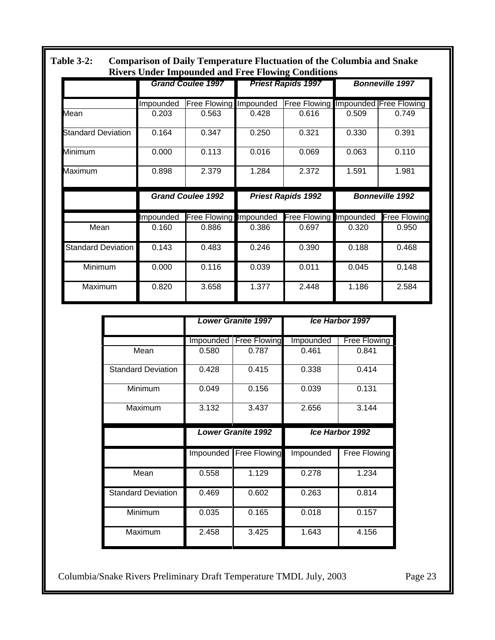| <b>Comparison of Daily Temperature Fluctuation of the Columbia and Snake</b><br><b>Table 3-2:</b><br><b>Rivers Under Impounded and Free Flowing Conditions</b> |           |                          |       |                                     |       |                        |
|----------------------------------------------------------------------------------------------------------------------------------------------------------------|-----------|--------------------------|-------|-------------------------------------|-------|------------------------|
|                                                                                                                                                                |           | <b>Grand Coulee 1997</b> |       | <b>Priest Rapids 1997</b>           |       | <b>Bonneville 1997</b> |
|                                                                                                                                                                | Impounded | Free Flowing Impounded   |       | Free Flowing Impounded Free Flowing |       |                        |
| Mean                                                                                                                                                           | 0.203     | 0.563                    | 0.428 | 0.616                               | 0.509 | 0.749                  |
| <b>Standard Deviation</b>                                                                                                                                      | 0.164     | 0.347                    | 0.250 | 0.321                               | 0.330 | 0.391                  |
| Minimum                                                                                                                                                        | 0.000     | 0.113                    | 0.016 | 0.069                               | 0.063 | 0.110                  |
| Maximum                                                                                                                                                        | 0.898     | 2.379                    | 1.284 | 2.372                               | 1.591 | 1.981                  |
|                                                                                                                                                                |           | <b>Grand Coulee 1992</b> |       | <b>Priest Rapids 1992</b>           |       | <b>Bonneville 1992</b> |
|                                                                                                                                                                | Impounded | Free Flowing Impounded   |       | Free Flowing Impounded              |       | <b>Free Flowing</b>    |
| Mean                                                                                                                                                           | 0.160     | 0.886                    | 0.386 | 0.697                               | 0.320 | 0.950                  |
| <b>Standard Deviation</b>                                                                                                                                      | 0.143     | 0.483                    | 0.246 | 0.390                               | 0.188 | 0.468                  |
| Minimum                                                                                                                                                        | 0.000     | 0.116                    | 0.039 | 0.011                               | 0.045 | 0.148                  |
| Maximum                                                                                                                                                        | 0.820     | 3.658                    | 1.377 | 2.448                               | 1.186 | 2.584                  |

|                           | <b>Lower Granite 1997</b> |                     |                 | <b>Ice Harbor 1997</b> |
|---------------------------|---------------------------|---------------------|-----------------|------------------------|
|                           | Impounded                 | <b>Free Flowing</b> | Impounded       | <b>Free Flowing</b>    |
| Mean                      | 0.580                     | 0.787               | 0.461           | 0.841                  |
| <b>Standard Deviation</b> | 0.428                     | 0.415               | 0.338           | 0.414                  |
| Minimum                   | 0.049                     | 0.156               | 0.039           | 0.131                  |
| Maximum                   | 3.132                     | 3.437               | 2.656           | 3.144                  |
|                           | <b>Lower Granite 1992</b> |                     | Ice Harbor 1992 |                        |
|                           |                           |                     |                 |                        |
|                           | Impounded                 | <b>Free Flowing</b> | Impounded       | Free Flowing           |
| Mean                      | 0.558                     | 1.129               | 0.278           | 1.234                  |
| <b>Standard Deviation</b> | 0.469                     | 0.602               | 0.263           | 0.814                  |
| Minimum                   | 0.035                     | 0.165               | 0.018           | 0.157                  |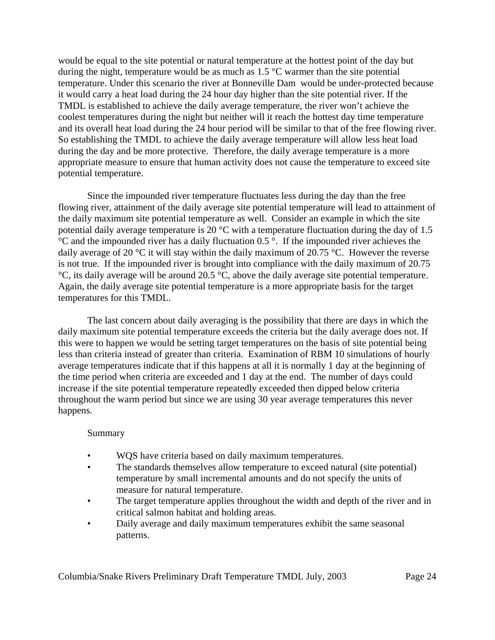would be equal to the site potential or natural temperature at the hottest point of the day but during the night, temperature would be as much as 1.5 °C warmer than the site potential temperature. Under this scenario the river at Bonneville Dam would be under-protected because it would carry a heat load during the 24 hour day higher than the site potential river. If the TMDL is established to achieve the daily average temperature, the river won't achieve the coolest temperatures during the night but neither will it reach the hottest day time temperature and its overall heat load during the 24 hour period will be similar to that of the free flowing river. So establishing the TMDL to achieve the daily average temperature will allow less heat load during the day and be more protective. Therefore, the daily average temperature is a more appropriate measure to ensure that human activity does not cause the temperature to exceed site potential temperature.

Since the impounded river temperature fluctuates less during the day than the free flowing river, attainment of the daily average site potential temperature will lead to attainment of the daily maximum site potential temperature as well. Consider an example in which the site potential daily average temperature is 20 °C with a temperature fluctuation during the day of 1.5  $\degree$ C and the impounded river has a daily fluctuation 0.5  $\degree$ . If the impounded river achieves the daily average of 20 °C it will stay within the daily maximum of 20.75 °C. However the reverse is not true. If the impounded river is brought into compliance with the daily maximum of 20.75 °C, its daily average will be around 20.5 °C, above the daily average site potential temperature. Again, the daily average site potential temperature is a more appropriate basis for the target temperatures for this TMDL.

The last concern about daily averaging is the possibility that there are days in which the daily maximum site potential temperature exceeds the criteria but the daily average does not. If this were to happen we would be setting target temperatures on the basis of site potential being less than criteria instead of greater than criteria. Examination of RBM 10 simulations of hourly average temperatures indicate that if this happens at all it is normally 1 day at the beginning of the time period when criteria are exceeded and 1 day at the end. The number of days could increase if the site potential temperature repeatedly exceeded then dipped below criteria throughout the warm period but since we are using 30 year average temperatures this never happens.

#### Summary

- WQS have criteria based on daily maximum temperatures.
- The standards themselves allow temperature to exceed natural (site potential) temperature by small incremental amounts and do not specify the units of measure for natural temperature.
- The target temperature applies throughout the width and depth of the river and in critical salmon habitat and holding areas.
- Daily average and daily maximum temperatures exhibit the same seasonal patterns.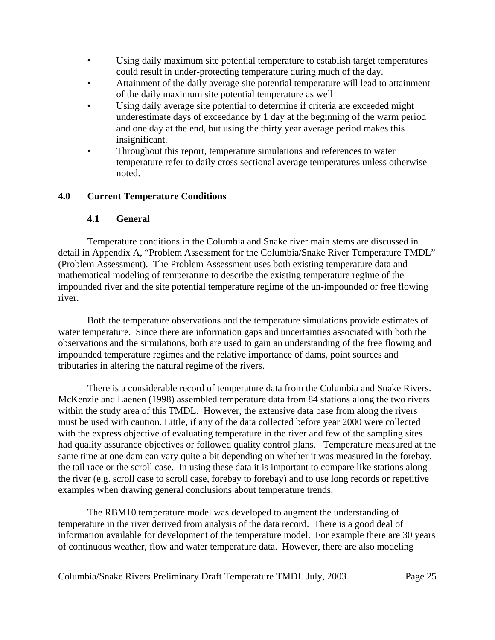- Using daily maximum site potential temperature to establish target temperatures could result in under-protecting temperature during much of the day.
- Attainment of the daily average site potential temperature will lead to attainment of the daily maximum site potential temperature as well
- Using daily average site potential to determine if criteria are exceeded might underestimate days of exceedance by 1 day at the beginning of the warm period and one day at the end, but using the thirty year average period makes this insignificant.
- Throughout this report, temperature simulations and references to water temperature refer to daily cross sectional average temperatures unless otherwise noted.

## **4.0 Current Temperature Conditions**

### **4.1 General**

Temperature conditions in the Columbia and Snake river main stems are discussed in detail in Appendix A, "Problem Assessment for the Columbia/Snake River Temperature TMDL" (Problem Assessment). The Problem Assessment uses both existing temperature data and mathematical modeling of temperature to describe the existing temperature regime of the impounded river and the site potential temperature regime of the un-impounded or free flowing river.

Both the temperature observations and the temperature simulations provide estimates of water temperature. Since there are information gaps and uncertainties associated with both the observations and the simulations, both are used to gain an understanding of the free flowing and impounded temperature regimes and the relative importance of dams, point sources and tributaries in altering the natural regime of the rivers.

There is a considerable record of temperature data from the Columbia and Snake Rivers. McKenzie and Laenen (1998) assembled temperature data from 84 stations along the two rivers within the study area of this TMDL. However, the extensive data base from along the rivers must be used with caution. Little, if any of the data collected before year 2000 were collected with the express objective of evaluating temperature in the river and few of the sampling sites had quality assurance objectives or followed quality control plans. Temperature measured at the same time at one dam can vary quite a bit depending on whether it was measured in the forebay, the tail race or the scroll case. In using these data it is important to compare like stations along the river (e.g. scroll case to scroll case, forebay to forebay) and to use long records or repetitive examples when drawing general conclusions about temperature trends.

The RBM10 temperature model was developed to augment the understanding of temperature in the river derived from analysis of the data record. There is a good deal of information available for development of the temperature model. For example there are 30 years of continuous weather, flow and water temperature data. However, there are also modeling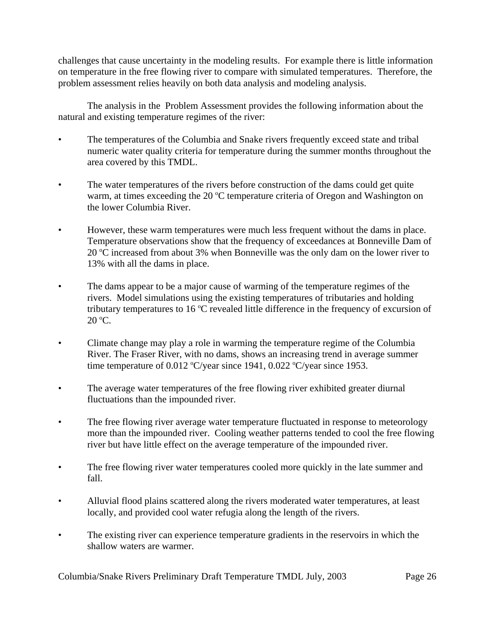challenges that cause uncertainty in the modeling results. For example there is little information on temperature in the free flowing river to compare with simulated temperatures. Therefore, the problem assessment relies heavily on both data analysis and modeling analysis.

The analysis in the Problem Assessment provides the following information about the natural and existing temperature regimes of the river:

- The temperatures of the Columbia and Snake rivers frequently exceed state and tribal numeric water quality criteria for temperature during the summer months throughout the area covered by this TMDL.
- The water temperatures of the rivers before construction of the dams could get quite warm, at times exceeding the 20 °C temperature criteria of Oregon and Washington on the lower Columbia River.
- However, these warm temperatures were much less frequent without the dams in place. Temperature observations show that the frequency of exceedances at Bonneville Dam of 20 °C increased from about 3% when Bonneville was the only dam on the lower river to 13% with all the dams in place.
- The dams appear to be a major cause of warming of the temperature regimes of the rivers. Model simulations using the existing temperatures of tributaries and holding tributary temperatures to 16  $\degree$ C revealed little difference in the frequency of excursion of 20 °C.
- Climate change may play a role in warming the temperature regime of the Columbia River. The Fraser River, with no dams, shows an increasing trend in average summer time temperature of  $0.012 \text{ °C/year}$  since 1941,  $0.022 \text{ °C/year}$  since 1953.
- The average water temperatures of the free flowing river exhibited greater diurnal fluctuations than the impounded river.
- The free flowing river average water temperature fluctuated in response to meteorology more than the impounded river. Cooling weather patterns tended to cool the free flowing river but have little effect on the average temperature of the impounded river.
- The free flowing river water temperatures cooled more quickly in the late summer and fall.
- Alluvial flood plains scattered along the rivers moderated water temperatures, at least locally, and provided cool water refugia along the length of the rivers.
- The existing river can experience temperature gradients in the reservoirs in which the shallow waters are warmer.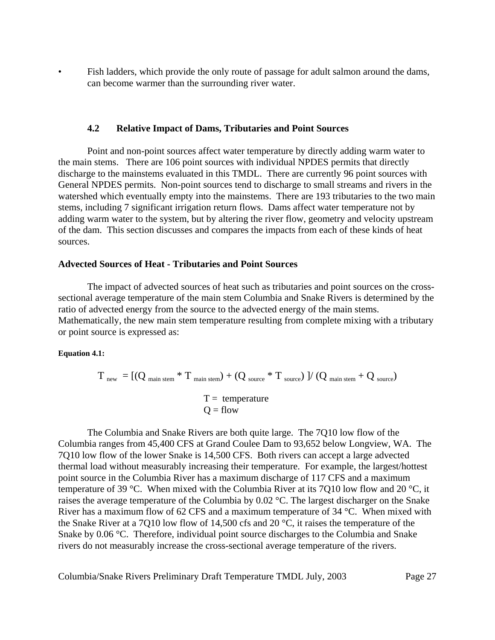Fish ladders, which provide the only route of passage for adult salmon around the dams, can become warmer than the surrounding river water.

#### **4.2 Relative Impact of Dams, Tributaries and Point Sources**

Point and non-point sources affect water temperature by directly adding warm water to the main stems. There are 106 point sources with individual NPDES permits that directly discharge to the mainstems evaluated in this TMDL. There are currently 96 point sources with General NPDES permits. Non-point sources tend to discharge to small streams and rivers in the watershed which eventually empty into the mainstems. There are 193 tributaries to the two main stems, including 7 significant irrigation return flows. Dams affect water temperature not by adding warm water to the system, but by altering the river flow, geometry and velocity upstream of the dam. This section discusses and compares the impacts from each of these kinds of heat sources.

#### **Advected Sources of Heat - Tributaries and Point Sources**

The impact of advected sources of heat such as tributaries and point sources on the crosssectional average temperature of the main stem Columbia and Snake Rivers is determined by the ratio of advected energy from the source to the advected energy of the main stems. Mathematically, the new main stem temperature resulting from complete mixing with a tributary or point source is expressed as:

#### **Equation 4.1:**

$$
T_{\text{new}} = [(Q_{\text{main stem}} * T_{\text{main stem}}) + (Q_{\text{source}} * T_{\text{source}})] / (Q_{\text{main stem}} + Q_{\text{source}})
$$

$$
T = \text{temperature}
$$

$$
Q = \text{flow}
$$

The Columbia and Snake Rivers are both quite large. The 7Q10 low flow of the Columbia ranges from 45,400 CFS at Grand Coulee Dam to 93,652 below Longview, WA. The 7Q10 low flow of the lower Snake is 14,500 CFS. Both rivers can accept a large advected thermal load without measurably increasing their temperature. For example, the largest/hottest point source in the Columbia River has a maximum discharge of 117 CFS and a maximum temperature of 39 °C. When mixed with the Columbia River at its 7Q10 low flow and 20 °C, it raises the average temperature of the Columbia by 0.02 °C. The largest discharger on the Snake River has a maximum flow of 62 CFS and a maximum temperature of 34 °C. When mixed with the Snake River at a 7Q10 low flow of 14,500 cfs and 20 °C, it raises the temperature of the Snake by 0.06 °C. Therefore, individual point source discharges to the Columbia and Snake rivers do not measurably increase the cross-sectional average temperature of the rivers.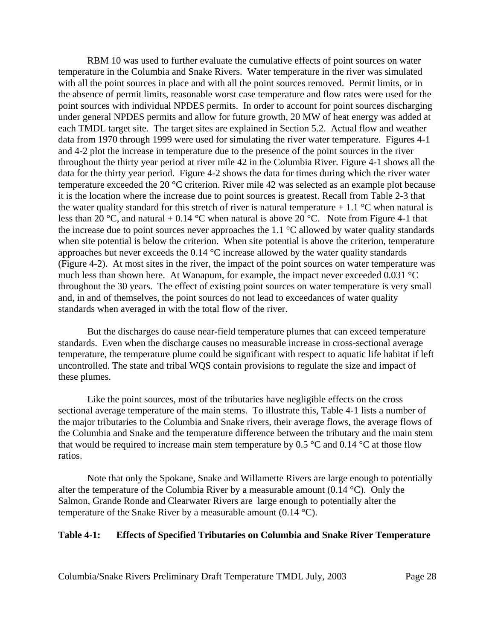RBM 10 was used to further evaluate the cumulative effects of point sources on water temperature in the Columbia and Snake Rivers. Water temperature in the river was simulated with all the point sources in place and with all the point sources removed. Permit limits, or in the absence of permit limits, reasonable worst case temperature and flow rates were used for the point sources with individual NPDES permits. In order to account for point sources discharging under general NPDES permits and allow for future growth, 20 MW of heat energy was added at each TMDL target site. The target sites are explained in Section 5.2. Actual flow and weather data from 1970 through 1999 were used for simulating the river water temperature. Figures 4-1 and 4-2 plot the increase in temperature due to the presence of the point sources in the river throughout the thirty year period at river mile 42 in the Columbia River. Figure 4-1 shows all the data for the thirty year period. Figure 4-2 shows the data for times during which the river water temperature exceeded the 20 °C criterion. River mile 42 was selected as an example plot because it is the location where the increase due to point sources is greatest. Recall from Table 2-3 that the water quality standard for this stretch of river is natural temperature  $+1.1 \degree C$  when natural is less than 20 °C, and natural + 0.14 °C when natural is above 20 °C. Note from Figure 4-1 that the increase due to point sources never approaches the 1.1 °C allowed by water quality standards when site potential is below the criterion. When site potential is above the criterion, temperature approaches but never exceeds the 0.14 °C increase allowed by the water quality standards (Figure 4-2). At most sites in the river, the impact of the point sources on water temperature was much less than shown here. At Wanapum, for example, the impact never exceeded 0.031 °C throughout the 30 years. The effect of existing point sources on water temperature is very small and, in and of themselves, the point sources do not lead to exceedances of water quality standards when averaged in with the total flow of the river.

But the discharges do cause near-field temperature plumes that can exceed temperature standards. Even when the discharge causes no measurable increase in cross-sectional average temperature, the temperature plume could be significant with respect to aquatic life habitat if left uncontrolled. The state and tribal WQS contain provisions to regulate the size and impact of these plumes.

Like the point sources, most of the tributaries have negligible effects on the cross sectional average temperature of the main stems. To illustrate this, Table 4-1 lists a number of the major tributaries to the Columbia and Snake rivers, their average flows, the average flows of the Columbia and Snake and the temperature difference between the tributary and the main stem that would be required to increase main stem temperature by 0.5  $\degree$ C and 0.14  $\degree$ C at those flow ratios.

Note that only the Spokane, Snake and Willamette Rivers are large enough to potentially alter the temperature of the Columbia River by a measurable amount (0.14 °C). Only the Salmon, Grande Ronde and Clearwater Rivers are large enough to potentially alter the temperature of the Snake River by a measurable amount  $(0.14 \text{ °C})$ .

### **Table 4-1: Effects of Specified Tributaries on Columbia and Snake River Temperature**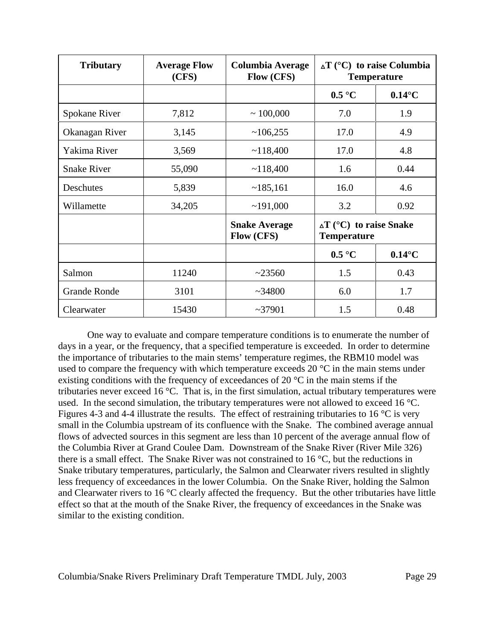| <b>Tributary</b>    | <b>Average Flow</b><br>(CFS) | Columbia Average<br><b>Flow (CFS)</b> | $\Delta T$ (°C) to raise Columbia<br><b>Temperature</b> |                  |
|---------------------|------------------------------|---------------------------------------|---------------------------------------------------------|------------------|
|                     |                              |                                       | $0.5\text{ °C}$                                         | $0.14^{\circ}$ C |
| Spokane River       | 7,812                        | $\sim 100,000$                        | 7.0                                                     | 1.9              |
| Okanagan River      | 3,145                        | ~106,255                              | 17.0                                                    | 4.9              |
| Yakima River        | 3,569                        | ~118,400                              | 17.0                                                    | 4.8              |
| <b>Snake River</b>  | 55,090                       | ~118,400                              | 1.6                                                     | 0.44             |
| Deschutes           | 5,839                        | ~185,161                              | 16.0                                                    | 4.6              |
| Willamette          | 34,205                       | ~191,000                              | 3.2                                                     | 0.92             |
|                     |                              | <b>Snake Average</b><br>Flow (CFS)    | $\Delta T$ (°C) to raise Snake<br><b>Temperature</b>    |                  |
|                     |                              |                                       | $0.5\text{ °C}$                                         | $0.14^{\circ}$ C |
| Salmon              | 11240                        | ~23560                                | 1.5                                                     | 0.43             |
| <b>Grande Ronde</b> | 3101                         | ~1.34800                              | 6.0                                                     | 1.7              |
| Clearwater          | 15430                        | ~237901                               | 1.5                                                     | 0.48             |

One way to evaluate and compare temperature conditions is to enumerate the number of days in a year, or the frequency, that a specified temperature is exceeded. In order to determine the importance of tributaries to the main stems' temperature regimes, the RBM10 model was used to compare the frequency with which temperature exceeds 20 °C in the main stems under existing conditions with the frequency of exceedances of 20 °C in the main stems if the tributaries never exceed 16 °C. That is, in the first simulation, actual tributary temperatures were used. In the second simulation, the tributary temperatures were not allowed to exceed 16 °C. Figures 4-3 and 4-4 illustrate the results. The effect of restraining tributaries to 16 °C is very small in the Columbia upstream of its confluence with the Snake. The combined average annual flows of advected sources in this segment are less than 10 percent of the average annual flow of the Columbia River at Grand Coulee Dam. Downstream of the Snake River (River Mile 326) there is a small effect. The Snake River was not constrained to  $16 \degree C$ , but the reductions in Snake tributary temperatures, particularly, the Salmon and Clearwater rivers resulted in slightly less frequency of exceedances in the lower Columbia. On the Snake River, holding the Salmon and Clearwater rivers to 16 °C clearly affected the frequency. But the other tributaries have little effect so that at the mouth of the Snake River, the frequency of exceedances in the Snake was similar to the existing condition.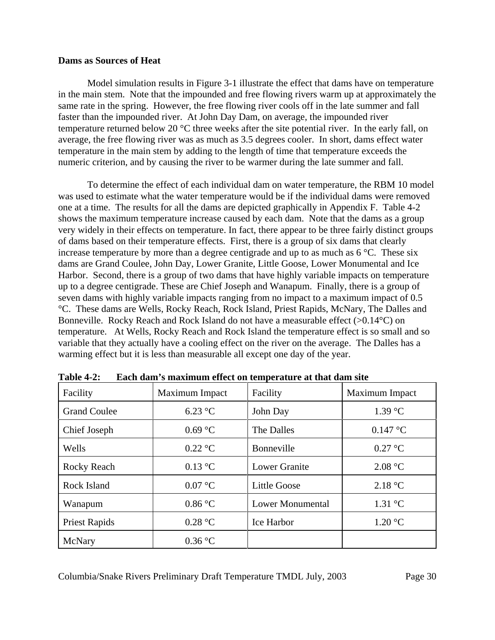#### **Dams as Sources of Heat**

Model simulation results in Figure 3-1 illustrate the effect that dams have on temperature in the main stem. Note that the impounded and free flowing rivers warm up at approximately the same rate in the spring. However, the free flowing river cools off in the late summer and fall faster than the impounded river. At John Day Dam, on average, the impounded river temperature returned below 20 °C three weeks after the site potential river. In the early fall, on average, the free flowing river was as much as 3.5 degrees cooler. In short, dams effect water temperature in the main stem by adding to the length of time that temperature exceeds the numeric criterion, and by causing the river to be warmer during the late summer and fall.

To determine the effect of each individual dam on water temperature, the RBM 10 model was used to estimate what the water temperature would be if the individual dams were removed one at a time. The results for all the dams are depicted graphically in Appendix F. Table 4-2 shows the maximum temperature increase caused by each dam. Note that the dams as a group very widely in their effects on temperature. In fact, there appear to be three fairly distinct groups of dams based on their temperature effects. First, there is a group of six dams that clearly increase temperature by more than a degree centigrade and up to as much as 6 °C. These six dams are Grand Coulee, John Day, Lower Granite, Little Goose, Lower Monumental and Ice Harbor. Second, there is a group of two dams that have highly variable impacts on temperature up to a degree centigrade. These are Chief Joseph and Wanapum. Finally, there is a group of seven dams with highly variable impacts ranging from no impact to a maximum impact of 0.5 °C. These dams are Wells, Rocky Reach, Rock Island, Priest Rapids, McNary, The Dalles and Bonneville. Rocky Reach and Rock Island do not have a measurable effect  $(>0.14\degree C)$  on temperature. At Wells, Rocky Reach and Rock Island the temperature effect is so small and so variable that they actually have a cooling effect on the river on the average. The Dalles has a warming effect but it is less than measurable all except one day of the year.

| Facility             | Maximum Impact   | Facility             | Maximum Impact    |
|----------------------|------------------|----------------------|-------------------|
| <b>Grand Coulee</b>  | $6.23$ °C        | John Day             | 1.39 °C           |
| Chief Joseph         | $0.69$ °C        | The Dalles           | $0.147$ °C        |
| Wells                | $0.22$ °C        | <b>Bonneville</b>    | $0.27$ °C         |
| Rocky Reach          | $0.13$ °C        | <b>Lower Granite</b> | 2.08 °C           |
| Rock Island          | $0.07$ °C        | <b>Little Goose</b>  | 2.18 °C           |
| Wanapum              | $0.86\text{ °C}$ | Lower Monumental     | $1.31 \text{ °C}$ |
| <b>Priest Rapids</b> | 0.28 °C          | <b>Ice Harbor</b>    | 1.20 °C           |
| McNary               | $0.36$ °C        |                      |                   |

**Table 4-2: Each dam's maximum effect on temperature at that dam site**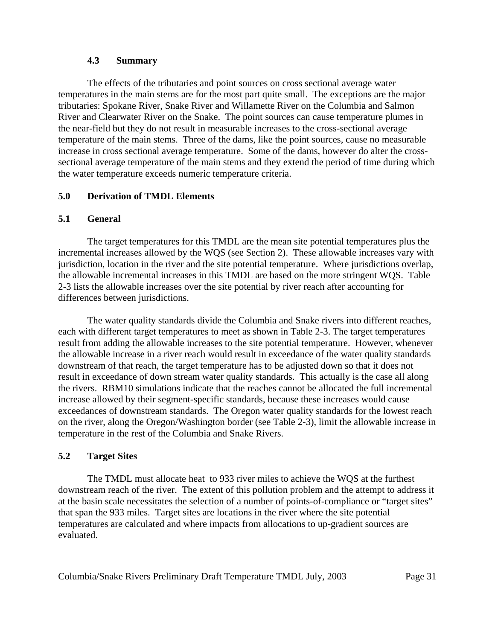### **4.3 Summary**

The effects of the tributaries and point sources on cross sectional average water temperatures in the main stems are for the most part quite small. The exceptions are the major tributaries: Spokane River, Snake River and Willamette River on the Columbia and Salmon River and Clearwater River on the Snake. The point sources can cause temperature plumes in the near-field but they do not result in measurable increases to the cross-sectional average temperature of the main stems. Three of the dams, like the point sources, cause no measurable increase in cross sectional average temperature. Some of the dams, however do alter the crosssectional average temperature of the main stems and they extend the period of time during which the water temperature exceeds numeric temperature criteria.

## **5.0 Derivation of TMDL Elements**

## **5.1 General**

The target temperatures for this TMDL are the mean site potential temperatures plus the incremental increases allowed by the WQS (see Section 2). These allowable increases vary with jurisdiction, location in the river and the site potential temperature. Where jurisdictions overlap, the allowable incremental increases in this TMDL are based on the more stringent WQS. Table 2-3 lists the allowable increases over the site potential by river reach after accounting for differences between jurisdictions.

The water quality standards divide the Columbia and Snake rivers into different reaches, each with different target temperatures to meet as shown in Table 2-3. The target temperatures result from adding the allowable increases to the site potential temperature. However, whenever the allowable increase in a river reach would result in exceedance of the water quality standards downstream of that reach, the target temperature has to be adjusted down so that it does not result in exceedance of down stream water quality standards. This actually is the case all along the rivers. RBM10 simulations indicate that the reaches cannot be allocated the full incremental increase allowed by their segment-specific standards, because these increases would cause exceedances of downstream standards. The Oregon water quality standards for the lowest reach on the river, along the Oregon/Washington border (see Table 2-3), limit the allowable increase in temperature in the rest of the Columbia and Snake Rivers.

### **5.2 Target Sites**

The TMDL must allocate heat to 933 river miles to achieve the WQS at the furthest downstream reach of the river. The extent of this pollution problem and the attempt to address it at the basin scale necessitates the selection of a number of points-of-compliance or "target sites" that span the 933 miles. Target sites are locations in the river where the site potential temperatures are calculated and where impacts from allocations to up-gradient sources are evaluated.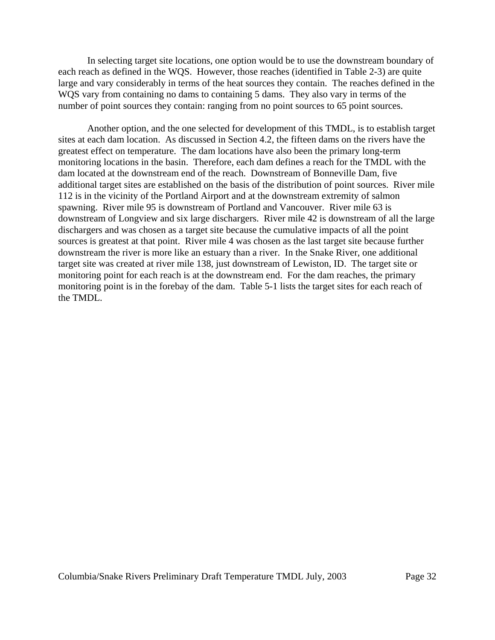In selecting target site locations, one option would be to use the downstream boundary of each reach as defined in the WQS. However, those reaches (identified in Table 2-3) are quite large and vary considerably in terms of the heat sources they contain. The reaches defined in the WQS vary from containing no dams to containing 5 dams. They also vary in terms of the number of point sources they contain: ranging from no point sources to 65 point sources.

Another option, and the one selected for development of this TMDL, is to establish target sites at each dam location. As discussed in Section 4.2, the fifteen dams on the rivers have the greatest effect on temperature. The dam locations have also been the primary long-term monitoring locations in the basin. Therefore, each dam defines a reach for the TMDL with the dam located at the downstream end of the reach. Downstream of Bonneville Dam, five additional target sites are established on the basis of the distribution of point sources. River mile 112 is in the vicinity of the Portland Airport and at the downstream extremity of salmon spawning. River mile 95 is downstream of Portland and Vancouver. River mile 63 is downstream of Longview and six large dischargers. River mile 42 is downstream of all the large dischargers and was chosen as a target site because the cumulative impacts of all the point sources is greatest at that point. River mile 4 was chosen as the last target site because further downstream the river is more like an estuary than a river. In the Snake River, one additional target site was created at river mile 138, just downstream of Lewiston, ID. The target site or monitoring point for each reach is at the downstream end. For the dam reaches, the primary monitoring point is in the forebay of the dam. Table 5-1 lists the target sites for each reach of the TMDL.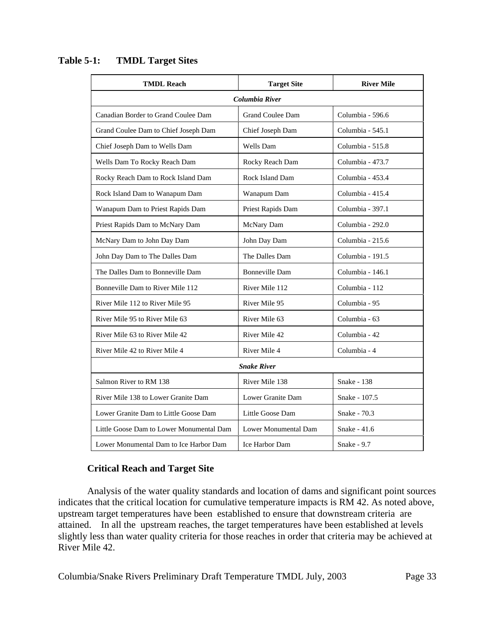| <b>TMDL Reach</b>                        | <b>Target Site</b>      | <b>River Mile</b>  |  |  |  |
|------------------------------------------|-------------------------|--------------------|--|--|--|
| Columbia River                           |                         |                    |  |  |  |
| Canadian Border to Grand Coulee Dam      | <b>Grand Coulee Dam</b> | Columbia - 596.6   |  |  |  |
| Grand Coulee Dam to Chief Joseph Dam     | Chief Joseph Dam        | Columbia - 545.1   |  |  |  |
| Chief Joseph Dam to Wells Dam            | Wells Dam               | Columbia - 515.8   |  |  |  |
| Wells Dam To Rocky Reach Dam             | Rocky Reach Dam         | Columbia - 473.7   |  |  |  |
| Rocky Reach Dam to Rock Island Dam       | Rock Island Dam         | Columbia - 453.4   |  |  |  |
| Rock Island Dam to Wanapum Dam           | Wanapum Dam             | Columbia - 415.4   |  |  |  |
| Wanapum Dam to Priest Rapids Dam         | Priest Rapids Dam       | Columbia - 397.1   |  |  |  |
| Priest Rapids Dam to McNary Dam          | McNary Dam              | Columbia - 292.0   |  |  |  |
| McNary Dam to John Day Dam               | John Day Dam            | Columbia - 215.6   |  |  |  |
| John Day Dam to The Dalles Dam           | The Dalles Dam          | Columbia - 191.5   |  |  |  |
| The Dalles Dam to Bonneville Dam         | <b>Bonneville Dam</b>   | Columbia - 146.1   |  |  |  |
| Bonneville Dam to River Mile 112         | River Mile 112          | Columbia - 112     |  |  |  |
| River Mile 112 to River Mile 95          | River Mile 95           | Columbia - 95      |  |  |  |
| River Mile 95 to River Mile 63           | River Mile 63           | Columbia - 63      |  |  |  |
| River Mile 63 to River Mile 42           | River Mile 42           | Columbia - 42      |  |  |  |
| River Mile 42 to River Mile 4            | River Mile 4            | Columbia - 4       |  |  |  |
|                                          | <b>Snake River</b>      |                    |  |  |  |
| Salmon River to RM 138                   | River Mile 138          | Snake - 138        |  |  |  |
| River Mile 138 to Lower Granite Dam      | Lower Granite Dam       | Snake - 107.5      |  |  |  |
| Lower Granite Dam to Little Goose Dam    | Little Goose Dam        | Snake - 70.3       |  |  |  |
| Little Goose Dam to Lower Monumental Dam | Lower Monumental Dam    | Snake - 41.6       |  |  |  |
| Lower Monumental Dam to Ice Harbor Dam   | Ice Harbor Dam          | <b>Snake - 9.7</b> |  |  |  |

**Table 5-1: TMDL Target Sites**

### **Critical Reach and Target Site**

Analysis of the water quality standards and location of dams and significant point sources indicates that the critical location for cumulative temperature impacts is RM 42. As noted above, upstream target temperatures have been established to ensure that downstream criteria are attained. In all the upstream reaches, the target temperatures have been established at levels slightly less than water quality criteria for those reaches in order that criteria may be achieved at River Mile 42.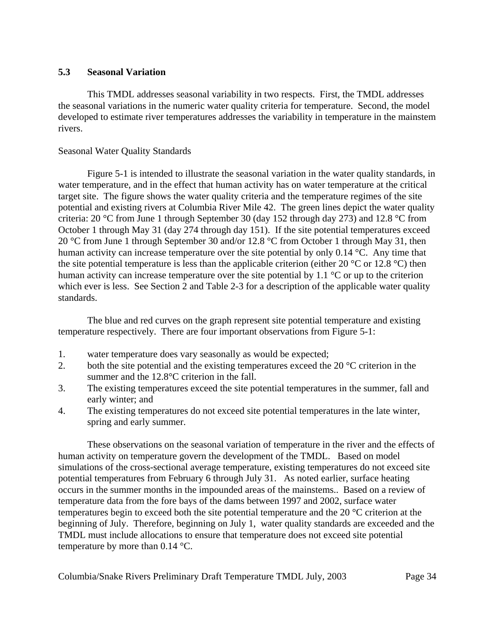## **5.3 Seasonal Variation**

This TMDL addresses seasonal variability in two respects. First, the TMDL addresses the seasonal variations in the numeric water quality criteria for temperature. Second, the model developed to estimate river temperatures addresses the variability in temperature in the mainstem rivers.

## Seasonal Water Quality Standards

Figure 5-1 is intended to illustrate the seasonal variation in the water quality standards, in water temperature, and in the effect that human activity has on water temperature at the critical target site. The figure shows the water quality criteria and the temperature regimes of the site potential and existing rivers at Columbia River Mile 42. The green lines depict the water quality criteria: 20 °C from June 1 through September 30 (day 152 through day 273) and 12.8 °C from October 1 through May 31 (day 274 through day 151). If the site potential temperatures exceed 20 °C from June 1 through September 30 and/or 12.8 °C from October 1 through May 31, then human activity can increase temperature over the site potential by only 0.14 °C. Any time that the site potential temperature is less than the applicable criterion (either 20  $\degree$ C or 12.8  $\degree$ C) then human activity can increase temperature over the site potential by 1.1 °C or up to the criterion which ever is less. See Section 2 and Table 2-3 for a description of the applicable water quality standards.

The blue and red curves on the graph represent site potential temperature and existing temperature respectively. There are four important observations from Figure 5-1:

- 1. water temperature does vary seasonally as would be expected;
- 2. both the site potential and the existing temperatures exceed the 20 °C criterion in the summer and the 12.8°C criterion in the fall.
- 3. The existing temperatures exceed the site potential temperatures in the summer, fall and early winter; and
- 4. The existing temperatures do not exceed site potential temperatures in the late winter, spring and early summer.

These observations on the seasonal variation of temperature in the river and the effects of human activity on temperature govern the development of the TMDL. Based on model simulations of the cross-sectional average temperature, existing temperatures do not exceed site potential temperatures from February 6 through July 31. As noted earlier, surface heating occurs in the summer months in the impounded areas of the mainstems.. Based on a review of temperature data from the fore bays of the dams between 1997 and 2002, surface water temperatures begin to exceed both the site potential temperature and the 20 °C criterion at the beginning of July. Therefore, beginning on July 1, water quality standards are exceeded and the TMDL must include allocations to ensure that temperature does not exceed site potential temperature by more than 0.14 °C.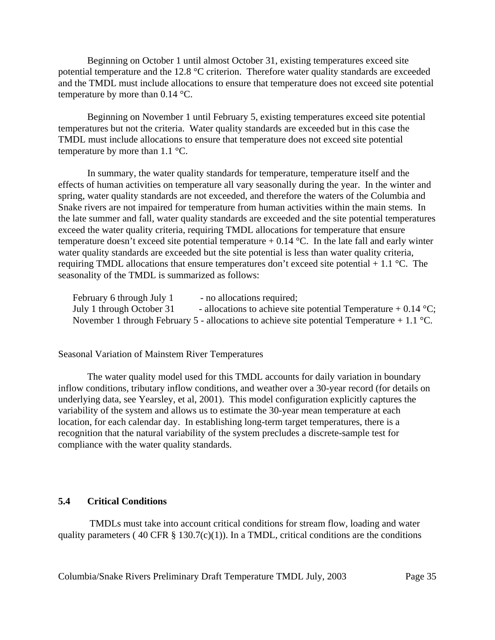Beginning on October 1 until almost October 31, existing temperatures exceed site potential temperature and the 12.8 °C criterion. Therefore water quality standards are exceeded and the TMDL must include allocations to ensure that temperature does not exceed site potential temperature by more than 0.14 °C.

Beginning on November 1 until February 5, existing temperatures exceed site potential temperatures but not the criteria. Water quality standards are exceeded but in this case the TMDL must include allocations to ensure that temperature does not exceed site potential temperature by more than 1.1 °C.

In summary, the water quality standards for temperature, temperature itself and the effects of human activities on temperature all vary seasonally during the year. In the winter and spring, water quality standards are not exceeded, and therefore the waters of the Columbia and Snake rivers are not impaired for temperature from human activities within the main stems. In the late summer and fall, water quality standards are exceeded and the site potential temperatures exceed the water quality criteria, requiring TMDL allocations for temperature that ensure temperature doesn't exceed site potential temperature  $+ 0.14$  °C. In the late fall and early winter water quality standards are exceeded but the site potential is less than water quality criteria, requiring TMDL allocations that ensure temperatures don't exceed site potential  $+1.1$  °C. The seasonality of the TMDL is summarized as follows:

| February 6 through July 1 | - no allocations required;                                                                            |
|---------------------------|-------------------------------------------------------------------------------------------------------|
| July 1 through October 31 | - allocations to achieve site potential Temperature + 0.14 $\,^{\circ}\text{C}$ ;                     |
|                           | November 1 through February 5 - allocations to achieve site potential Temperature + 1.1 $^{\circ}$ C. |

Seasonal Variation of Mainstem River Temperatures

The water quality model used for this TMDL accounts for daily variation in boundary inflow conditions, tributary inflow conditions, and weather over a 30-year record (for details on underlying data, see Yearsley, et al, 2001). This model configuration explicitly captures the variability of the system and allows us to estimate the 30-year mean temperature at each location, for each calendar day. In establishing long-term target temperatures, there is a recognition that the natural variability of the system precludes a discrete-sample test for compliance with the water quality standards.

#### **5.4 Critical Conditions**

 TMDLs must take into account critical conditions for stream flow, loading and water quality parameters (40 CFR  $\S$  130.7(c)(1)). In a TMDL, critical conditions are the conditions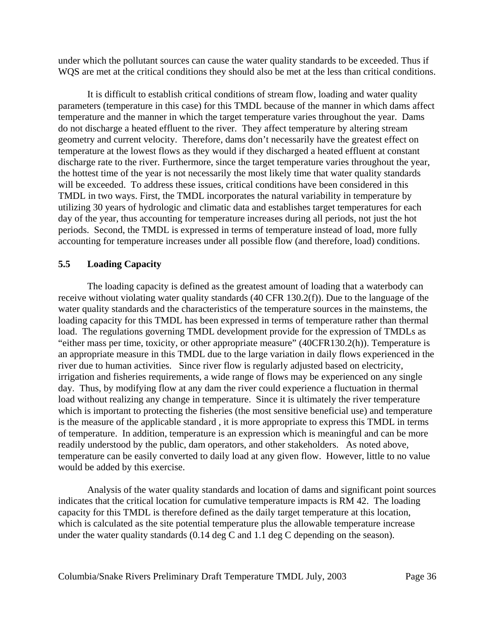under which the pollutant sources can cause the water quality standards to be exceeded. Thus if WOS are met at the critical conditions they should also be met at the less than critical conditions.

It is difficult to establish critical conditions of stream flow, loading and water quality parameters (temperature in this case) for this TMDL because of the manner in which dams affect temperature and the manner in which the target temperature varies throughout the year. Dams do not discharge a heated effluent to the river. They affect temperature by altering stream geometry and current velocity. Therefore, dams don't necessarily have the greatest effect on temperature at the lowest flows as they would if they discharged a heated effluent at constant discharge rate to the river. Furthermore, since the target temperature varies throughout the year, the hottest time of the year is not necessarily the most likely time that water quality standards will be exceeded. To address these issues, critical conditions have been considered in this TMDL in two ways. First, the TMDL incorporates the natural variability in temperature by utilizing 30 years of hydrologic and climatic data and establishes target temperatures for each day of the year, thus accounting for temperature increases during all periods, not just the hot periods. Second, the TMDL is expressed in terms of temperature instead of load, more fully accounting for temperature increases under all possible flow (and therefore, load) conditions.

### **5.5 Loading Capacity**

The loading capacity is defined as the greatest amount of loading that a waterbody can receive without violating water quality standards (40 CFR 130.2(f)). Due to the language of the water quality standards and the characteristics of the temperature sources in the mainstems, the loading capacity for this TMDL has been expressed in terms of temperature rather than thermal load. The regulations governing TMDL development provide for the expression of TMDLs as "either mass per time, toxicity, or other appropriate measure" (40CFR130.2(h)). Temperature is an appropriate measure in this TMDL due to the large variation in daily flows experienced in the river due to human activities. Since river flow is regularly adjusted based on electricity, irrigation and fisheries requirements, a wide range of flows may be experienced on any single day. Thus, by modifying flow at any dam the river could experience a fluctuation in thermal load without realizing any change in temperature. Since it is ultimately the river temperature which is important to protecting the fisheries (the most sensitive beneficial use) and temperature is the measure of the applicable standard , it is more appropriate to express this TMDL in terms of temperature. In addition, temperature is an expression which is meaningful and can be more readily understood by the public, dam operators, and other stakeholders. As noted above, temperature can be easily converted to daily load at any given flow. However, little to no value would be added by this exercise.

Analysis of the water quality standards and location of dams and significant point sources indicates that the critical location for cumulative temperature impacts is RM 42. The loading capacity for this TMDL is therefore defined as the daily target temperature at this location, which is calculated as the site potential temperature plus the allowable temperature increase under the water quality standards (0.14 deg C and 1.1 deg C depending on the season).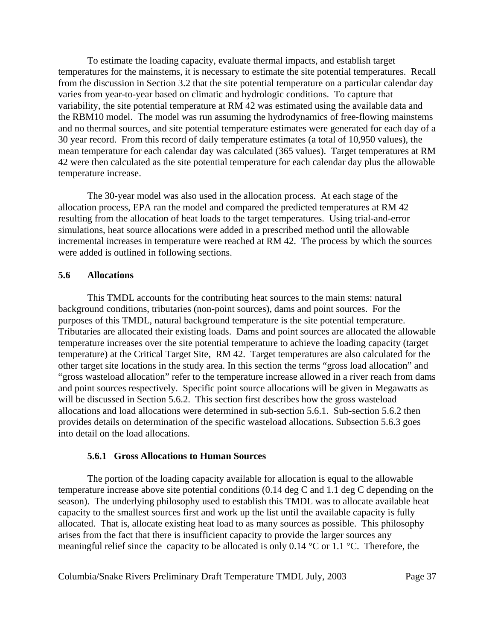To estimate the loading capacity, evaluate thermal impacts, and establish target temperatures for the mainstems, it is necessary to estimate the site potential temperatures. Recall from the discussion in Section 3.2 that the site potential temperature on a particular calendar day varies from year-to-year based on climatic and hydrologic conditions. To capture that variability, the site potential temperature at RM 42 was estimated using the available data and the RBM10 model. The model was run assuming the hydrodynamics of free-flowing mainstems and no thermal sources, and site potential temperature estimates were generated for each day of a 30 year record. From this record of daily temperature estimates (a total of 10,950 values), the mean temperature for each calendar day was calculated (365 values). Target temperatures at RM 42 were then calculated as the site potential temperature for each calendar day plus the allowable temperature increase.

The 30-year model was also used in the allocation process. At each stage of the allocation process, EPA ran the model and compared the predicted temperatures at RM 42 resulting from the allocation of heat loads to the target temperatures. Using trial-and-error simulations, heat source allocations were added in a prescribed method until the allowable incremental increases in temperature were reached at RM 42. The process by which the sources were added is outlined in following sections.

### **5.6 Allocations**

This TMDL accounts for the contributing heat sources to the main stems: natural background conditions, tributaries (non-point sources), dams and point sources. For the purposes of this TMDL, natural background temperature is the site potential temperature. Tributaries are allocated their existing loads. Dams and point sources are allocated the allowable temperature increases over the site potential temperature to achieve the loading capacity (target temperature) at the Critical Target Site, RM 42. Target temperatures are also calculated for the other target site locations in the study area. In this section the terms "gross load allocation" and "gross wasteload allocation" refer to the temperature increase allowed in a river reach from dams and point sources respectively. Specific point source allocations will be given in Megawatts as will be discussed in Section 5.6.2. This section first describes how the gross wasteload allocations and load allocations were determined in sub-section 5.6.1. Sub-section 5.6.2 then provides details on determination of the specific wasteload allocations. Subsection 5.6.3 goes into detail on the load allocations.

#### **5.6.1 Gross Allocations to Human Sources**

The portion of the loading capacity available for allocation is equal to the allowable temperature increase above site potential conditions (0.14 deg C and 1.1 deg C depending on the season). The underlying philosophy used to establish this TMDL was to allocate available heat capacity to the smallest sources first and work up the list until the available capacity is fully allocated. That is, allocate existing heat load to as many sources as possible. This philosophy arises from the fact that there is insufficient capacity to provide the larger sources any meaningful relief since the capacity to be allocated is only 0.14 °C or 1.1 °C. Therefore, the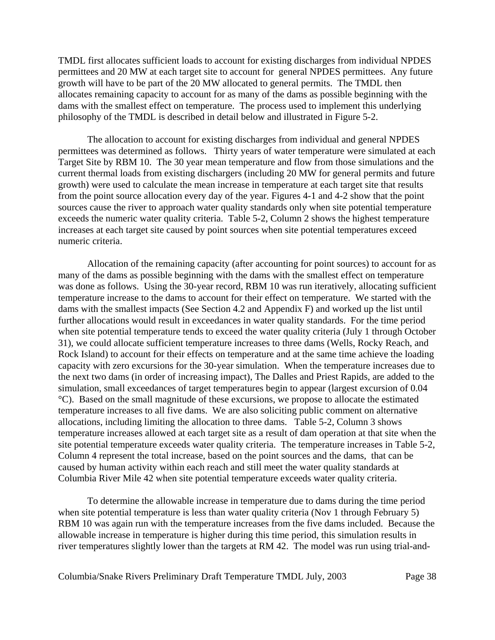TMDL first allocates sufficient loads to account for existing discharges from individual NPDES permittees and 20 MW at each target site to account for general NPDES permittees. Any future growth will have to be part of the 20 MW allocated to general permits. The TMDL then allocates remaining capacity to account for as many of the dams as possible beginning with the dams with the smallest effect on temperature. The process used to implement this underlying philosophy of the TMDL is described in detail below and illustrated in Figure 5-2.

The allocation to account for existing discharges from individual and general NPDES permittees was determined as follows. Thirty years of water temperature were simulated at each Target Site by RBM 10. The 30 year mean temperature and flow from those simulations and the current thermal loads from existing dischargers (including 20 MW for general permits and future growth) were used to calculate the mean increase in temperature at each target site that results from the point source allocation every day of the year. Figures 4-1 and 4-2 show that the point sources cause the river to approach water quality standards only when site potential temperature exceeds the numeric water quality criteria. Table 5-2, Column 2 shows the highest temperature increases at each target site caused by point sources when site potential temperatures exceed numeric criteria.

Allocation of the remaining capacity (after accounting for point sources) to account for as many of the dams as possible beginning with the dams with the smallest effect on temperature was done as follows. Using the 30-year record, RBM 10 was run iteratively, allocating sufficient temperature increase to the dams to account for their effect on temperature. We started with the dams with the smallest impacts (See Section 4.2 and Appendix F) and worked up the list until further allocations would result in exceedances in water quality standards. For the time period when site potential temperature tends to exceed the water quality criteria (July 1 through October 31), we could allocate sufficient temperature increases to three dams (Wells, Rocky Reach, and Rock Island) to account for their effects on temperature and at the same time achieve the loading capacity with zero excursions for the 30-year simulation. When the temperature increases due to the next two dams (in order of increasing impact), The Dalles and Priest Rapids, are added to the simulation, small exceedances of target temperatures begin to appear (largest excursion of 0.04 °C). Based on the small magnitude of these excursions, we propose to allocate the estimated temperature increases to all five dams. We are also soliciting public comment on alternative allocations, including limiting the allocation to three dams. Table 5-2, Column 3 shows temperature increases allowed at each target site as a result of dam operation at that site when the site potential temperature exceeds water quality criteria. The temperature increases in Table 5-2, Column 4 represent the total increase, based on the point sources and the dams, that can be caused by human activity within each reach and still meet the water quality standards at Columbia River Mile 42 when site potential temperature exceeds water quality criteria.

To determine the allowable increase in temperature due to dams during the time period when site potential temperature is less than water quality criteria (Nov 1 through February 5) RBM 10 was again run with the temperature increases from the five dams included. Because the allowable increase in temperature is higher during this time period, this simulation results in river temperatures slightly lower than the targets at RM 42. The model was run using trial-and-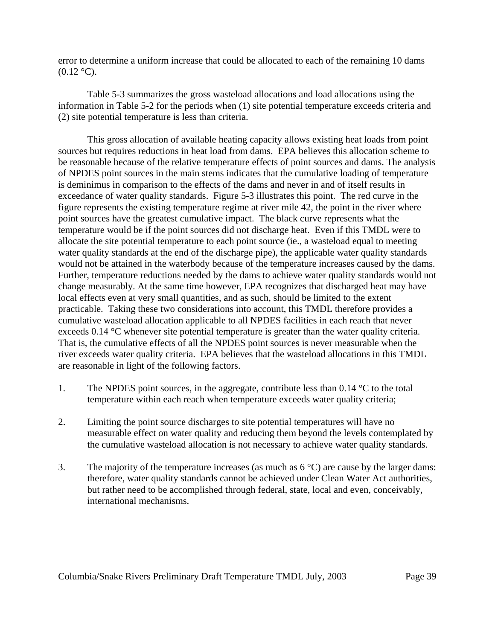error to determine a uniform increase that could be allocated to each of the remaining 10 dams  $(0.12 \text{ °C})$ .

Table 5-3 summarizes the gross wasteload allocations and load allocations using the information in Table 5-2 for the periods when (1) site potential temperature exceeds criteria and (2) site potential temperature is less than criteria.

This gross allocation of available heating capacity allows existing heat loads from point sources but requires reductions in heat load from dams. EPA believes this allocation scheme to be reasonable because of the relative temperature effects of point sources and dams. The analysis of NPDES point sources in the main stems indicates that the cumulative loading of temperature is deminimus in comparison to the effects of the dams and never in and of itself results in exceedance of water quality standards. Figure 5-3 illustrates this point. The red curve in the figure represents the existing temperature regime at river mile 42, the point in the river where point sources have the greatest cumulative impact. The black curve represents what the temperature would be if the point sources did not discharge heat. Even if this TMDL were to allocate the site potential temperature to each point source (ie., a wasteload equal to meeting water quality standards at the end of the discharge pipe), the applicable water quality standards would not be attained in the waterbody because of the temperature increases caused by the dams. Further, temperature reductions needed by the dams to achieve water quality standards would not change measurably. At the same time however, EPA recognizes that discharged heat may have local effects even at very small quantities, and as such, should be limited to the extent practicable. Taking these two considerations into account, this TMDL therefore provides a cumulative wasteload allocation applicable to all NPDES facilities in each reach that never exceeds 0.14 °C whenever site potential temperature is greater than the water quality criteria. That is, the cumulative effects of all the NPDES point sources is never measurable when the river exceeds water quality criteria. EPA believes that the wasteload allocations in this TMDL are reasonable in light of the following factors.

- 1. The NPDES point sources, in the aggregate, contribute less than  $0.14 \degree C$  to the total temperature within each reach when temperature exceeds water quality criteria;
- 2. Limiting the point source discharges to site potential temperatures will have no measurable effect on water quality and reducing them beyond the levels contemplated by the cumulative wasteload allocation is not necessary to achieve water quality standards.
- 3. The majority of the temperature increases (as much as  $6^{\circ}$ C) are cause by the larger dams: therefore, water quality standards cannot be achieved under Clean Water Act authorities, but rather need to be accomplished through federal, state, local and even, conceivably, international mechanisms.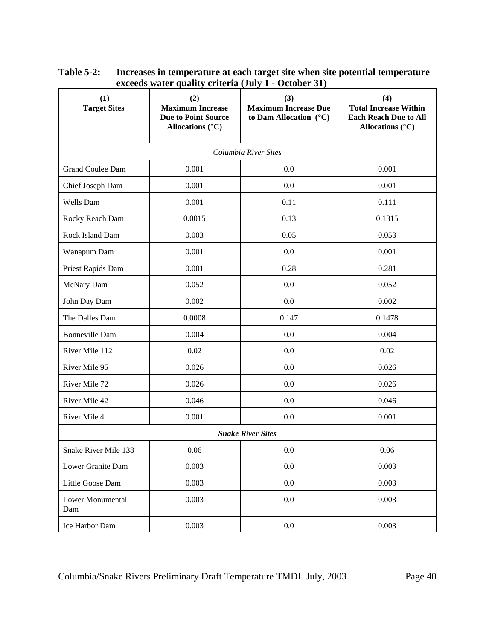| (1)<br><b>Target Sites</b> | (2)<br><b>Maximum Increase</b><br><b>Due to Point Source</b><br>Allocations $(^{\circ}C)$ | (3)<br><b>Maximum Increase Due</b><br>to Dam Allocation $(^{\circ}C)$ | (4)<br><b>Total Increase Within</b><br><b>Each Reach Due to All</b><br>Allocations $(^{\circ}C)$ |  |  |  |
|----------------------------|-------------------------------------------------------------------------------------------|-----------------------------------------------------------------------|--------------------------------------------------------------------------------------------------|--|--|--|
| Columbia River Sites       |                                                                                           |                                                                       |                                                                                                  |  |  |  |
| Grand Coulee Dam           | 0.001                                                                                     | 0.0                                                                   | 0.001                                                                                            |  |  |  |
| Chief Joseph Dam           | 0.001                                                                                     | 0.0                                                                   | 0.001                                                                                            |  |  |  |
| Wells Dam                  | 0.001                                                                                     | 0.11                                                                  | 0.111                                                                                            |  |  |  |
| Rocky Reach Dam            | 0.0015                                                                                    | 0.13                                                                  | 0.1315                                                                                           |  |  |  |
| Rock Island Dam            | 0.003                                                                                     | 0.05                                                                  | 0.053                                                                                            |  |  |  |
| Wanapum Dam                | 0.001                                                                                     | 0.0                                                                   | 0.001                                                                                            |  |  |  |
| Priest Rapids Dam          | 0.001                                                                                     | 0.28                                                                  | 0.281                                                                                            |  |  |  |
| McNary Dam                 | 0.052                                                                                     | 0.0                                                                   | 0.052                                                                                            |  |  |  |
| John Day Dam               | 0.002                                                                                     | 0.0                                                                   | 0.002                                                                                            |  |  |  |
| The Dalles Dam             | 0.0008                                                                                    | 0.147                                                                 | 0.1478                                                                                           |  |  |  |
| <b>Bonneville Dam</b>      | 0.004                                                                                     | 0.0                                                                   | 0.004                                                                                            |  |  |  |
| River Mile 112             | 0.02                                                                                      | 0.0                                                                   | 0.02                                                                                             |  |  |  |
| River Mile 95              | 0.026                                                                                     | 0.0                                                                   | 0.026                                                                                            |  |  |  |
| River Mile 72              | 0.026                                                                                     | 0.0                                                                   | 0.026                                                                                            |  |  |  |
| River Mile 42              | 0.046                                                                                     | 0.0                                                                   | 0.046                                                                                            |  |  |  |
| River Mile 4               | 0.001                                                                                     | 0.0                                                                   | 0.001                                                                                            |  |  |  |
|                            |                                                                                           | <b>Snake River Sites</b>                                              |                                                                                                  |  |  |  |
| Snake River Mile 138       | 0.06                                                                                      | $0.0\,$                                                               | 0.06                                                                                             |  |  |  |
| Lower Granite Dam          | 0.003                                                                                     | $0.0\,$                                                               | 0.003                                                                                            |  |  |  |
| Little Goose Dam           | 0.003                                                                                     | 0.0                                                                   | 0.003                                                                                            |  |  |  |
| Lower Monumental<br>Dam    | 0.003                                                                                     | $0.0\,$                                                               | 0.003                                                                                            |  |  |  |
| Ice Harbor Dam             | 0.003                                                                                     | $0.0\,$                                                               | 0.003                                                                                            |  |  |  |

**Table 5-2: Increases in temperature at each target site when site potential temperature exceeds water quality criteria (July 1 - October 31)**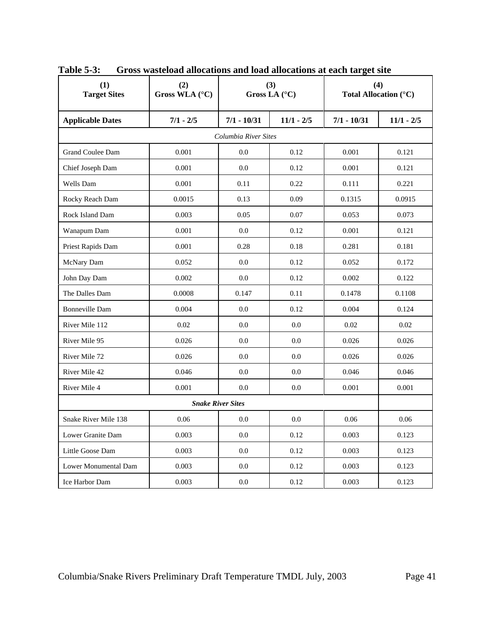| (1)<br><b>Target Sites</b> | (2)<br>Gross WLA (°C) |                      | (3)<br>Gross LA $(^{\circ}C)$ |               | (4)<br>Total Allocation (°C) |
|----------------------------|-----------------------|----------------------|-------------------------------|---------------|------------------------------|
| <b>Applicable Dates</b>    | $7/1 - 2/5$           | $7/1 - 10/31$        | $11/1 - 2/5$                  | $7/1 - 10/31$ | $11/1 - 2/5$                 |
|                            |                       | Columbia River Sites |                               |               |                              |
| <b>Grand Coulee Dam</b>    | 0.001                 | 0.0                  | 0.12                          | 0.001         | 0.121                        |
| Chief Joseph Dam           | 0.001                 | 0.0                  | 0.12                          | 0.001         | 0.121                        |
| Wells Dam                  | 0.001                 | 0.11                 | 0.22                          | 0.111         | 0.221                        |
| Rocky Reach Dam            | 0.0015                | 0.13                 | 0.09                          | 0.1315        | 0.0915                       |
| Rock Island Dam            | 0.003                 | 0.05                 | 0.07                          | 0.053         | 0.073                        |
| Wanapum Dam                | 0.001                 | 0.0                  | 0.12                          | 0.001         | 0.121                        |
| Priest Rapids Dam          | 0.001                 | 0.28                 | 0.18                          | 0.281         | 0.181                        |
| McNary Dam                 | 0.052                 | 0.0                  | 0.12                          | 0.052         | 0.172                        |
| John Day Dam               | 0.002                 | 0.0                  | 0.12                          | 0.002         | 0.122                        |
| The Dalles Dam             | 0.0008                | 0.147                | 0.11                          | 0.1478        | 0.1108                       |
| <b>Bonneville Dam</b>      | 0.004                 | 0.0                  | 0.12                          | 0.004         | 0.124                        |
| River Mile 112             | 0.02                  | 0.0                  | 0.0                           | 0.02          | 0.02                         |
| River Mile 95              | 0.026                 | 0.0                  | 0.0                           | 0.026         | 0.026                        |
| River Mile 72              | 0.026                 | 0.0                  | 0.0                           | 0.026         | 0.026                        |
| River Mile 42              | 0.046                 | 0.0                  | 0.0                           | 0.046         | 0.046                        |
| River Mile 4               | 0.001                 | 0.0                  | 0.0                           | 0.001         | 0.001                        |
| <b>Snake River Sites</b>   |                       |                      |                               |               |                              |
| Snake River Mile 138       | 0.06                  | 0.0                  | 0.0                           | 0.06          | 0.06                         |
| Lower Granite Dam          | 0.003                 | 0.0                  | 0.12                          | 0.003         | 0.123                        |
| Little Goose Dam           | 0.003                 | 0.0                  | 0.12                          | 0.003         | 0.123                        |
| Lower Monumental Dam       | 0.003                 | 0.0                  | 0.12                          | 0.003         | 0.123                        |
| Ice Harbor Dam             | 0.003                 | 0.0                  | 0.12                          | 0.003         | 0.123                        |

**Table 5-3: Gross wasteload allocations and load allocations at each target site**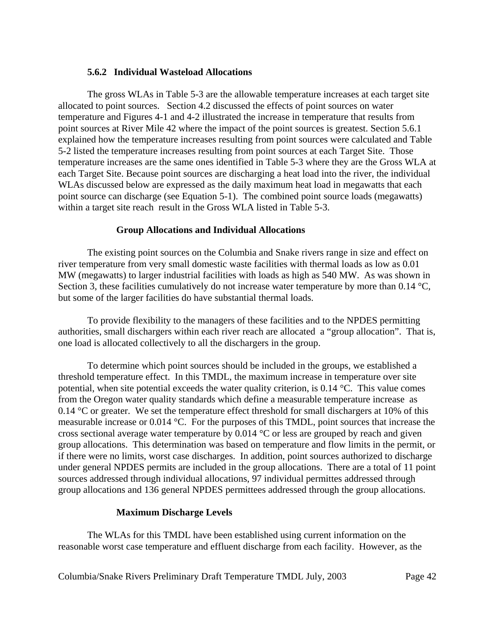### **5.6.2 Individual Wasteload Allocations**

The gross WLAs in Table 5-3 are the allowable temperature increases at each target site allocated to point sources. Section 4.2 discussed the effects of point sources on water temperature and Figures 4-1 and 4-2 illustrated the increase in temperature that results from point sources at River Mile 42 where the impact of the point sources is greatest. Section 5.6.1 explained how the temperature increases resulting from point sources were calculated and Table 5-2 listed the temperature increases resulting from point sources at each Target Site. Those temperature increases are the same ones identified in Table 5-3 where they are the Gross WLA at each Target Site. Because point sources are discharging a heat load into the river, the individual WLAs discussed below are expressed as the daily maximum heat load in megawatts that each point source can discharge (see Equation 5-1). The combined point source loads (megawatts) within a target site reach result in the Gross WLA listed in Table 5-3.

### **Group Allocations and Individual Allocations**

The existing point sources on the Columbia and Snake rivers range in size and effect on river temperature from very small domestic waste facilities with thermal loads as low as 0.01 MW (megawatts) to larger industrial facilities with loads as high as 540 MW. As was shown in Section 3, these facilities cumulatively do not increase water temperature by more than 0.14  $^{\circ}C$ , but some of the larger facilities do have substantial thermal loads.

To provide flexibility to the managers of these facilities and to the NPDES permitting authorities, small dischargers within each river reach are allocated a "group allocation". That is, one load is allocated collectively to all the dischargers in the group.

To determine which point sources should be included in the groups, we established a threshold temperature effect. In this TMDL, the maximum increase in temperature over site potential, when site potential exceeds the water quality criterion, is 0.14 °C. This value comes from the Oregon water quality standards which define a measurable temperature increase as 0.14  $\degree$ C or greater. We set the temperature effect threshold for small dischargers at 10% of this measurable increase or 0.014 °C. For the purposes of this TMDL, point sources that increase the cross sectional average water temperature by 0.014 °C or less are grouped by reach and given group allocations. This determination was based on temperature and flow limits in the permit, or if there were no limits, worst case discharges. In addition, point sources authorized to discharge under general NPDES permits are included in the group allocations. There are a total of 11 point sources addressed through individual allocations, 97 individual permittes addressed through group allocations and 136 general NPDES permittees addressed through the group allocations.

### **Maximum Discharge Levels**

The WLAs for this TMDL have been established using current information on the reasonable worst case temperature and effluent discharge from each facility. However, as the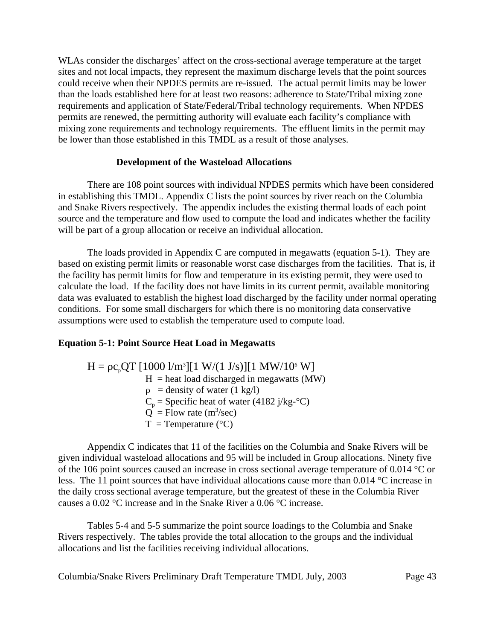WLAs consider the discharges' affect on the cross-sectional average temperature at the target sites and not local impacts, they represent the maximum discharge levels that the point sources could receive when their NPDES permits are re-issued. The actual permit limits may be lower than the loads established here for at least two reasons: adherence to State/Tribal mixing zone requirements and application of State/Federal/Tribal technology requirements. When NPDES permits are renewed, the permitting authority will evaluate each facility's compliance with mixing zone requirements and technology requirements. The effluent limits in the permit may be lower than those established in this TMDL as a result of those analyses.

### **Development of the Wasteload Allocations**

There are 108 point sources with individual NPDES permits which have been considered in establishing this TMDL. Appendix C lists the point sources by river reach on the Columbia and Snake Rivers respectively. The appendix includes the existing thermal loads of each point source and the temperature and flow used to compute the load and indicates whether the facility will be part of a group allocation or receive an individual allocation.

The loads provided in Appendix C are computed in megawatts (equation 5-1). They are based on existing permit limits or reasonable worst case discharges from the facilities. That is, if the facility has permit limits for flow and temperature in its existing permit, they were used to calculate the load. If the facility does not have limits in its current permit, available monitoring data was evaluated to establish the highest load discharged by the facility under normal operating conditions. For some small dischargers for which there is no monitoring data conservative assumptions were used to establish the temperature used to compute load.

## **Equation 5-1: Point Source Heat Load in Megawatts**

 $H = \rho c_p Q T [1000 \frac{1}{m^3}][1 \frac{W}{(1 \text{ J/s})}][1 \frac{MW}{10^6} W]$  $H =$  heat load discharged in megawatts (MW)  $\rho$  = density of water (1 kg/l)  $C_p$  = Specific heat of water (4182 j/kg- $\rm ^{\circ}C$ )  $\dot{Q}$  = Flow rate (m<sup>3</sup>/sec)  $T = Temperature (°C)$ 

Appendix C indicates that 11 of the facilities on the Columbia and Snake Rivers will be given individual wasteload allocations and 95 will be included in Group allocations. Ninety five of the 106 point sources caused an increase in cross sectional average temperature of 0.014 °C or less. The 11 point sources that have individual allocations cause more than 0.014 °C increase in the daily cross sectional average temperature, but the greatest of these in the Columbia River causes a 0.02 °C increase and in the Snake River a 0.06 °C increase.

Tables 5-4 and 5-5 summarize the point source loadings to the Columbia and Snake Rivers respectively. The tables provide the total allocation to the groups and the individual allocations and list the facilities receiving individual allocations.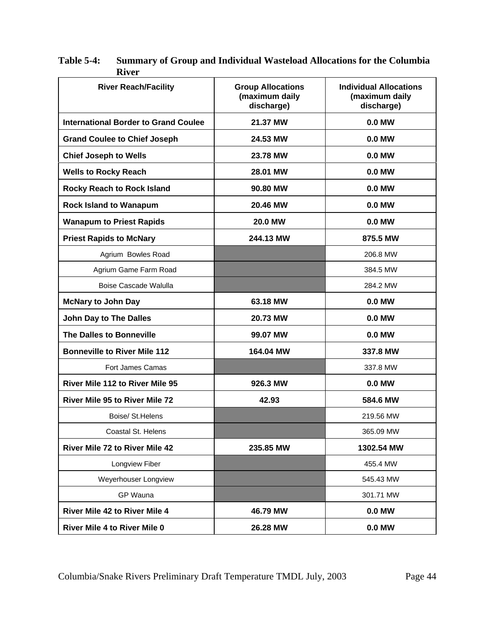| <b>River Reach/Facility</b>                 | <b>Group Allocations</b><br>(maximum daily<br>discharge) | <b>Individual Allocations</b><br>(maximum daily<br>discharge) |
|---------------------------------------------|----------------------------------------------------------|---------------------------------------------------------------|
| <b>International Border to Grand Coulee</b> | 21.37 MW                                                 | 0.0 MW                                                        |
| <b>Grand Coulee to Chief Joseph</b>         | 24.53 MW                                                 | 0.0 MW                                                        |
| <b>Chief Joseph to Wells</b>                | 23.78 MW                                                 | 0.0 MW                                                        |
| <b>Wells to Rocky Reach</b>                 | 28.01 MW                                                 | 0.0 MW                                                        |
| <b>Rocky Reach to Rock Island</b>           | 90.80 MW                                                 | 0.0 MW                                                        |
| <b>Rock Island to Wanapum</b>               | 20.46 MW                                                 | 0.0 MW                                                        |
| <b>Wanapum to Priest Rapids</b>             | <b>20.0 MW</b>                                           | 0.0 MW                                                        |
| <b>Priest Rapids to McNary</b>              | 244.13 MW                                                | 875.5 MW                                                      |
| Agrium Bowles Road                          |                                                          | 206.8 MW                                                      |
| Agrium Game Farm Road                       |                                                          | 384.5 MW                                                      |
| <b>Boise Cascade Walulla</b>                |                                                          | 284.2 MW                                                      |
| <b>McNary to John Day</b>                   | 63.18 MW                                                 | 0.0 MW                                                        |
| John Day to The Dalles                      | 20.73 MW                                                 | 0.0 MW                                                        |
| The Dalles to Bonneville                    | 99.07 MW                                                 | 0.0 MW                                                        |
| <b>Bonneville to River Mile 112</b>         | 164.04 MW                                                | 337.8 MW                                                      |
| <b>Fort James Camas</b>                     |                                                          | 337.8 MW                                                      |
| River Mile 112 to River Mile 95             | 926.3 MW                                                 | 0.0 MW                                                        |
| <b>River Mile 95 to River Mile 72</b>       | 42.93                                                    | 584.6 MW                                                      |
| Boise/ St. Helens                           |                                                          | 219.56 MW                                                     |
| Coastal St. Helens                          |                                                          | 365.09 MW                                                     |
| River Mile 72 to River Mile 42              | 235.85 MW                                                | 1302.54 MW                                                    |
| Longview Fiber                              |                                                          | 455.4 MW                                                      |
| Weyerhouser Longview                        |                                                          | 545.43 MW                                                     |
| GP Wauna                                    |                                                          | 301.71 MW                                                     |
| <b>River Mile 42 to River Mile 4</b>        | 46.79 MW                                                 | 0.0 MW                                                        |
| River Mile 4 to River Mile 0                | 26.28 MW                                                 | 0.0 MW                                                        |

**Table 5-4: Summary of Group and Individual Wasteload Allocations for the Columbia River**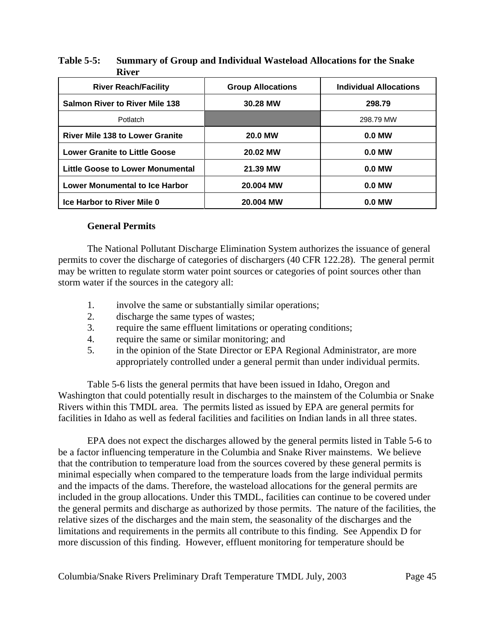| <b>River Reach/Facility</b>            | <b>Group Allocations</b> | <b>Individual Allocations</b> |
|----------------------------------------|--------------------------|-------------------------------|
| <b>Salmon River to River Mile 138</b>  | 30.28 MW                 | 298.79                        |
| Potlatch                               |                          | 298.79 MW                     |
| <b>River Mile 138 to Lower Granite</b> | <b>20.0 MW</b>           | $0.0$ MW                      |
| <b>Lower Granite to Little Goose</b>   | 20.02 MW                 | $0.0$ MW                      |
| Little Goose to Lower Monumental       | 21.39 MW                 | $0.0$ MW                      |
| <b>Lower Monumental to Ice Harbor</b>  | 20.004 MW                | $0.0$ MW                      |
| Ice Harbor to River Mile 0             | 20.004 MW                | $0.0$ MW                      |

## **Table 5-5: Summary of Group and Individual Wasteload Allocations for the Snake River**

### **General Permits**

The National Pollutant Discharge Elimination System authorizes the issuance of general permits to cover the discharge of categories of dischargers (40 CFR 122.28). The general permit may be written to regulate storm water point sources or categories of point sources other than storm water if the sources in the category all:

- 1. involve the same or substantially similar operations;
- 2. discharge the same types of wastes;
- 3. require the same effluent limitations or operating conditions;
- 4. require the same or similar monitoring; and
- 5. in the opinion of the State Director or EPA Regional Administrator, are more appropriately controlled under a general permit than under individual permits.

Table 5-6 lists the general permits that have been issued in Idaho, Oregon and Washington that could potentially result in discharges to the mainstem of the Columbia or Snake Rivers within this TMDL area. The permits listed as issued by EPA are general permits for facilities in Idaho as well as federal facilities and facilities on Indian lands in all three states.

EPA does not expect the discharges allowed by the general permits listed in Table 5-6 to be a factor influencing temperature in the Columbia and Snake River mainstems. We believe that the contribution to temperature load from the sources covered by these general permits is minimal especially when compared to the temperature loads from the large individual permits and the impacts of the dams. Therefore, the wasteload allocations for the general permits are included in the group allocations. Under this TMDL, facilities can continue to be covered under the general permits and discharge as authorized by those permits. The nature of the facilities, the relative sizes of the discharges and the main stem, the seasonality of the discharges and the limitations and requirements in the permits all contribute to this finding. See Appendix D for more discussion of this finding. However, effluent monitoring for temperature should be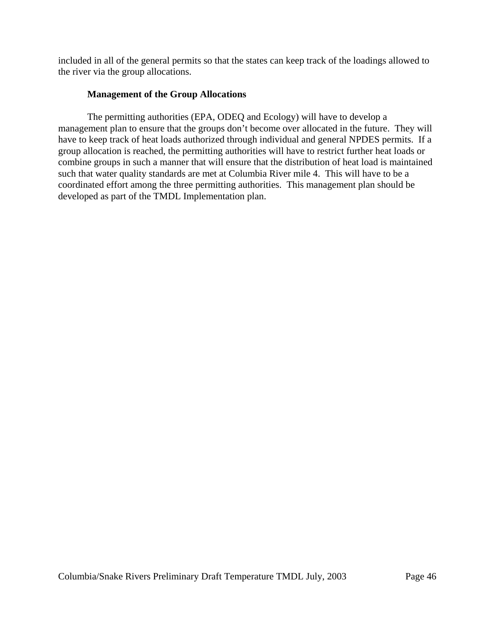included in all of the general permits so that the states can keep track of the loadings allowed to the river via the group allocations.

## **Management of the Group Allocations**

The permitting authorities (EPA, ODEQ and Ecology) will have to develop a management plan to ensure that the groups don't become over allocated in the future. They will have to keep track of heat loads authorized through individual and general NPDES permits. If a group allocation is reached, the permitting authorities will have to restrict further heat loads or combine groups in such a manner that will ensure that the distribution of heat load is maintained such that water quality standards are met at Columbia River mile 4. This will have to be a coordinated effort among the three permitting authorities. This management plan should be developed as part of the TMDL Implementation plan.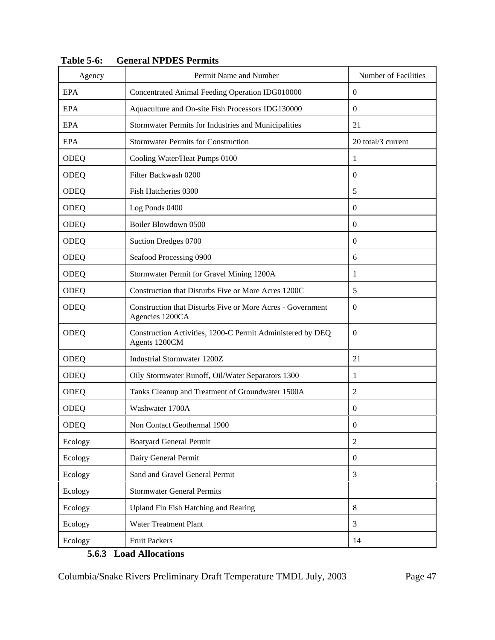| Agency      | Permit Name and Number                                                        | Number of Facilities |
|-------------|-------------------------------------------------------------------------------|----------------------|
| <b>EPA</b>  | Concentrated Animal Feeding Operation IDG010000                               | $\overline{0}$       |
| <b>EPA</b>  | Aquaculture and On-site Fish Processors IDG130000                             | $\mathbf{0}$         |
| <b>EPA</b>  | Stormwater Permits for Industries and Municipalities                          | 21                   |
| <b>EPA</b>  | <b>Stormwater Permits for Construction</b>                                    | 20 total/3 current   |
| <b>ODEQ</b> | Cooling Water/Heat Pumps 0100                                                 | 1                    |
| ODEQ        | Filter Backwash 0200                                                          | $\theta$             |
| ODEQ        | Fish Hatcheries 0300                                                          | 5                    |
| <b>ODEQ</b> | Log Ponds 0400                                                                | $\theta$             |
| <b>ODEQ</b> | Boiler Blowdown 0500                                                          | $\boldsymbol{0}$     |
| <b>ODEQ</b> | Suction Dredges 0700                                                          | $\theta$             |
| <b>ODEQ</b> | Seafood Processing 0900                                                       | 6                    |
| ODEQ        | Stormwater Permit for Gravel Mining 1200A                                     | 1                    |
| ODEQ        | Construction that Disturbs Five or More Acres 1200C                           | 5                    |
| <b>ODEQ</b> | Construction that Disturbs Five or More Acres - Government<br>Agencies 1200CA | $\theta$             |
| ODEQ        | Construction Activities, 1200-C Permit Administered by DEQ<br>Agents 1200CM   | $\theta$             |
| <b>ODEQ</b> | Industrial Stormwater 1200Z                                                   | 21                   |
| ODEQ        | Oily Stormwater Runoff, Oil/Water Separators 1300                             | 1                    |
| ODEQ        | Tanks Cleanup and Treatment of Groundwater 1500A                              | $\overline{c}$       |
| <b>ODEQ</b> | Washwater 1700A                                                               | $\theta$             |
| ODEQ        | Non Contact Geothermal 1900                                                   | $\boldsymbol{0}$     |
| Ecology     | <b>Boatyard General Permit</b>                                                | $\overline{2}$       |
| Ecology     | Dairy General Permit                                                          | $\mathbf{0}$         |
| Ecology     | Sand and Gravel General Permit                                                | 3                    |
| Ecology     | <b>Stormwater General Permits</b>                                             |                      |
| Ecology     | Upland Fin Fish Hatching and Rearing                                          | 8                    |
| Ecology     | <b>Water Treatment Plant</b>                                                  | 3                    |
| Ecology     | <b>Fruit Packers</b>                                                          | 14                   |

**Table 5-6: General NPDES Permits**

# **5.6.3 Load Allocations**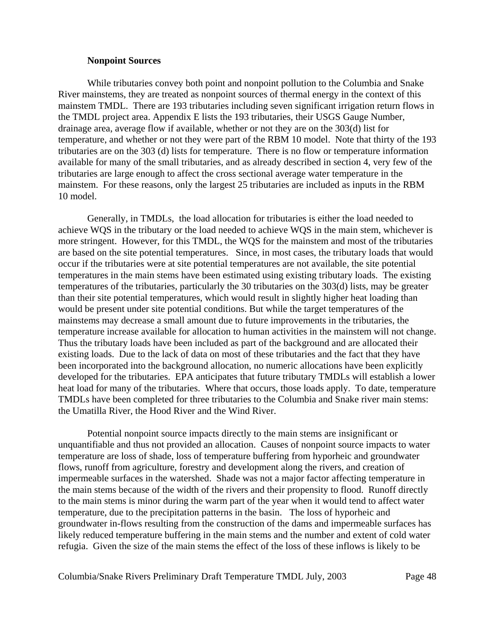#### **Nonpoint Sources**

While tributaries convey both point and nonpoint pollution to the Columbia and Snake River mainstems, they are treated as nonpoint sources of thermal energy in the context of this mainstem TMDL. There are 193 tributaries including seven significant irrigation return flows in the TMDL project area. Appendix E lists the 193 tributaries, their USGS Gauge Number, drainage area, average flow if available, whether or not they are on the 303(d) list for temperature, and whether or not they were part of the RBM 10 model. Note that thirty of the 193 tributaries are on the 303 (d) lists for temperature. There is no flow or temperature information available for many of the small tributaries, and as already described in section 4, very few of the tributaries are large enough to affect the cross sectional average water temperature in the mainstem. For these reasons, only the largest 25 tributaries are included as inputs in the RBM 10 model.

Generally, in TMDLs, the load allocation for tributaries is either the load needed to achieve WQS in the tributary or the load needed to achieve WQS in the main stem, whichever is more stringent. However, for this TMDL, the WQS for the mainstem and most of the tributaries are based on the site potential temperatures. Since, in most cases, the tributary loads that would occur if the tributaries were at site potential temperatures are not available, the site potential temperatures in the main stems have been estimated using existing tributary loads. The existing temperatures of the tributaries, particularly the 30 tributaries on the 303(d) lists, may be greater than their site potential temperatures, which would result in slightly higher heat loading than would be present under site potential conditions. But while the target temperatures of the mainstems may decrease a small amount due to future improvements in the tributaries, the temperature increase available for allocation to human activities in the mainstem will not change. Thus the tributary loads have been included as part of the background and are allocated their existing loads. Due to the lack of data on most of these tributaries and the fact that they have been incorporated into the background allocation, no numeric allocations have been explicitly developed for the tributaries. EPA anticipates that future tributary TMDLs will establish a lower heat load for many of the tributaries. Where that occurs, those loads apply. To date, temperature TMDLs have been completed for three tributaries to the Columbia and Snake river main stems: the Umatilla River, the Hood River and the Wind River.

Potential nonpoint source impacts directly to the main stems are insignificant or unquantifiable and thus not provided an allocation. Causes of nonpoint source impacts to water temperature are loss of shade, loss of temperature buffering from hyporheic and groundwater flows, runoff from agriculture, forestry and development along the rivers, and creation of impermeable surfaces in the watershed. Shade was not a major factor affecting temperature in the main stems because of the width of the rivers and their propensity to flood. Runoff directly to the main stems is minor during the warm part of the year when it would tend to affect water temperature, due to the precipitation patterns in the basin. The loss of hyporheic and groundwater in-flows resulting from the construction of the dams and impermeable surfaces has likely reduced temperature buffering in the main stems and the number and extent of cold water refugia. Given the size of the main stems the effect of the loss of these inflows is likely to be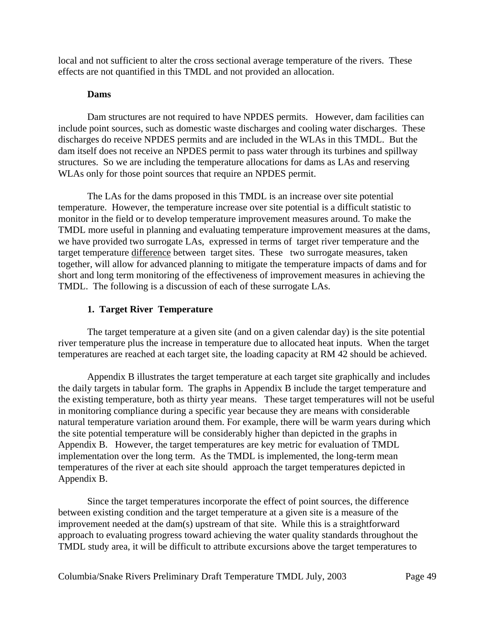local and not sufficient to alter the cross sectional average temperature of the rivers. These effects are not quantified in this TMDL and not provided an allocation.

### **Dams**

Dam structures are not required to have NPDES permits. However, dam facilities can include point sources, such as domestic waste discharges and cooling water discharges. These discharges do receive NPDES permits and are included in the WLAs in this TMDL. But the dam itself does not receive an NPDES permit to pass water through its turbines and spillway structures. So we are including the temperature allocations for dams as LAs and reserving WLAs only for those point sources that require an NPDES permit.

The LAs for the dams proposed in this TMDL is an increase over site potential temperature. However, the temperature increase over site potential is a difficult statistic to monitor in the field or to develop temperature improvement measures around. To make the TMDL more useful in planning and evaluating temperature improvement measures at the dams, we have provided two surrogate LAs, expressed in terms of target river temperature and the target temperature difference between target sites. These two surrogate measures, taken together, will allow for advanced planning to mitigate the temperature impacts of dams and for short and long term monitoring of the effectiveness of improvement measures in achieving the TMDL. The following is a discussion of each of these surrogate LAs.

### **1. Target River Temperature**

The target temperature at a given site (and on a given calendar day) is the site potential river temperature plus the increase in temperature due to allocated heat inputs. When the target temperatures are reached at each target site, the loading capacity at RM 42 should be achieved.

Appendix B illustrates the target temperature at each target site graphically and includes the daily targets in tabular form. The graphs in Appendix B include the target temperature and the existing temperature, both as thirty year means. These target temperatures will not be useful in monitoring compliance during a specific year because they are means with considerable natural temperature variation around them. For example, there will be warm years during which the site potential temperature will be considerably higher than depicted in the graphs in Appendix B. However, the target temperatures are key metric for evaluation of TMDL implementation over the long term. As the TMDL is implemented, the long-term mean temperatures of the river at each site should approach the target temperatures depicted in Appendix B.

Since the target temperatures incorporate the effect of point sources, the difference between existing condition and the target temperature at a given site is a measure of the improvement needed at the dam(s) upstream of that site. While this is a straightforward approach to evaluating progress toward achieving the water quality standards throughout the TMDL study area, it will be difficult to attribute excursions above the target temperatures to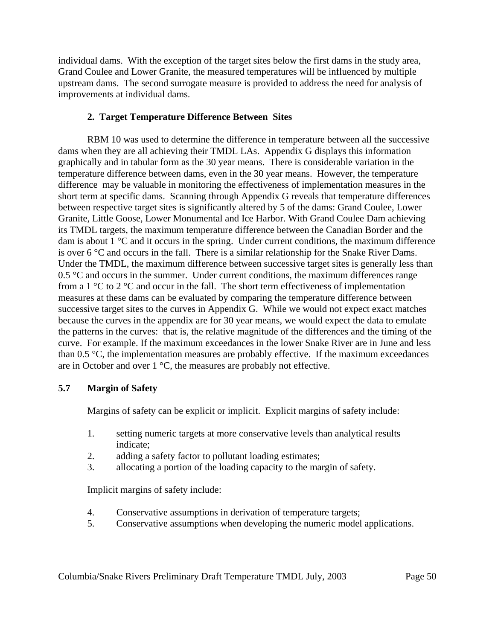individual dams. With the exception of the target sites below the first dams in the study area, Grand Coulee and Lower Granite, the measured temperatures will be influenced by multiple upstream dams. The second surrogate measure is provided to address the need for analysis of improvements at individual dams.

## **2. Target Temperature Difference Between Sites**

RBM 10 was used to determine the difference in temperature between all the successive dams when they are all achieving their TMDL LAs. Appendix G displays this information graphically and in tabular form as the 30 year means. There is considerable variation in the temperature difference between dams, even in the 30 year means. However, the temperature difference may be valuable in monitoring the effectiveness of implementation measures in the short term at specific dams. Scanning through Appendix G reveals that temperature differences between respective target sites is significantly altered by 5 of the dams: Grand Coulee, Lower Granite, Little Goose, Lower Monumental and Ice Harbor. With Grand Coulee Dam achieving its TMDL targets, the maximum temperature difference between the Canadian Border and the dam is about 1 °C and it occurs in the spring. Under current conditions, the maximum difference is over 6 °C and occurs in the fall. There is a similar relationship for the Snake River Dams. Under the TMDL, the maximum difference between successive target sites is generally less than  $0.5 \,^{\circ}\text{C}$  and occurs in the summer. Under current conditions, the maximum differences range from a 1  $\degree$ C to 2  $\degree$ C and occur in the fall. The short term effectiveness of implementation measures at these dams can be evaluated by comparing the temperature difference between successive target sites to the curves in Appendix G. While we would not expect exact matches because the curves in the appendix are for 30 year means, we would expect the data to emulate the patterns in the curves: that is, the relative magnitude of the differences and the timing of the curve. For example. If the maximum exceedances in the lower Snake River are in June and less than 0.5 °C, the implementation measures are probably effective. If the maximum exceedances are in October and over 1 °C, the measures are probably not effective.

### **5.7 Margin of Safety**

Margins of safety can be explicit or implicit. Explicit margins of safety include:

- 1. setting numeric targets at more conservative levels than analytical results indicate;
- 2. adding a safety factor to pollutant loading estimates;
- 3. allocating a portion of the loading capacity to the margin of safety.

Implicit margins of safety include:

- 4. Conservative assumptions in derivation of temperature targets;
- 5. Conservative assumptions when developing the numeric model applications.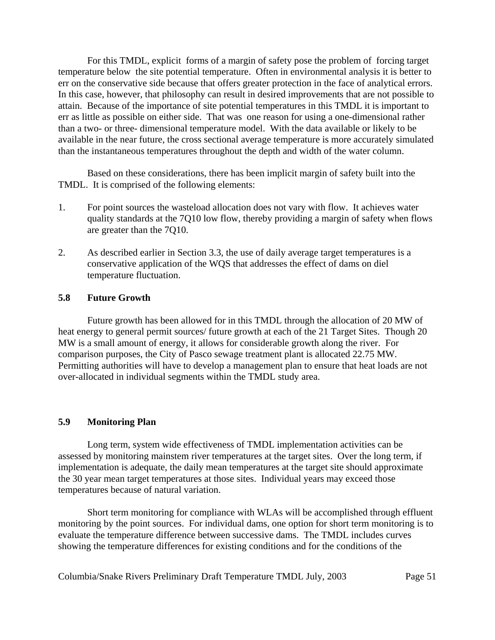For this TMDL, explicit forms of a margin of safety pose the problem of forcing target temperature below the site potential temperature. Often in environmental analysis it is better to err on the conservative side because that offers greater protection in the face of analytical errors. In this case, however, that philosophy can result in desired improvements that are not possible to attain. Because of the importance of site potential temperatures in this TMDL it is important to err as little as possible on either side. That was one reason for using a one-dimensional rather than a two- or three- dimensional temperature model. With the data available or likely to be available in the near future, the cross sectional average temperature is more accurately simulated than the instantaneous temperatures throughout the depth and width of the water column.

Based on these considerations, there has been implicit margin of safety built into the TMDL. It is comprised of the following elements:

- 1. For point sources the wasteload allocation does not vary with flow. It achieves water quality standards at the 7Q10 low flow, thereby providing a margin of safety when flows are greater than the 7Q10.
- 2. As described earlier in Section 3.3, the use of daily average target temperatures is a conservative application of the WQS that addresses the effect of dams on diel temperature fluctuation.

### **5.8 Future Growth**

Future growth has been allowed for in this TMDL through the allocation of 20 MW of heat energy to general permit sources/ future growth at each of the 21 Target Sites. Though 20 MW is a small amount of energy, it allows for considerable growth along the river. For comparison purposes, the City of Pasco sewage treatment plant is allocated 22.75 MW. Permitting authorities will have to develop a management plan to ensure that heat loads are not over-allocated in individual segments within the TMDL study area.

#### **5.9 Monitoring Plan**

Long term, system wide effectiveness of TMDL implementation activities can be assessed by monitoring mainstem river temperatures at the target sites. Over the long term, if implementation is adequate, the daily mean temperatures at the target site should approximate the 30 year mean target temperatures at those sites. Individual years may exceed those temperatures because of natural variation.

Short term monitoring for compliance with WLAs will be accomplished through effluent monitoring by the point sources. For individual dams, one option for short term monitoring is to evaluate the temperature difference between successive dams. The TMDL includes curves showing the temperature differences for existing conditions and for the conditions of the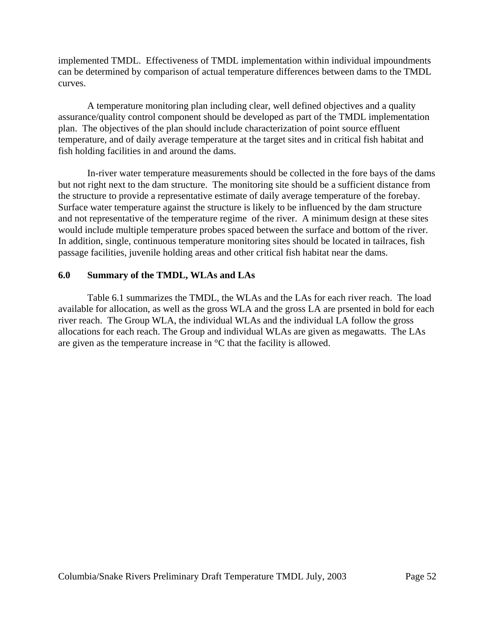implemented TMDL. Effectiveness of TMDL implementation within individual impoundments can be determined by comparison of actual temperature differences between dams to the TMDL curves.

A temperature monitoring plan including clear, well defined objectives and a quality assurance/quality control component should be developed as part of the TMDL implementation plan. The objectives of the plan should include characterization of point source effluent temperature, and of daily average temperature at the target sites and in critical fish habitat and fish holding facilities in and around the dams.

In-river water temperature measurements should be collected in the fore bays of the dams but not right next to the dam structure. The monitoring site should be a sufficient distance from the structure to provide a representative estimate of daily average temperature of the forebay. Surface water temperature against the structure is likely to be influenced by the dam structure and not representative of the temperature regime of the river. A minimum design at these sites would include multiple temperature probes spaced between the surface and bottom of the river. In addition, single, continuous temperature monitoring sites should be located in tailraces, fish passage facilities, juvenile holding areas and other critical fish habitat near the dams.

### **6.0 Summary of the TMDL, WLAs and LAs**

Table 6.1 summarizes the TMDL, the WLAs and the LAs for each river reach. The load available for allocation, as well as the gross WLA and the gross LA are prsented in bold for each river reach. The Group WLA, the individual WLAs and the individual LA follow the gross allocations for each reach. The Group and individual WLAs are given as megawatts. The LAs are given as the temperature increase in °C that the facility is allowed.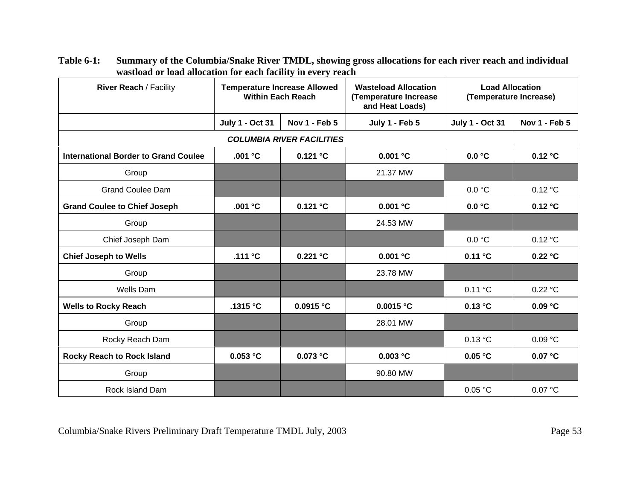| <b>River Reach / Facility</b>               | <b>Temperature Increase Allowed</b><br><b>Within Each Reach</b> |               | <b>Wasteload Allocation</b><br>(Temperature Increase<br>and Heat Loads) | <b>Load Allocation</b><br>(Temperature Increase) |               |  |  |
|---------------------------------------------|-----------------------------------------------------------------|---------------|-------------------------------------------------------------------------|--------------------------------------------------|---------------|--|--|
|                                             | <b>July 1 - Oct 31</b>                                          | Nov 1 - Feb 5 | July 1 - Feb 5                                                          | <b>July 1 - Oct 31</b>                           | Nov 1 - Feb 5 |  |  |
| <b>COLUMBIA RIVER FACILITIES</b>            |                                                                 |               |                                                                         |                                                  |               |  |  |
| <b>International Border to Grand Coulee</b> | .001 °C                                                         | 0.121 °C      | 0.001 °C                                                                | 0.0 °C                                           | 0.12 °C       |  |  |
| Group                                       |                                                                 |               | 21.37 MW                                                                |                                                  |               |  |  |
| <b>Grand Coulee Dam</b>                     |                                                                 |               |                                                                         | 0.0 °C                                           | 0.12 °C       |  |  |
| <b>Grand Coulee to Chief Joseph</b>         | .001 °C                                                         | 0.121 °C      | 0.001 °C                                                                | 0.0 °C                                           | 0.12 °C       |  |  |
| Group                                       |                                                                 |               | 24.53 MW                                                                |                                                  |               |  |  |
| Chief Joseph Dam                            |                                                                 |               |                                                                         | 0.0 °C                                           | 0.12 °C       |  |  |
| <b>Chief Joseph to Wells</b>                | .111 $^{\circ}$ C                                               | 0.221 °C      | 0.001 °C                                                                | 0.11 °C                                          | 0.22 °C       |  |  |
| Group                                       |                                                                 |               | 23.78 MW                                                                |                                                  |               |  |  |
| <b>Wells Dam</b>                            |                                                                 |               |                                                                         | 0.11 °C                                          | 0.22 °C       |  |  |
| <b>Wells to Rocky Reach</b>                 | .1315 °C                                                        | 0.0915 °C     | 0.0015 °C                                                               | 0.13 °C                                          | 0.09 °C       |  |  |
| Group                                       |                                                                 |               | 28.01 MW                                                                |                                                  |               |  |  |
| Rocky Reach Dam                             |                                                                 |               |                                                                         | 0.13 °C                                          | 0.09 °C       |  |  |
| <b>Rocky Reach to Rock Island</b>           | $0.053$ $^{\circ}$ C                                            | 0.073 °C      | 0.003 °C                                                                | 0.05 °C                                          | 0.07 °C       |  |  |
| Group                                       |                                                                 |               | 90.80 MW                                                                |                                                  |               |  |  |
| <b>Rock Island Dam</b>                      |                                                                 |               |                                                                         | 0.05 °C                                          | 0.07 °C       |  |  |

**Table 6-1: Summary of the Columbia/Snake River TMDL, showing gross allocations for each river reach and individual wastload or load allocation for each facility in every reach**

Columbia/Snake Rivers Preliminary Draft Temperature TMDL July, 2003 Page 53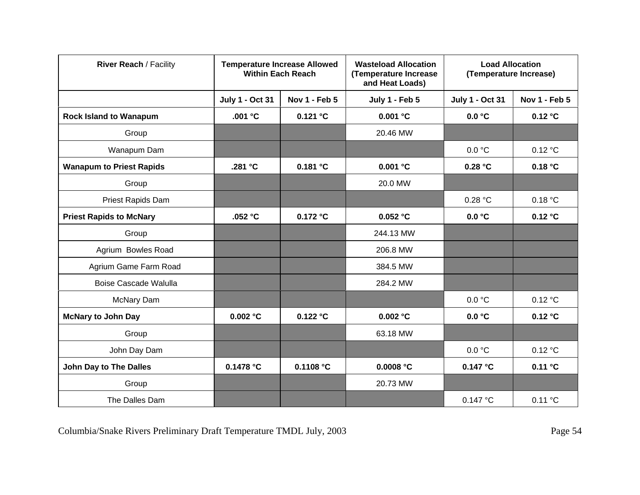| <b>River Reach / Facility</b>   | <b>Temperature Increase Allowed</b><br><b>Within Each Reach</b> |               | <b>Wasteload Allocation</b><br>(Temperature Increase<br>and Heat Loads) | <b>Load Allocation</b><br>(Temperature Increase) |               |
|---------------------------------|-----------------------------------------------------------------|---------------|-------------------------------------------------------------------------|--------------------------------------------------|---------------|
|                                 | <b>July 1 - Oct 31</b>                                          | Nov 1 - Feb 5 | July 1 - Feb 5                                                          | <b>July 1 - Oct 31</b>                           | Nov 1 - Feb 5 |
| <b>Rock Island to Wanapum</b>   | .001 °C                                                         | 0.121 °C      | $0.001$ $^{\circ}$ C                                                    | 0.0 °C                                           | 0.12 °C       |
| Group                           |                                                                 |               | 20.46 MW                                                                |                                                  |               |
| Wanapum Dam                     |                                                                 |               |                                                                         | 0.0 °C                                           | 0.12 °C       |
| <b>Wanapum to Priest Rapids</b> | .281 °C                                                         | 0.181 °C      | 0.001 °C                                                                | 0.28 °C                                          | 0.18 °C       |
| Group                           |                                                                 |               | 20.0 MW                                                                 |                                                  |               |
| Priest Rapids Dam               |                                                                 |               |                                                                         | 0.28 °C                                          | 0.18 °C       |
| <b>Priest Rapids to McNary</b>  | .052 $°C$                                                       | 0.172 °C      | $0.052$ $^{\circ}$ C                                                    | 0.0 °C                                           | 0.12 °C       |
| Group                           |                                                                 |               | 244.13 MW                                                               |                                                  |               |
| Agrium Bowles Road              |                                                                 |               | 206.8 MW                                                                |                                                  |               |
| Agrium Game Farm Road           |                                                                 |               | 384.5 MW                                                                |                                                  |               |
| Boise Cascade Walulla           |                                                                 |               | 284.2 MW                                                                |                                                  |               |
| McNary Dam                      |                                                                 |               |                                                                         | 0.0 °C                                           | 0.12 °C       |
| <b>McNary to John Day</b>       | 0.002 °C                                                        | 0.122 °C      | 0.002 °C                                                                | 0.0 °C                                           | 0.12 °C       |
| Group                           |                                                                 |               | 63.18 MW                                                                |                                                  |               |
| John Day Dam                    |                                                                 |               |                                                                         | 0.0 °C                                           | 0.12 °C       |
| John Day to The Dalles          | 0.1478 °C                                                       | 0.1108 °C     | 0.0008 °C                                                               | 0.147 °C                                         | 0.11 °C       |
| Group                           |                                                                 |               | 20.73 MW                                                                |                                                  |               |
| The Dalles Dam                  |                                                                 |               |                                                                         | 0.147 °C                                         | 0.11 °C       |

Columbia/Snake Rivers Preliminary Draft Temperature TMDL July, 2003<br>
Page 54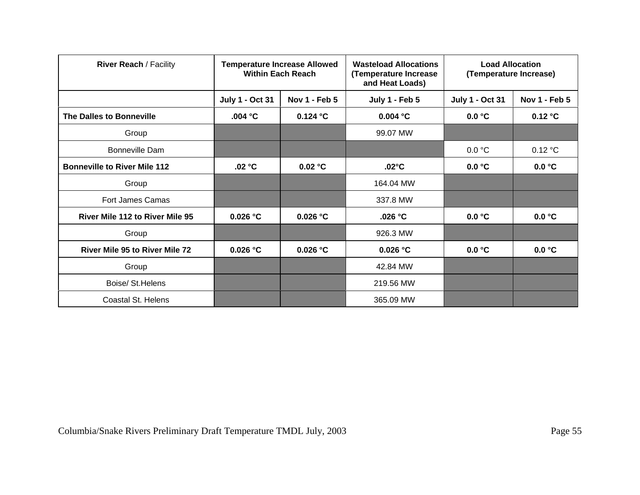| <b>River Reach / Facility</b>          | <b>Temperature Increase Allowed</b><br><b>Within Each Reach</b> |                      | <b>Wasteload Allocations</b><br>(Temperature Increase<br>and Heat Loads) | <b>Load Allocation</b><br>(Temperature Increase) |                      |
|----------------------------------------|-----------------------------------------------------------------|----------------------|--------------------------------------------------------------------------|--------------------------------------------------|----------------------|
|                                        | <b>July 1 - Oct 31</b>                                          | <b>Nov 1 - Feb 5</b> | July 1 - Feb 5                                                           | <b>July 1 - Oct 31</b>                           | <b>Nov 1 - Feb 5</b> |
| The Dalles to Bonneville               | .004 $\degree$ C                                                | $0.124$ °C           | 0.004 °C                                                                 | 0.0 °C                                           | 0.12 °C              |
| Group                                  |                                                                 |                      | 99.07 MW                                                                 |                                                  |                      |
| Bonneville Dam                         |                                                                 |                      |                                                                          | 0.0 °C                                           | 0.12 °C              |
| <b>Bonneville to River Mile 112</b>    | .02 °C                                                          | 0.02 °C              | $.02^{\circ}$ C                                                          | 0.0 °C                                           | 0.0 °C               |
| Group                                  |                                                                 |                      | 164.04 MW                                                                |                                                  |                      |
| <b>Fort James Camas</b>                |                                                                 |                      | 337.8 MW                                                                 |                                                  |                      |
| <b>River Mile 112 to River Mile 95</b> | 0.026 °C                                                        | $0.026$ °C           | .026 $°C$                                                                | 0.0 °C                                           | 0.0 °C               |
| Group                                  |                                                                 |                      | 926.3 MW                                                                 |                                                  |                      |
| <b>River Mile 95 to River Mile 72</b>  | $0.026$ °C                                                      | $0.026$ °C           | 0.026 °C                                                                 | 0.0 °C                                           | 0.0 °C               |
| Group                                  |                                                                 |                      | 42.84 MW                                                                 |                                                  |                      |
| Boise/ St. Helens                      |                                                                 |                      | 219.56 MW                                                                |                                                  |                      |
| Coastal St. Helens                     |                                                                 |                      | 365.09 MW                                                                |                                                  |                      |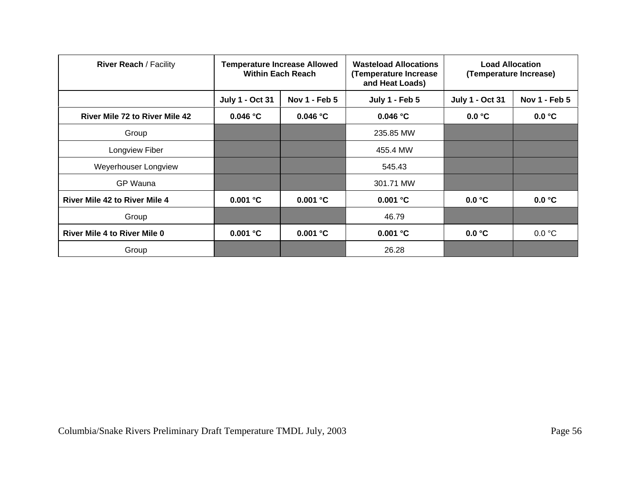| <b>River Reach / Facility</b>         | <b>Temperature Increase Allowed</b><br><b>Within Each Reach</b> |               | <b>Wasteload Allocations</b><br>(Temperature Increase<br>and Heat Loads) | <b>Load Allocation</b><br>(Temperature Increase) |               |
|---------------------------------------|-----------------------------------------------------------------|---------------|--------------------------------------------------------------------------|--------------------------------------------------|---------------|
|                                       | <b>July 1 - Oct 31</b>                                          | Nov 1 - Feb 5 | <b>July 1 - Feb 5</b>                                                    | <b>July 1 - Oct 31</b>                           | Nov 1 - Feb 5 |
| <b>River Mile 72 to River Mile 42</b> | 0.046 °C                                                        | 0.046 °C      | 0.046 °C                                                                 | 0.0 °C                                           | 0.0 °C        |
| Group                                 |                                                                 |               | 235.85 MW                                                                |                                                  |               |
| Longview Fiber                        |                                                                 |               | 455.4 MW                                                                 |                                                  |               |
| Weyerhouser Longview                  |                                                                 |               | 545.43                                                                   |                                                  |               |
| <b>GP Wauna</b>                       |                                                                 |               | 301.71 MW                                                                |                                                  |               |
| <b>River Mile 42 to River Mile 4</b>  | 0.001 °C                                                        | 0.001 °C      | 0.001 °C                                                                 | 0.0 °C                                           | 0.0 °C        |
| Group                                 |                                                                 |               | 46.79                                                                    |                                                  |               |
| <b>River Mile 4 to River Mile 0</b>   | 0.001 °C                                                        | 0.001 °C      | 0.001 °C                                                                 | 0.0 °C                                           | 0.0 °C        |
| Group                                 |                                                                 |               | 26.28                                                                    |                                                  |               |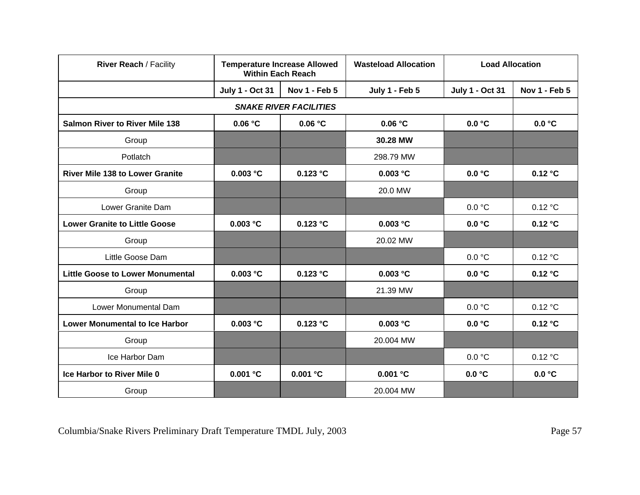| <b>River Reach / Facility</b>           | <b>Temperature Increase Allowed</b><br><b>Within Each Reach</b> |                               | <b>Wasteload Allocation</b> | <b>Load Allocation</b> |               |
|-----------------------------------------|-----------------------------------------------------------------|-------------------------------|-----------------------------|------------------------|---------------|
|                                         | <b>July 1 - Oct 31</b>                                          | <b>Nov 1 - Feb 5</b>          | July 1 - Feb 5              | <b>July 1 - Oct 31</b> | Nov 1 - Feb 5 |
|                                         |                                                                 | <b>SNAKE RIVER FACILITIES</b> |                             |                        |               |
| <b>Salmon River to River Mile 138</b>   | 0.06 °C                                                         | 0.06 °C                       | 0.06 °C                     | 0.0 °C                 | 0.0 °C        |
| Group                                   |                                                                 |                               | 30.28 MW                    |                        |               |
| Potlatch                                |                                                                 |                               | 298.79 MW                   |                        |               |
| <b>River Mile 138 to Lower Granite</b>  | 0.003 °C                                                        | $0.123$ $^{\circ}$ C          | 0.003 °C                    | 0.0 °C                 | 0.12 °C       |
| Group                                   |                                                                 |                               | 20.0 MW                     |                        |               |
| Lower Granite Dam                       |                                                                 |                               |                             | 0.0 °C                 | 0.12 °C       |
| <b>Lower Granite to Little Goose</b>    | 0.003 °C                                                        | 0.123 °C                      | 0.003 °C                    | 0.0 °C                 | 0.12 °C       |
| Group                                   |                                                                 |                               | 20.02 MW                    |                        |               |
| Little Goose Dam                        |                                                                 |                               |                             | 0.0 °C                 | 0.12 °C       |
| <b>Little Goose to Lower Monumental</b> | 0.003 °C                                                        | $0.123$ $^{\circ}$ C          | 0.003 °C                    | 0.0 °C                 | 0.12 °C       |
| Group                                   |                                                                 |                               | 21.39 MW                    |                        |               |
| Lower Monumental Dam                    |                                                                 |                               |                             | 0.0 °C                 | 0.12 °C       |
| <b>Lower Monumental to Ice Harbor</b>   | 0.003 °C                                                        | 0.123 °C                      | 0.003 °C                    | 0.0 °C                 | 0.12 °C       |
| Group                                   |                                                                 |                               | 20.004 MW                   |                        |               |
| Ice Harbor Dam                          |                                                                 |                               |                             | 0.0 °C                 | 0.12 °C       |
| <b>Ice Harbor to River Mile 0</b>       | 0.001 °C                                                        | 0.001 °C                      | 0.001 °C                    | 0.0 °C                 | 0.0 °C        |
| Group                                   |                                                                 |                               | 20.004 MW                   |                        |               |

Columbia/Snake Rivers Preliminary Draft Temperature TMDL July, 2003 Page 57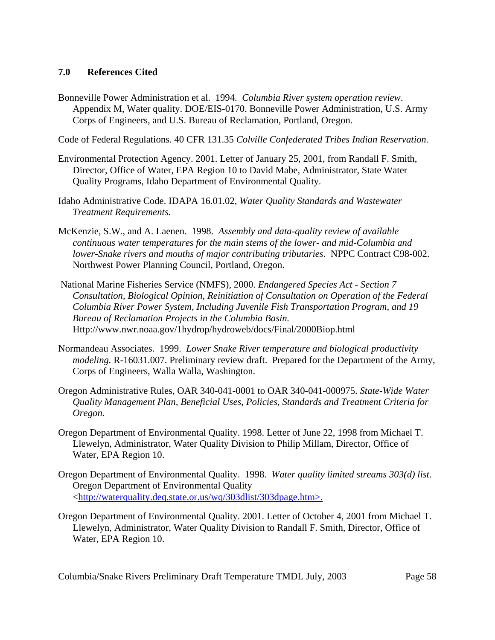## **7.0 References Cited**

Bonneville Power Administration et al. 1994. *Columbia River system operation review*. Appendix M, Water quality. DOE/EIS-0170. Bonneville Power Administration, U.S. Army Corps of Engineers, and U.S. Bureau of Reclamation, Portland, Oregon.

Code of Federal Regulations. 40 CFR 131.35 *Colville Confederated Tribes Indian Reservation.*

- Environmental Protection Agency. 2001. Letter of January 25, 2001, from Randall F. Smith, Director, Office of Water, EPA Region 10 to David Mabe, Administrator, State Water Quality Programs, Idaho Department of Environmental Quality.
- Idaho Administrative Code. IDAPA 16.01.02, *Water Quality Standards and Wastewater Treatment Requirements.*
- McKenzie, S.W., and A. Laenen. 1998. *Assembly and data-quality review of available continuous water temperatures for the main stems of the lower- and mid-Columbia and lower-Snake rivers and mouths of major contributing tributaries*. NPPC Contract C98-002. Northwest Power Planning Council, Portland, Oregon.
- National Marine Fisheries Service (NMFS), 2000. *Endangered Species Act Section 7 Consultation, Biological Opinion, Reinitiation of Consultation on Operation of the Federal Columbia River Power System, Including Juvenile Fish Transportation Program, and 19 Bureau of Reclamation Projects in the Columbia Basin.* Http://www.nwr.noaa.gov/1hydrop/hydroweb/docs/Final/2000Biop.html
- Normandeau Associates. 1999. *Lower Snake River temperature and biological productivity modeling.* R-16031.007. Preliminary review draft. Prepared for the Department of the Army, Corps of Engineers, Walla Walla, Washington.
- Oregon Administrative Rules, OAR 340-041-0001 to OAR 340-041-000975. *State-Wide Water Quality Management Plan, Beneficial Uses, Policies, Standards and Treatment Criteria for Oregon.*
- Oregon Department of Environmental Quality. 1998. Letter of June 22, 1998 from Michael T. Llewelyn, Administrator, Water Quality Division to Philip Millam, Director, Office of Water, EPA Region 10.
- Oregon Department of Environmental Quality. 1998. *Water quality limited streams 303(d) list*. Oregon Department of Environmental Quality <http://waterquality.deq.state.or.us/wq/303dlist/303dpage.htm>.
- Oregon Department of Environmental Quality. 2001. Letter of October 4, 2001 from Michael T. Llewelyn, Administrator, Water Quality Division to Randall F. Smith, Director, Office of Water, EPA Region 10.

Columbia/Snake Rivers Preliminary Draft Temperature TMDL July, 2003 Page 58